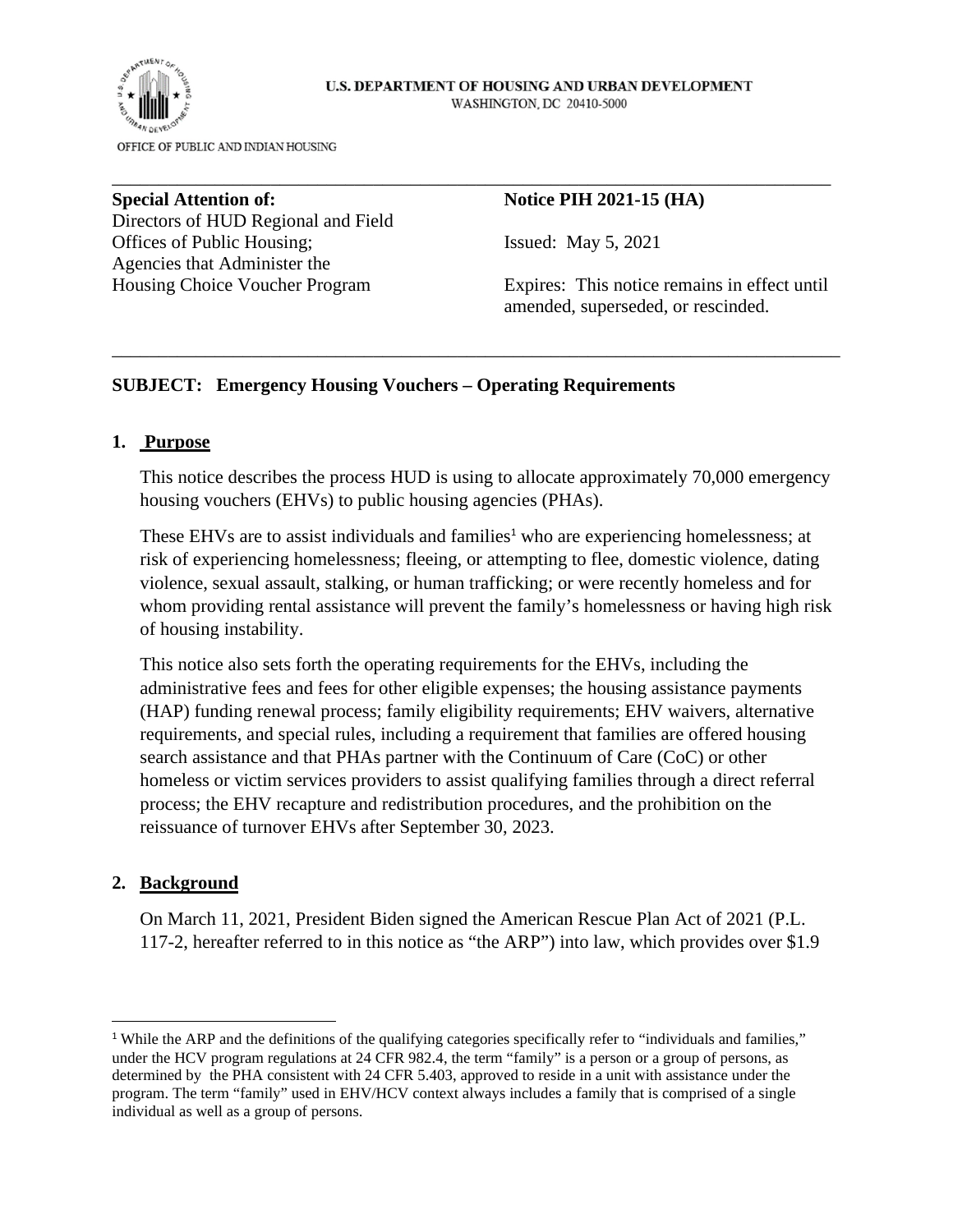#### U.S. DEPARTMENT OF HOUSING AND URBAN DEVELOPMENT WASHINGTON, DC 20410-5000



OFFICE OF PUBLIC AND INDIAN HOUSING

**Special Attention of: Notice PIH 2021-15 (HA) Notice PIH 2021-15 (HA)** Directors of HUD Regional and Field Offices of Public Housing; Issued: May 5, 2021 Agencies that Administer the

Housing Choice Voucher Program Expires: This notice remains in effect until amended, superseded, or rescinded.

### **SUBJECT: Emergency Housing Vouchers – Operating Requirements**

#### **1. Purpose**

This notice describes the process HUD is using to allocate approximately 70,000 emergency housing vouchers (EHVs) to public housing agencies (PHAs).

\_\_\_\_\_\_\_\_\_\_\_\_\_\_\_\_\_\_\_\_\_\_\_\_\_\_\_\_\_\_\_\_\_\_\_\_\_\_\_\_\_\_\_\_\_\_\_\_\_\_\_\_\_\_\_\_\_\_\_\_\_\_\_\_\_\_\_\_\_\_\_\_\_\_\_\_\_\_

\_\_\_\_\_\_\_\_\_\_\_\_\_\_\_\_\_\_\_\_\_\_\_\_\_\_\_\_\_\_\_\_\_\_\_\_\_\_\_\_\_\_\_\_\_\_\_\_\_\_\_\_\_\_\_\_\_\_\_\_\_\_\_\_\_\_\_\_\_\_\_\_\_\_\_\_\_

These EHVs are to assist individuals and families<sup>1</sup> who are experiencing homelessness; at risk of experiencing homelessness; fleeing, or attempting to flee, domestic violence, dating violence, sexual assault, stalking, or human trafficking; or were recently homeless and for whom providing rental assistance will prevent the family's homelessness or having high risk of housing instability.

This notice also sets forth the operating requirements for the EHVs, including the administrative fees and fees for other eligible expenses; the housing assistance payments (HAP) funding renewal process; family eligibility requirements; EHV waivers, alternative requirements, and special rules, including a requirement that families are offered housing search assistance and that PHAs partner with the Continuum of Care (CoC) or other homeless or victim services providers to assist qualifying families through a direct referral process; the EHV recapture and redistribution procedures, and the prohibition on the reissuance of turnover EHVs after September 30, 2023.

#### **2. Background**

On March 11, 2021, President Biden signed the American Rescue Plan Act of 2021 (P.L. 117-2, hereafter referred to in this notice as "the ARP") into law, which provides over \$1.9

<sup>&</sup>lt;sup>1</sup> While the ARP and the definitions of the qualifying categories specifically refer to "individuals and families," under the HCV program regulations at 24 CFR 982.4, the term "family" is a person or a group of persons, as determined by the PHA consistent with 24 CFR 5.403, approved to reside in a unit with assistance under the program. The term "family" used in EHV/HCV context always includes a family that is comprised of a single individual as well as a group of persons.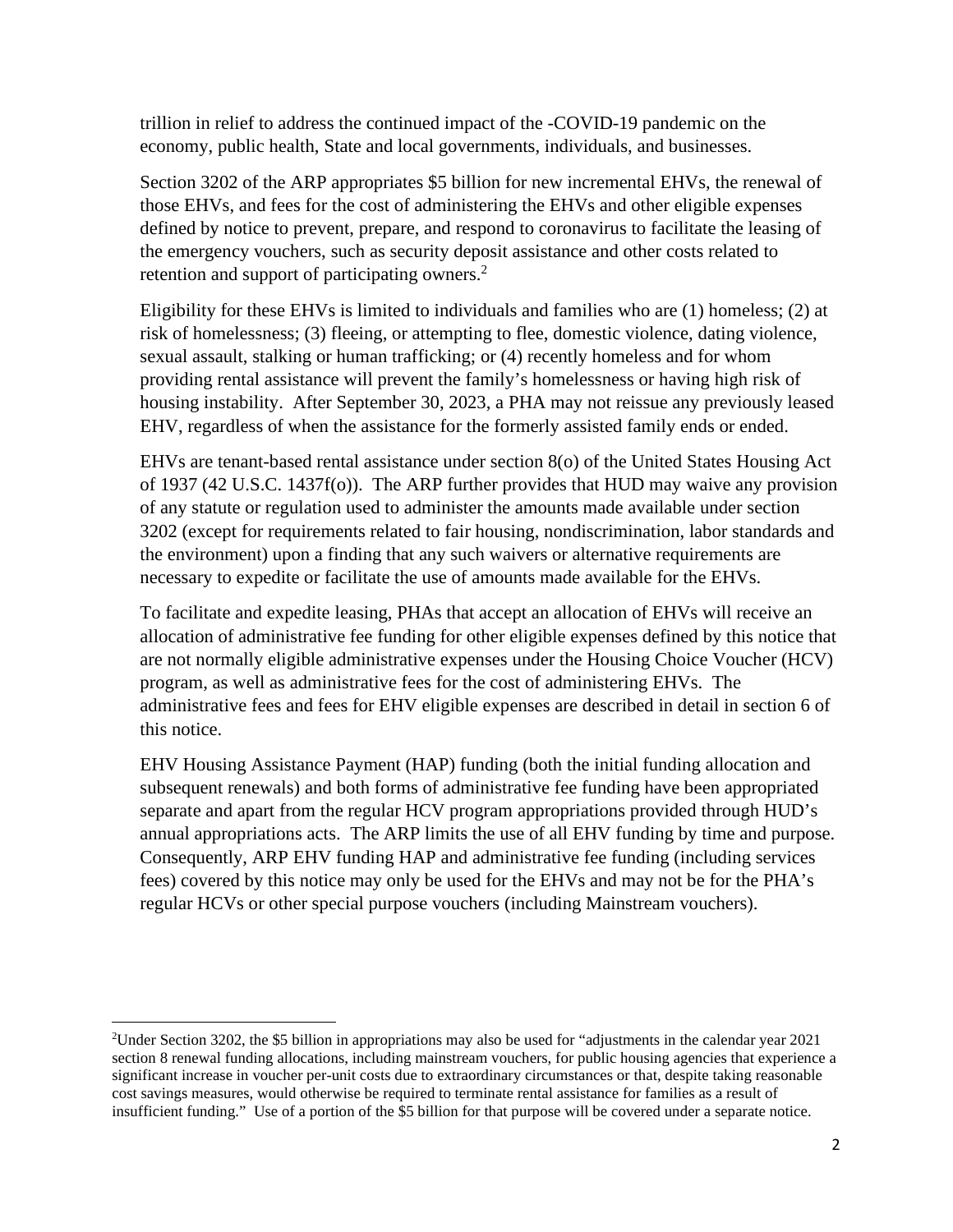trillion in relief to address the continued impact of the -COVID-19 pandemic on the economy, public health, State and local governments, individuals, and businesses.

Section 3202 of the ARP appropriates \$5 billion for new incremental EHVs, the renewal of those EHVs, and fees for the cost of administering the EHVs and other eligible expenses defined by notice to prevent, prepare, and respond to coronavirus to facilitate the leasing of the emergency vouchers, such as security deposit assistance and other costs related to retention and support of participating owners.<sup>2</sup>

Eligibility for these EHVs is limited to individuals and families who are (1) homeless; (2) at risk of homelessness; (3) fleeing, or attempting to flee, domestic violence, dating violence, sexual assault, stalking or human trafficking; or (4) recently homeless and for whom providing rental assistance will prevent the family's homelessness or having high risk of housing instability. After September 30, 2023, a PHA may not reissue any previously leased EHV, regardless of when the assistance for the formerly assisted family ends or ended.

EHVs are tenant-based rental assistance under section 8(o) of the United States Housing Act of 1937 (42 U.S.C. 1437f(o)). The ARP further provides that HUD may waive any provision of any statute or regulation used to administer the amounts made available under section 3202 (except for requirements related to fair housing, nondiscrimination, labor standards and the environment) upon a finding that any such waivers or alternative requirements are necessary to expedite or facilitate the use of amounts made available for the EHVs.

To facilitate and expedite leasing, PHAs that accept an allocation of EHVs will receive an allocation of administrative fee funding for other eligible expenses defined by this notice that are not normally eligible administrative expenses under the Housing Choice Voucher (HCV) program, as well as administrative fees for the cost of administering EHVs. The administrative fees and fees for EHV eligible expenses are described in detail in section 6 of this notice.

EHV Housing Assistance Payment (HAP) funding (both the initial funding allocation and subsequent renewals) and both forms of administrative fee funding have been appropriated separate and apart from the regular HCV program appropriations provided through HUD's annual appropriations acts. The ARP limits the use of all EHV funding by time and purpose. Consequently, ARP EHV funding HAP and administrative fee funding (including services fees) covered by this notice may only be used for the EHVs and may not be for the PHA's regular HCVs or other special purpose vouchers (including Mainstream vouchers).

<sup>2</sup>Under Section 3202, the \$5 billion in appropriations may also be used for "adjustments in the calendar year 2021 section 8 renewal funding allocations, including mainstream vouchers, for public housing agencies that experience a significant increase in voucher per-unit costs due to extraordinary circumstances or that, despite taking reasonable cost savings measures, would otherwise be required to terminate rental assistance for families as a result of insufficient funding." Use of a portion of the \$5 billion for that purpose will be covered under a separate notice.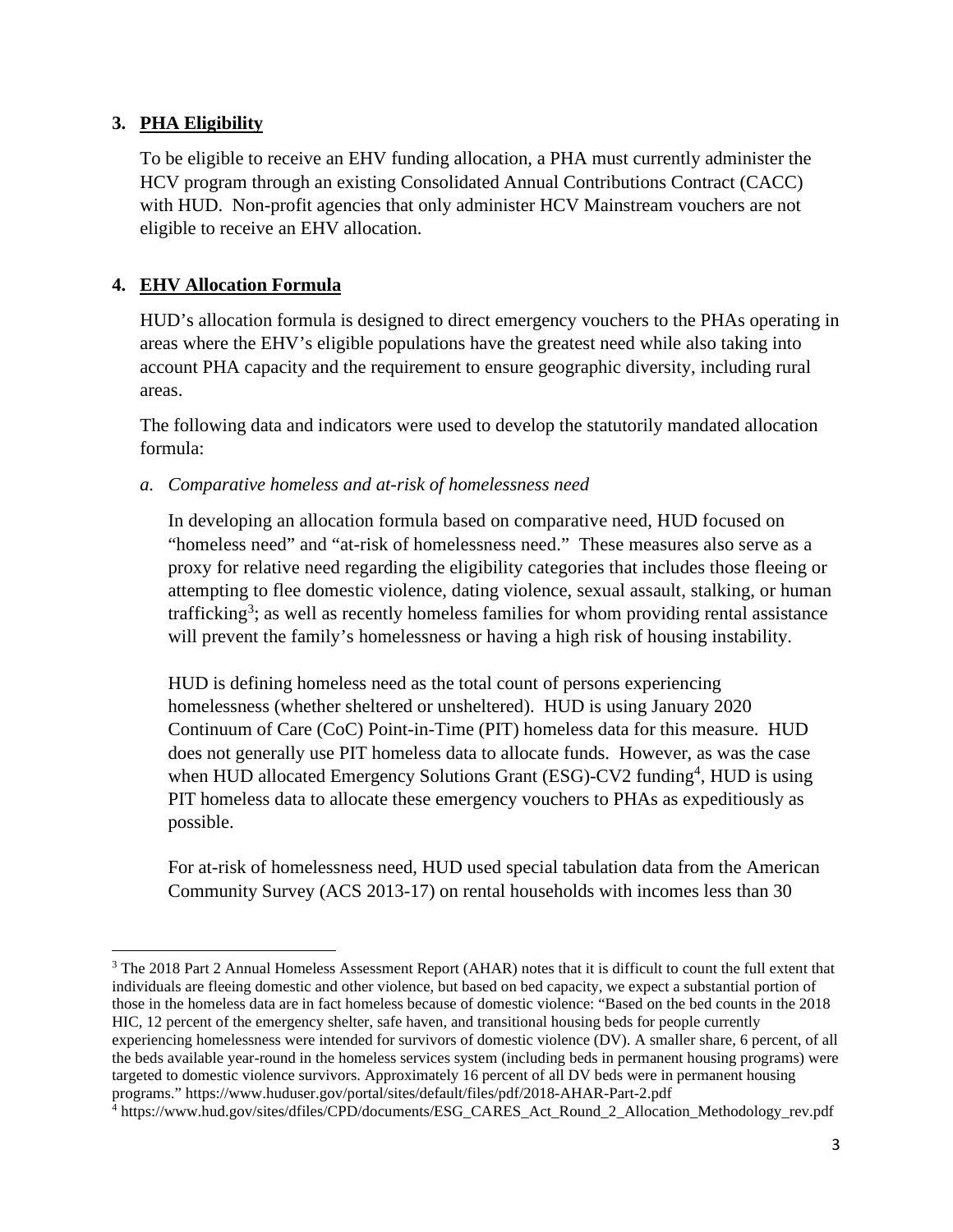### **3. PHA Eligibility**

To be eligible to receive an EHV funding allocation, a PHA must currently administer the HCV program through an existing Consolidated Annual Contributions Contract (CACC) with HUD. Non-profit agencies that only administer HCV Mainstream vouchers are not eligible to receive an EHV allocation.

### **4. EHV Allocation Formula**

HUD's allocation formula is designed to direct emergency vouchers to the PHAs operating in areas where the EHV's eligible populations have the greatest need while also taking into account PHA capacity and the requirement to ensure geographic diversity, including rural areas.

The following data and indicators were used to develop the statutorily mandated allocation formula:

*a. Comparative homeless and at-risk of homelessness need* 

In developing an allocation formula based on comparative need, HUD focused on "homeless need" and "at-risk of homelessness need." These measures also serve as a proxy for relative need regarding the eligibility categories that includes those fleeing or attempting to flee domestic violence, dating violence, sexual assault, stalking, or human trafficking<sup>3</sup>; as well as recently homeless families for whom providing rental assistance will prevent the family's homelessness or having a high risk of housing instability.

HUD is defining homeless need as the total count of persons experiencing homelessness (whether sheltered or unsheltered). HUD is using January 2020 Continuum of Care (CoC) Point-in-Time (PIT) homeless data for this measure. HUD does not generally use PIT homeless data to allocate funds. However, as was the case when HUD allocated Emergency Solutions Grant (ESG)-CV2 funding<sup>4</sup>, HUD is using PIT homeless data to allocate these emergency vouchers to PHAs as expeditiously as possible.

For at-risk of homelessness need, HUD used special tabulation data from the American Community Survey (ACS 2013-17) on rental households with incomes less than 30

<sup>3</sup> The 2018 Part 2 Annual Homeless Assessment Report (AHAR) notes that it is difficult to count the full extent that individuals are fleeing domestic and other violence, but based on bed capacity, we expect a substantial portion of those in the homeless data are in fact homeless because of domestic violence: "Based on the bed counts in the 2018 HIC, 12 percent of the emergency shelter, safe haven, and transitional housing beds for people currently experiencing homelessness were intended for survivors of domestic violence (DV). A smaller share, 6 percent, of all the beds available year-round in the homeless services system (including beds in permanent housing programs) were

targeted to domestic violence survivors. Approximately 16 percent of all DV beds were in permanent housing programs." https://www.huduser.gov/portal/sites/default/files/pdf/2018-AHAR-Part-2.pdf

<sup>4</sup> https://www.hud.gov/sites/dfiles/CPD/documents/ESG\_CARES\_Act\_Round\_2\_Allocation\_Methodology\_rev.pdf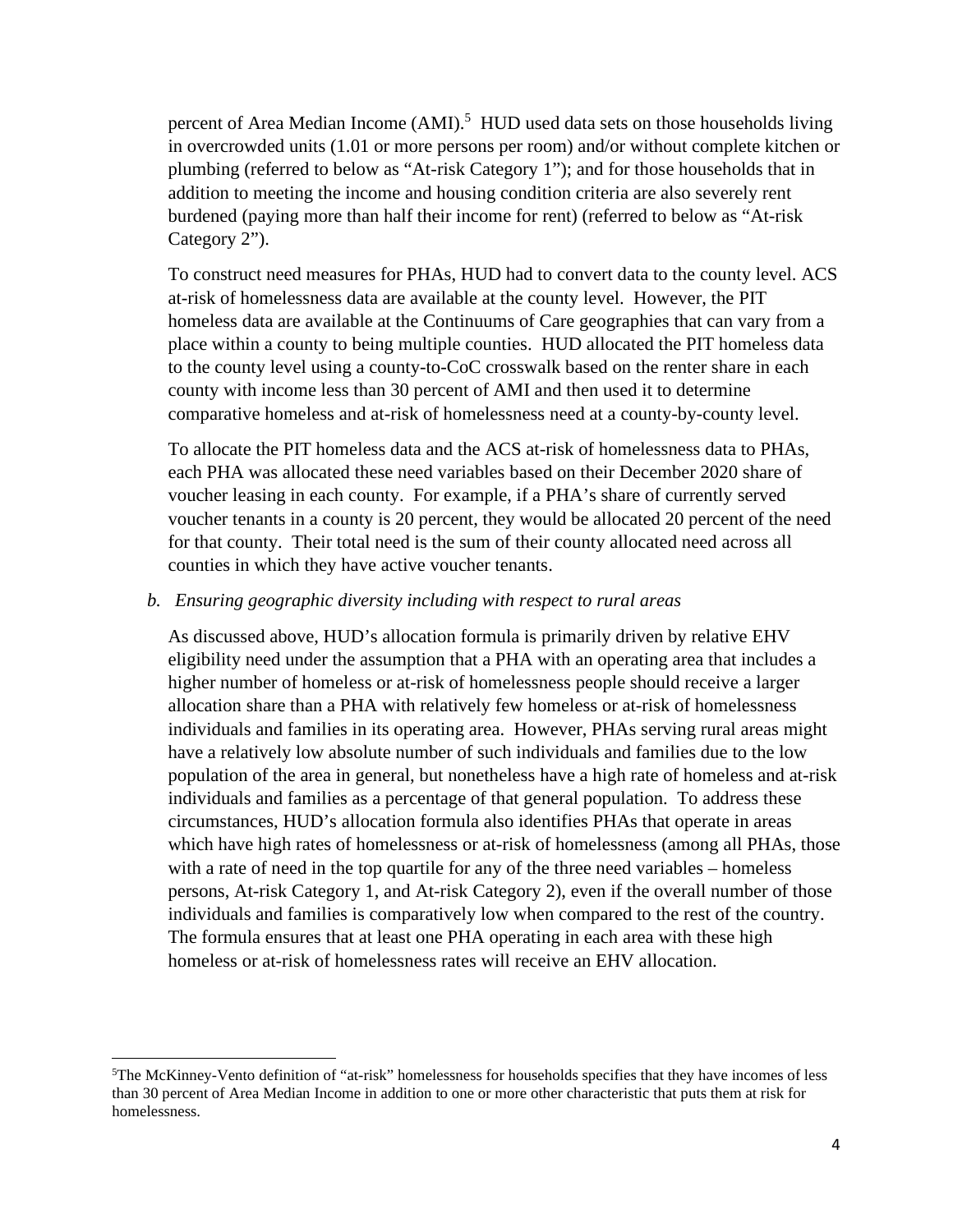percent of Area Median Income (AMI).<sup>5</sup> HUD used data sets on those households living in overcrowded units (1.01 or more persons per room) and/or without complete kitchen or plumbing (referred to below as "At-risk Category 1"); and for those households that in addition to meeting the income and housing condition criteria are also severely rent burdened (paying more than half their income for rent) (referred to below as "At-risk Category 2").

To construct need measures for PHAs, HUD had to convert data to the county level. ACS at-risk of homelessness data are available at the county level. However, the PIT homeless data are available at the Continuums of Care geographies that can vary from a place within a county to being multiple counties. HUD allocated the PIT homeless data to the county level using a county-to-CoC crosswalk based on the renter share in each county with income less than 30 percent of AMI and then used it to determine comparative homeless and at-risk of homelessness need at a county-by-county level.

To allocate the PIT homeless data and the ACS at-risk of homelessness data to PHAs, each PHA was allocated these need variables based on their December 2020 share of voucher leasing in each county. For example, if a PHA's share of currently served voucher tenants in a county is 20 percent, they would be allocated 20 percent of the need for that county. Their total need is the sum of their county allocated need across all counties in which they have active voucher tenants.

#### *b. Ensuring geographic diversity including with respect to rural areas*

As discussed above, HUD's allocation formula is primarily driven by relative EHV eligibility need under the assumption that a PHA with an operating area that includes a higher number of homeless or at-risk of homelessness people should receive a larger allocation share than a PHA with relatively few homeless or at-risk of homelessness individuals and families in its operating area. However, PHAs serving rural areas might have a relatively low absolute number of such individuals and families due to the low population of the area in general, but nonetheless have a high rate of homeless and at-risk individuals and families as a percentage of that general population. To address these circumstances, HUD's allocation formula also identifies PHAs that operate in areas which have high rates of homelessness or at-risk of homelessness (among all PHAs, those with a rate of need in the top quartile for any of the three need variables – homeless persons, At-risk Category 1, and At-risk Category 2), even if the overall number of those individuals and families is comparatively low when compared to the rest of the country. The formula ensures that at least one PHA operating in each area with these high homeless or at-risk of homelessness rates will receive an EHV allocation.

<sup>5</sup>The McKinney-Vento definition of "at-risk" homelessness for households specifies that they have incomes of less than 30 percent of Area Median Income in addition to one or more other characteristic that puts them at risk for homelessness.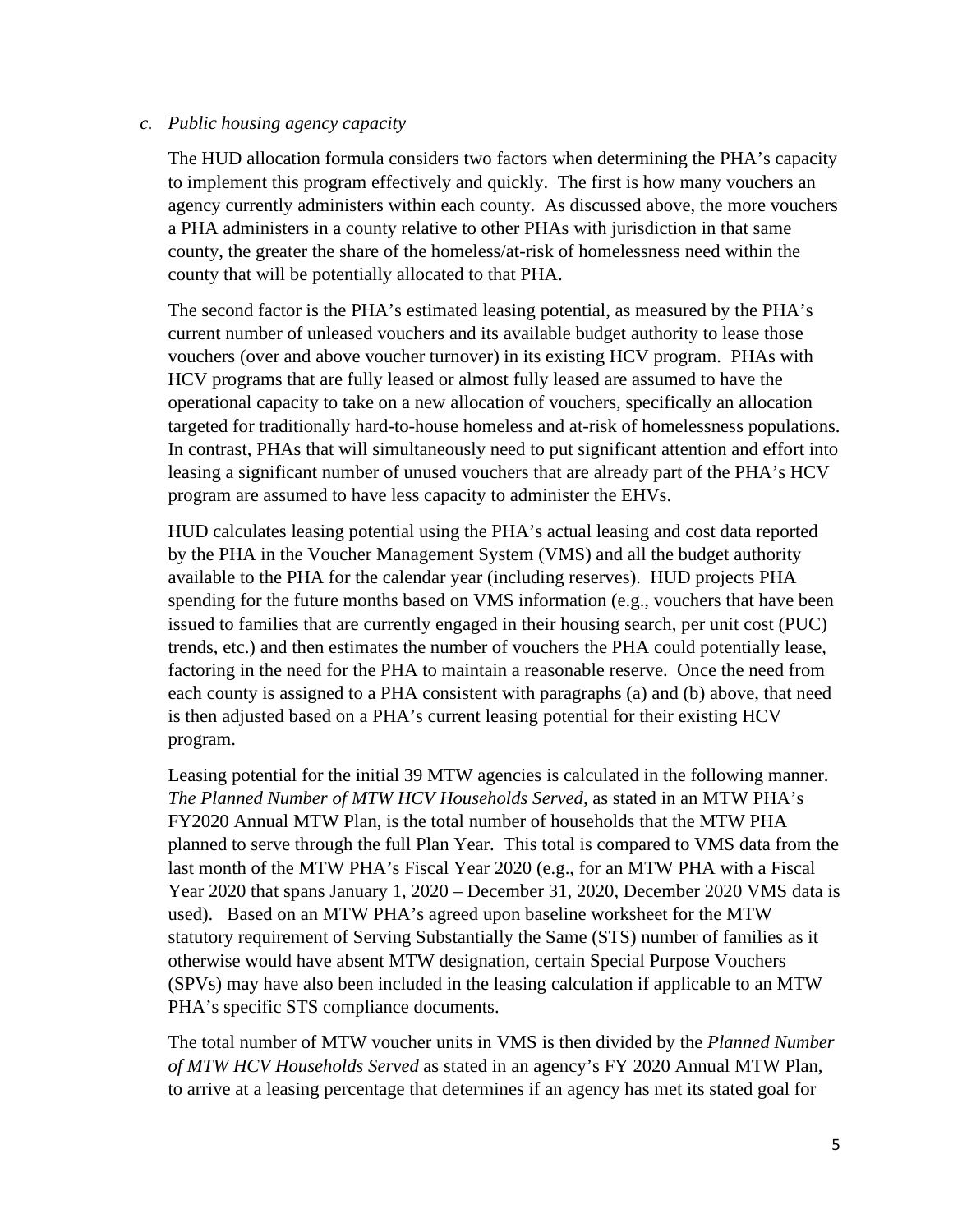#### *c. Public housing agency capacity*

The HUD allocation formula considers two factors when determining the PHA's capacity to implement this program effectively and quickly. The first is how many vouchers an agency currently administers within each county. As discussed above, the more vouchers a PHA administers in a county relative to other PHAs with jurisdiction in that same county, the greater the share of the homeless/at-risk of homelessness need within the county that will be potentially allocated to that PHA.

The second factor is the PHA's estimated leasing potential, as measured by the PHA's current number of unleased vouchers and its available budget authority to lease those vouchers (over and above voucher turnover) in its existing HCV program. PHAs with HCV programs that are fully leased or almost fully leased are assumed to have the operational capacity to take on a new allocation of vouchers, specifically an allocation targeted for traditionally hard-to-house homeless and at-risk of homelessness populations. In contrast, PHAs that will simultaneously need to put significant attention and effort into leasing a significant number of unused vouchers that are already part of the PHA's HCV program are assumed to have less capacity to administer the EHVs.

HUD calculates leasing potential using the PHA's actual leasing and cost data reported by the PHA in the Voucher Management System (VMS) and all the budget authority available to the PHA for the calendar year (including reserves). HUD projects PHA spending for the future months based on VMS information (e.g., vouchers that have been issued to families that are currently engaged in their housing search, per unit cost (PUC) trends, etc.) and then estimates the number of vouchers the PHA could potentially lease, factoring in the need for the PHA to maintain a reasonable reserve. Once the need from each county is assigned to a PHA consistent with paragraphs (a) and (b) above, that need is then adjusted based on a PHA's current leasing potential for their existing HCV program.

Leasing potential for the initial 39 MTW agencies is calculated in the following manner. *The Planned Number of MTW HCV Households Served,* as stated in an MTW PHA's FY2020 Annual MTW Plan, is the total number of households that the MTW PHA planned to serve through the full Plan Year. This total is compared to VMS data from the last month of the MTW PHA's Fiscal Year 2020 (e.g., for an MTW PHA with a Fiscal Year 2020 that spans January 1, 2020 – December 31, 2020, December 2020 VMS data is used). Based on an MTW PHA's agreed upon baseline worksheet for the MTW statutory requirement of Serving Substantially the Same (STS) number of families as it otherwise would have absent MTW designation, certain Special Purpose Vouchers (SPVs) may have also been included in the leasing calculation if applicable to an MTW PHA's specific STS compliance documents.

The total number of MTW voucher units in VMS is then divided by the *Planned Number of MTW HCV Households Served* as stated in an agency's FY 2020 Annual MTW Plan, to arrive at a leasing percentage that determines if an agency has met its stated goal for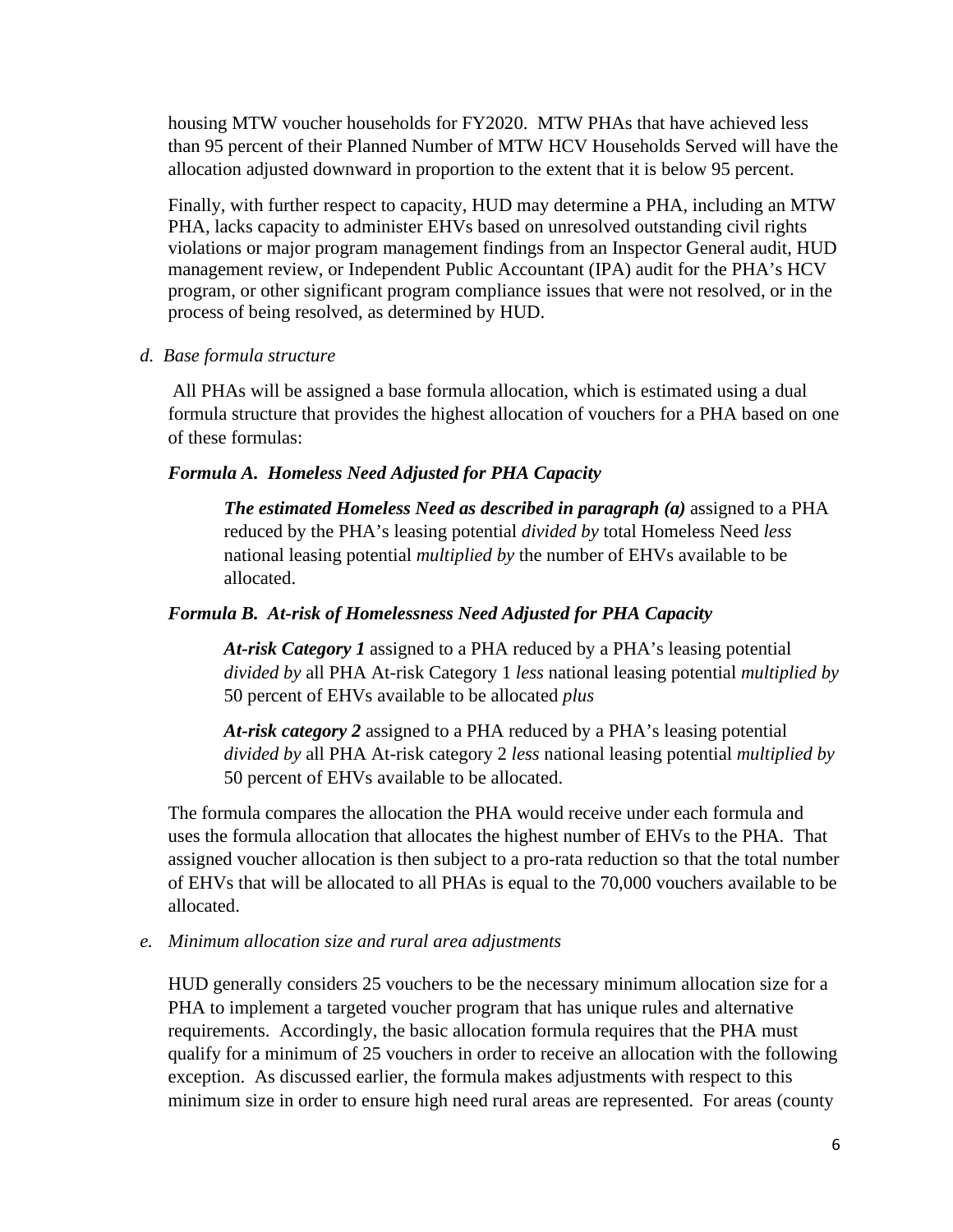housing MTW voucher households for FY2020. MTW PHAs that have achieved less than 95 percent of their Planned Number of MTW HCV Households Served will have the allocation adjusted downward in proportion to the extent that it is below 95 percent.

Finally, with further respect to capacity, HUD may determine a PHA, including an MTW PHA, lacks capacity to administer EHVs based on unresolved outstanding civil rights violations or major program management findings from an Inspector General audit, HUD management review, or Independent Public Accountant (IPA) audit for the PHA's HCV program, or other significant program compliance issues that were not resolved, or in the process of being resolved, as determined by HUD.

#### *d. Base formula structure*

 All PHAs will be assigned a base formula allocation, which is estimated using a dual formula structure that provides the highest allocation of vouchers for a PHA based on one of these formulas:

#### *Formula A. Homeless Need Adjusted for PHA Capacity*

*The estimated Homeless Need as described in paragraph (a)* assigned to a PHA reduced by the PHA's leasing potential *divided by* total Homeless Need *less* national leasing potential *multiplied by* the number of EHVs available to be allocated.

### *Formula B. At-risk of Homelessness Need Adjusted for PHA Capacity*

*At-risk Category 1* assigned to a PHA reduced by a PHA's leasing potential *divided by* all PHA At-risk Category 1 *less* national leasing potential *multiplied by* 50 percent of EHVs available to be allocated *plus*

*At-risk category 2* assigned to a PHA reduced by a PHA's leasing potential *divided by* all PHA At-risk category 2 *less* national leasing potential *multiplied by*  50 percent of EHVs available to be allocated.

The formula compares the allocation the PHA would receive under each formula and uses the formula allocation that allocates the highest number of EHVs to the PHA. That assigned voucher allocation is then subject to a pro-rata reduction so that the total number of EHVs that will be allocated to all PHAs is equal to the 70,000 vouchers available to be allocated.

*e. Minimum allocation size and rural area adjustments* 

HUD generally considers 25 vouchers to be the necessary minimum allocation size for a PHA to implement a targeted voucher program that has unique rules and alternative requirements. Accordingly, the basic allocation formula requires that the PHA must qualify for a minimum of 25 vouchers in order to receive an allocation with the following exception. As discussed earlier, the formula makes adjustments with respect to this minimum size in order to ensure high need rural areas are represented. For areas (county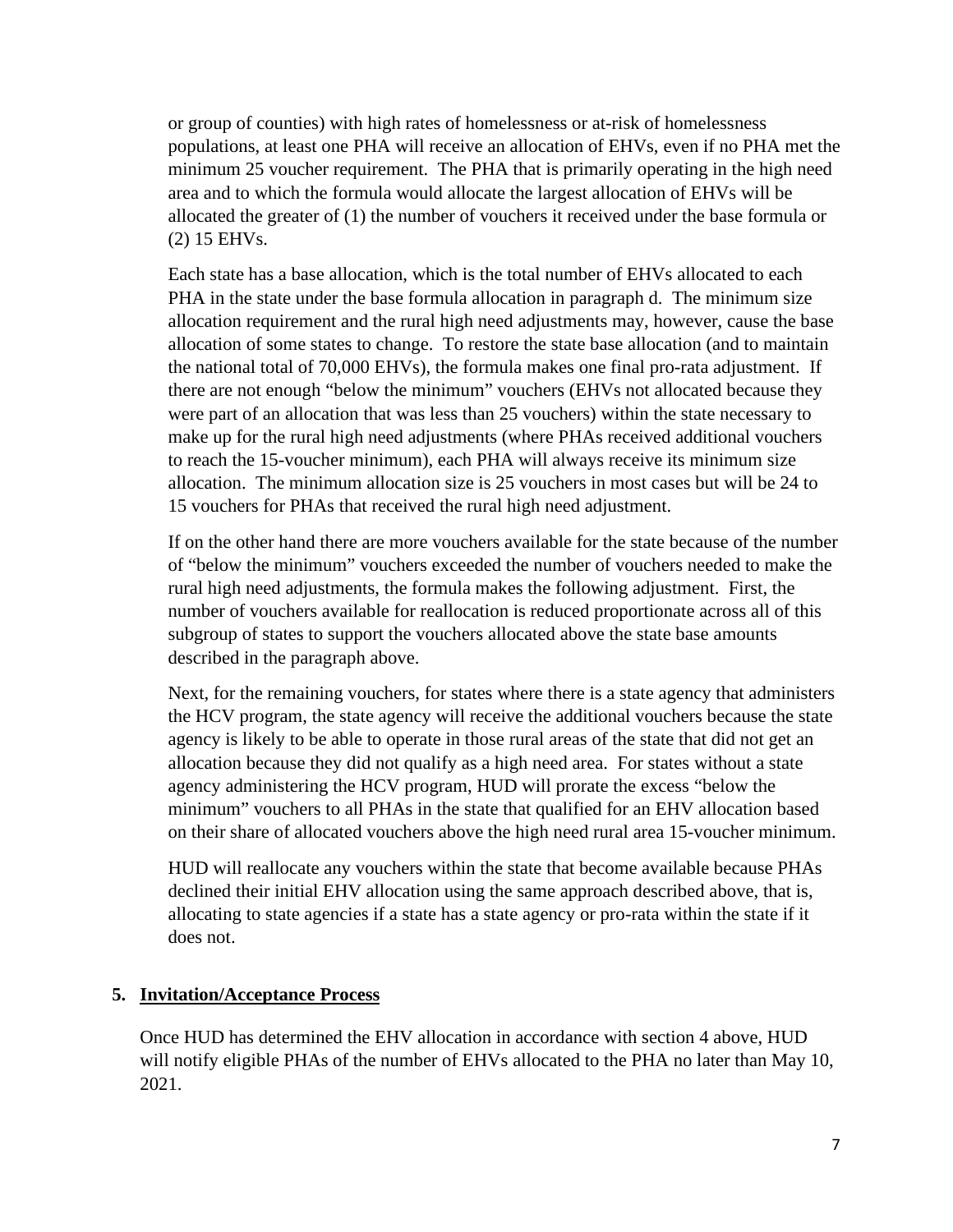or group of counties) with high rates of homelessness or at-risk of homelessness populations, at least one PHA will receive an allocation of EHVs, even if no PHA met the minimum 25 voucher requirement. The PHA that is primarily operating in the high need area and to which the formula would allocate the largest allocation of EHVs will be allocated the greater of (1) the number of vouchers it received under the base formula or (2) 15 EHVs.

Each state has a base allocation, which is the total number of EHVs allocated to each PHA in the state under the base formula allocation in paragraph d. The minimum size allocation requirement and the rural high need adjustments may, however, cause the base allocation of some states to change. To restore the state base allocation (and to maintain the national total of 70,000 EHVs), the formula makes one final pro-rata adjustment. If there are not enough "below the minimum" vouchers (EHVs not allocated because they were part of an allocation that was less than 25 vouchers) within the state necessary to make up for the rural high need adjustments (where PHAs received additional vouchers to reach the 15-voucher minimum), each PHA will always receive its minimum size allocation. The minimum allocation size is 25 vouchers in most cases but will be 24 to 15 vouchers for PHAs that received the rural high need adjustment.

If on the other hand there are more vouchers available for the state because of the number of "below the minimum" vouchers exceeded the number of vouchers needed to make the rural high need adjustments, the formula makes the following adjustment. First, the number of vouchers available for reallocation is reduced proportionate across all of this subgroup of states to support the vouchers allocated above the state base amounts described in the paragraph above.

Next, for the remaining vouchers, for states where there is a state agency that administers the HCV program, the state agency will receive the additional vouchers because the state agency is likely to be able to operate in those rural areas of the state that did not get an allocation because they did not qualify as a high need area. For states without a state agency administering the HCV program, HUD will prorate the excess "below the minimum" vouchers to all PHAs in the state that qualified for an EHV allocation based on their share of allocated vouchers above the high need rural area 15-voucher minimum.

HUD will reallocate any vouchers within the state that become available because PHAs declined their initial EHV allocation using the same approach described above, that is, allocating to state agencies if a state has a state agency or pro-rata within the state if it does not.

#### **5. Invitation/Acceptance Process**

Once HUD has determined the EHV allocation in accordance with section 4 above, HUD will notify eligible PHAs of the number of EHVs allocated to the PHA no later than May 10, 2021.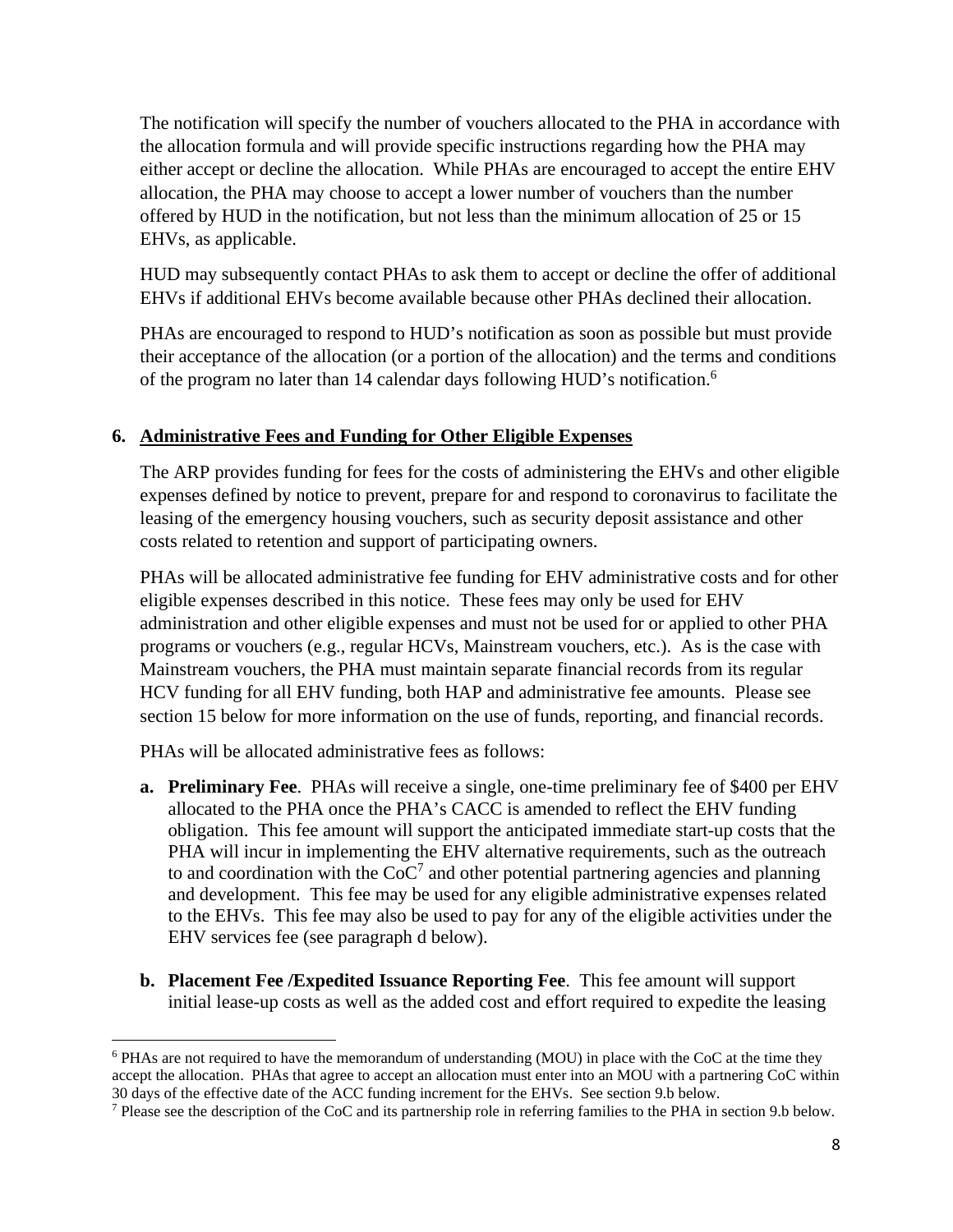The notification will specify the number of vouchers allocated to the PHA in accordance with the allocation formula and will provide specific instructions regarding how the PHA may either accept or decline the allocation. While PHAs are encouraged to accept the entire EHV allocation, the PHA may choose to accept a lower number of vouchers than the number offered by HUD in the notification, but not less than the minimum allocation of 25 or 15 EHVs, as applicable.

HUD may subsequently contact PHAs to ask them to accept or decline the offer of additional EHVs if additional EHVs become available because other PHAs declined their allocation.

PHAs are encouraged to respond to HUD's notification as soon as possible but must provide their acceptance of the allocation (or a portion of the allocation) and the terms and conditions of the program no later than 14 calendar days following HUD's notification.<sup>6</sup>

### **6. Administrative Fees and Funding for Other Eligible Expenses**

The ARP provides funding for fees for the costs of administering the EHVs and other eligible expenses defined by notice to prevent, prepare for and respond to coronavirus to facilitate the leasing of the emergency housing vouchers, such as security deposit assistance and other costs related to retention and support of participating owners.

PHAs will be allocated administrative fee funding for EHV administrative costs and for other eligible expenses described in this notice. These fees may only be used for EHV administration and other eligible expenses and must not be used for or applied to other PHA programs or vouchers (e.g., regular HCVs, Mainstream vouchers, etc.). As is the case with Mainstream vouchers, the PHA must maintain separate financial records from its regular HCV funding for all EHV funding, both HAP and administrative fee amounts. Please see section 15 below for more information on the use of funds, reporting, and financial records.

PHAs will be allocated administrative fees as follows:

- **a. Preliminary Fee**. PHAs will receive a single, one-time preliminary fee of \$400 per EHV allocated to the PHA once the PHA's CACC is amended to reflect the EHV funding obligation. This fee amount will support the anticipated immediate start-up costs that the PHA will incur in implementing the EHV alternative requirements, such as the outreach to and coordination with the  $CoC<sup>7</sup>$  and other potential partnering agencies and planning and development. This fee may be used for any eligible administrative expenses related to the EHVs. This fee may also be used to pay for any of the eligible activities under the EHV services fee (see paragraph d below).
- **b. Placement Fee /Expedited Issuance Reporting Fee**. This fee amount will support initial lease-up costs as well as the added cost and effort required to expedite the leasing

<sup>&</sup>lt;sup>6</sup> PHAs are not required to have the memorandum of understanding (MOU) in place with the CoC at the time they accept the allocation. PHAs that agree to accept an allocation must enter into an MOU with a partnering CoC within 30 days of the effective date of the ACC funding increment for the EHVs. See section 9.b below.

<sup>&</sup>lt;sup>7</sup> Please see the description of the CoC and its partnership role in referring families to the PHA in section 9.b below.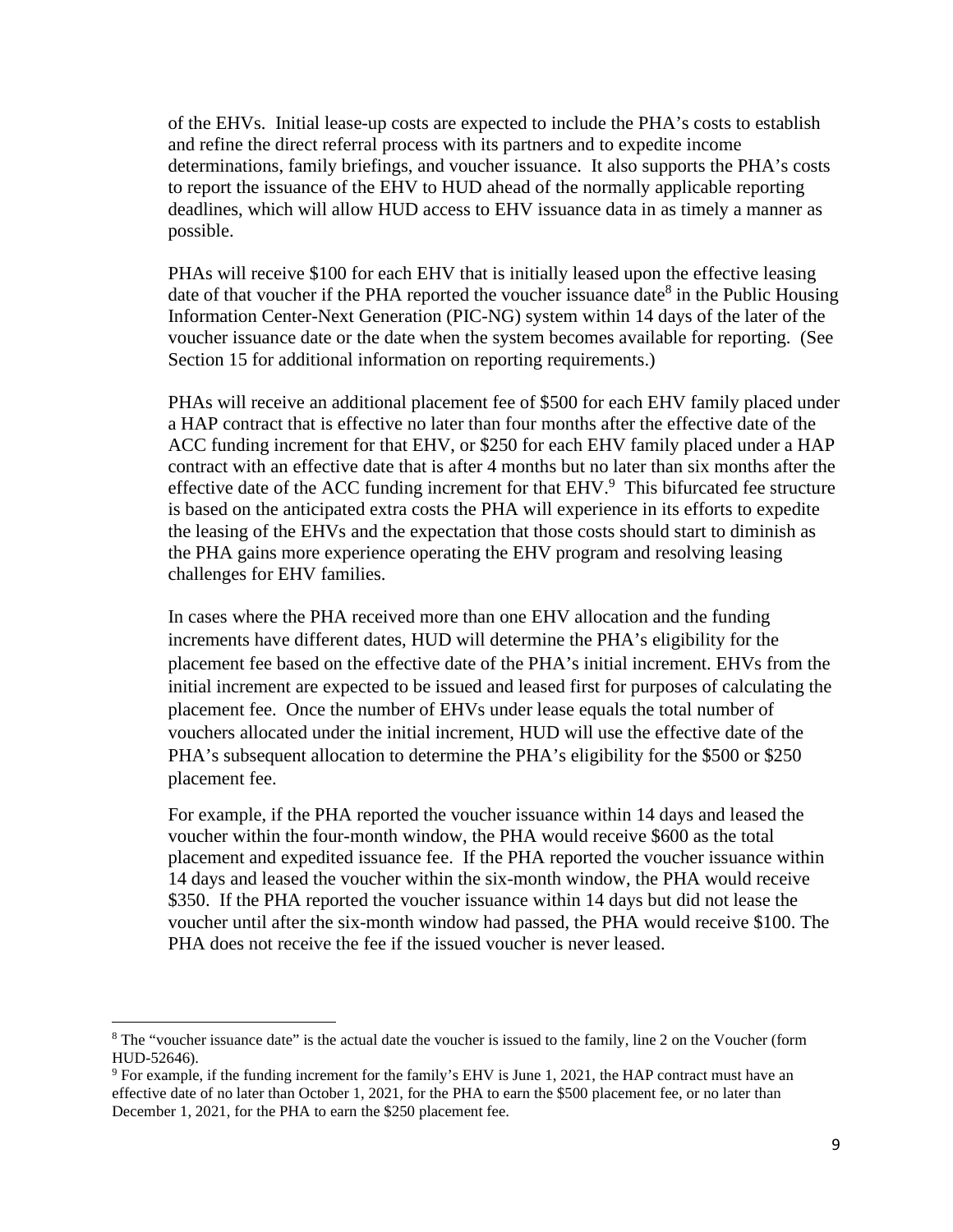of the EHVs. Initial lease-up costs are expected to include the PHA's costs to establish and refine the direct referral process with its partners and to expedite income determinations, family briefings, and voucher issuance. It also supports the PHA's costs to report the issuance of the EHV to HUD ahead of the normally applicable reporting deadlines, which will allow HUD access to EHV issuance data in as timely a manner as possible.

PHAs will receive \$100 for each EHV that is initially leased upon the effective leasing date of that voucher if the PHA reported the voucher issuance date<sup>8</sup> in the Public Housing Information Center-Next Generation (PIC-NG) system within 14 days of the later of the voucher issuance date or the date when the system becomes available for reporting. (See Section 15 for additional information on reporting requirements.)

PHAs will receive an additional placement fee of \$500 for each EHV family placed under a HAP contract that is effective no later than four months after the effective date of the ACC funding increment for that EHV, or \$250 for each EHV family placed under a HAP contract with an effective date that is after 4 months but no later than six months after the effective date of the ACC funding increment for that  $EHV.^9$  This bifurcated fee structure is based on the anticipated extra costs the PHA will experience in its efforts to expedite the leasing of the EHVs and the expectation that those costs should start to diminish as the PHA gains more experience operating the EHV program and resolving leasing challenges for EHV families.

In cases where the PHA received more than one EHV allocation and the funding increments have different dates, HUD will determine the PHA's eligibility for the placement fee based on the effective date of the PHA's initial increment. EHVs from the initial increment are expected to be issued and leased first for purposes of calculating the placement fee. Once the number of EHVs under lease equals the total number of vouchers allocated under the initial increment, HUD will use the effective date of the PHA's subsequent allocation to determine the PHA's eligibility for the \$500 or \$250 placement fee.

For example, if the PHA reported the voucher issuance within 14 days and leased the voucher within the four-month window, the PHA would receive \$600 as the total placement and expedited issuance fee. If the PHA reported the voucher issuance within 14 days and leased the voucher within the six-month window, the PHA would receive \$350. If the PHA reported the voucher issuance within 14 days but did not lease the voucher until after the six-month window had passed, the PHA would receive \$100. The PHA does not receive the fee if the issued voucher is never leased.

<sup>&</sup>lt;sup>8</sup> The "voucher issuance date" is the actual date the voucher is issued to the family, line 2 on the Voucher (form HUD-52646).

<sup>&</sup>lt;sup>9</sup> For example, if the funding increment for the family's EHV is June 1, 2021, the HAP contract must have an effective date of no later than October 1, 2021, for the PHA to earn the \$500 placement fee, or no later than December 1, 2021, for the PHA to earn the \$250 placement fee.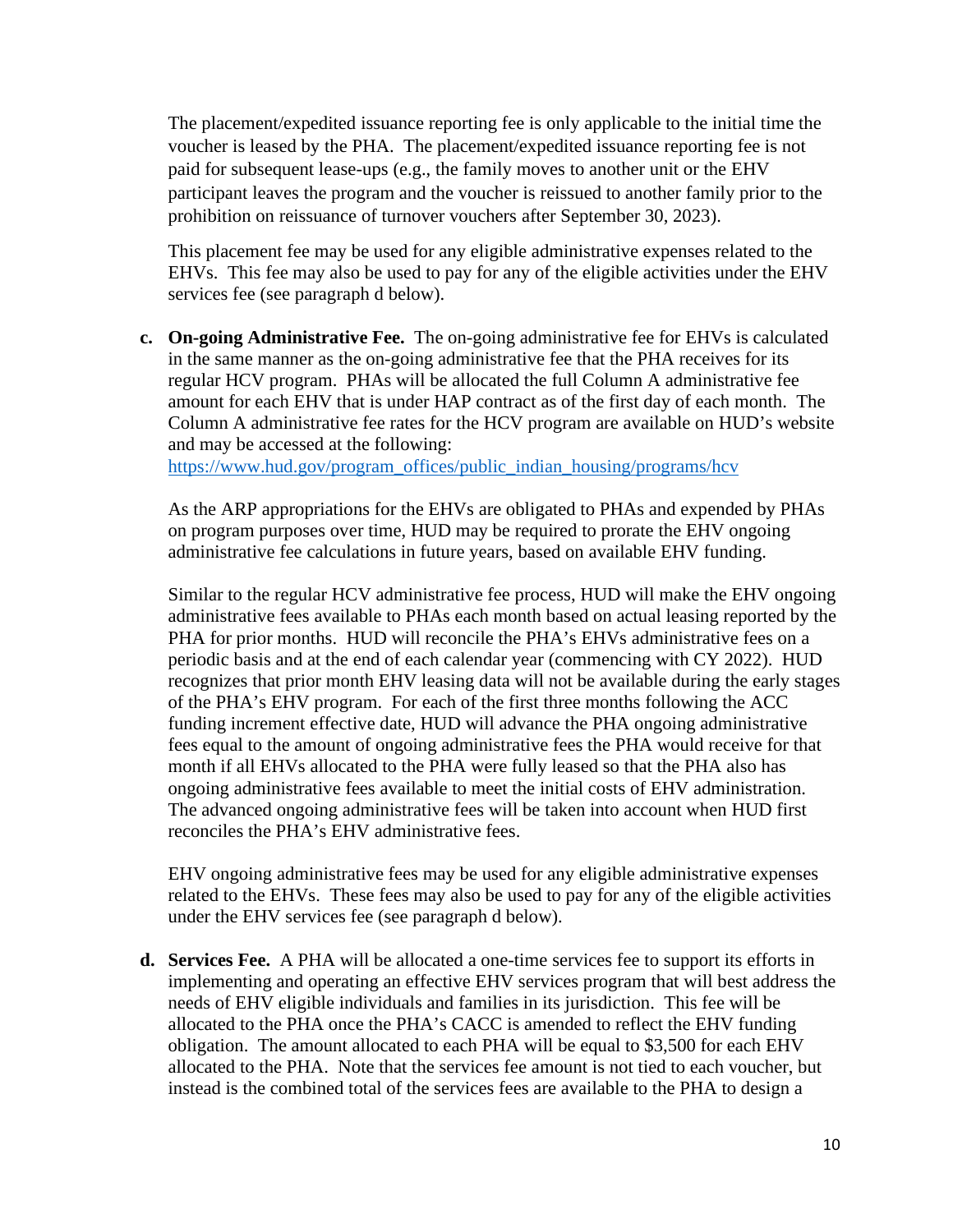The placement/expedited issuance reporting fee is only applicable to the initial time the voucher is leased by the PHA. The placement/expedited issuance reporting fee is not paid for subsequent lease-ups (e.g., the family moves to another unit or the EHV participant leaves the program and the voucher is reissued to another family prior to the prohibition on reissuance of turnover vouchers after September 30, 2023).

This placement fee may be used for any eligible administrative expenses related to the EHVs. This fee may also be used to pay for any of the eligible activities under the EHV services fee (see paragraph d below).

**c. On-going Administrative Fee.** The on-going administrative fee for EHVs is calculated in the same manner as the on-going administrative fee that the PHA receives for its regular HCV program. PHAs will be allocated the full Column A administrative fee amount for each EHV that is under HAP contract as of the first day of each month. The Column A administrative fee rates for the HCV program are available on HUD's website and may be accessed at the following:

[https://www.hud.gov/program\\_offices/public\\_indian\\_housing/programs/hcv](https://www.hud.gov/program_offices/public_indian_housing/programs/hcv)

As the ARP appropriations for the EHVs are obligated to PHAs and expended by PHAs on program purposes over time, HUD may be required to prorate the EHV ongoing administrative fee calculations in future years, based on available EHV funding.

Similar to the regular HCV administrative fee process, HUD will make the EHV ongoing administrative fees available to PHAs each month based on actual leasing reported by the PHA for prior months. HUD will reconcile the PHA's EHVs administrative fees on a periodic basis and at the end of each calendar year (commencing with CY 2022). HUD recognizes that prior month EHV leasing data will not be available during the early stages of the PHA's EHV program. For each of the first three months following the ACC funding increment effective date, HUD will advance the PHA ongoing administrative fees equal to the amount of ongoing administrative fees the PHA would receive for that month if all EHVs allocated to the PHA were fully leased so that the PHA also has ongoing administrative fees available to meet the initial costs of EHV administration. The advanced ongoing administrative fees will be taken into account when HUD first reconciles the PHA's EHV administrative fees.

EHV ongoing administrative fees may be used for any eligible administrative expenses related to the EHVs. These fees may also be used to pay for any of the eligible activities under the EHV services fee (see paragraph d below).

**d. Services Fee.** A PHA will be allocated a one-time services fee to support its efforts in implementing and operating an effective EHV services program that will best address the needs of EHV eligible individuals and families in its jurisdiction. This fee will be allocated to the PHA once the PHA's CACC is amended to reflect the EHV funding obligation. The amount allocated to each PHA will be equal to \$3,500 for each EHV allocated to the PHA. Note that the services fee amount is not tied to each voucher, but instead is the combined total of the services fees are available to the PHA to design a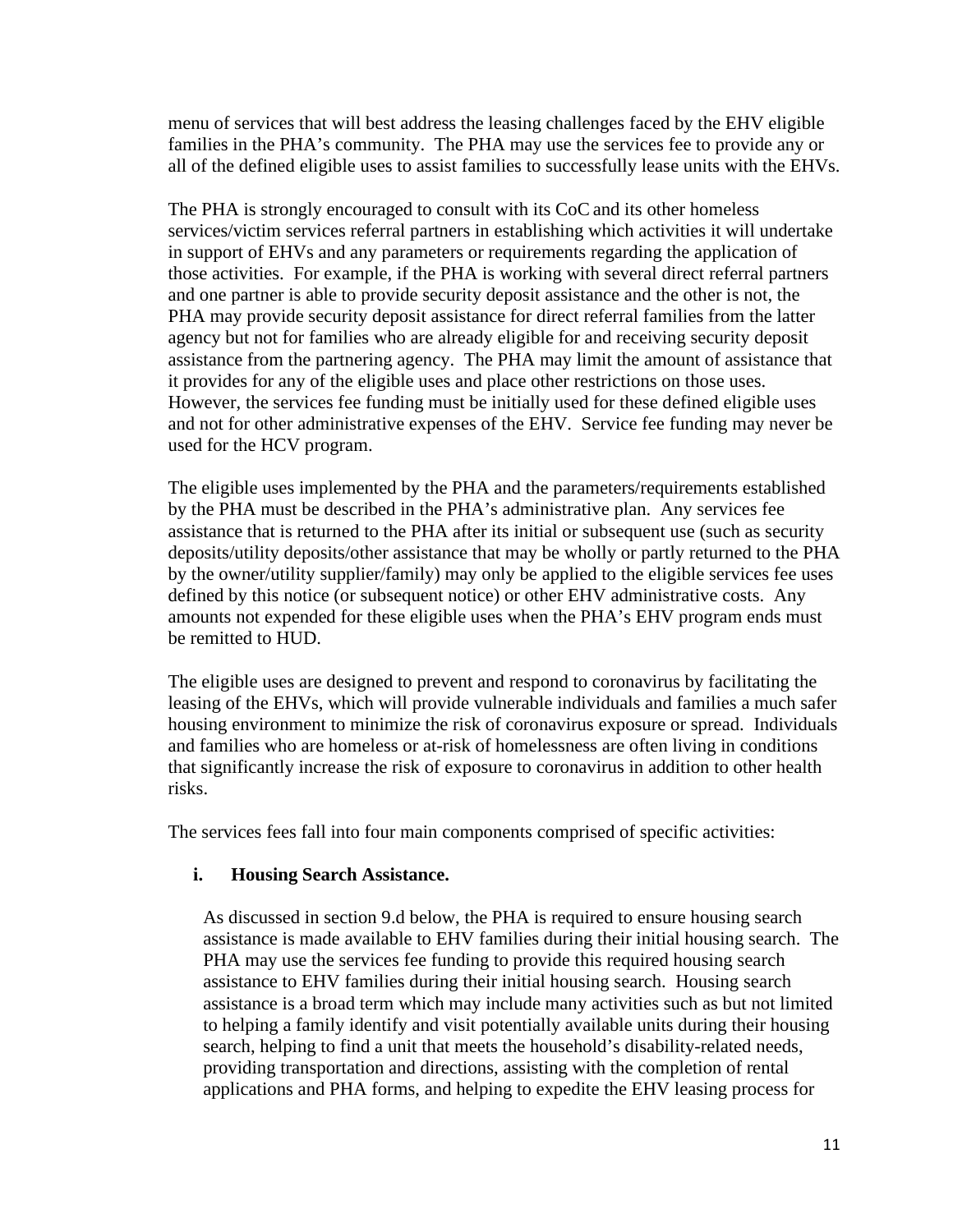menu of services that will best address the leasing challenges faced by the EHV eligible families in the PHA's community. The PHA may use the services fee to provide any or all of the defined eligible uses to assist families to successfully lease units with the EHVs.

The PHA is strongly encouraged to consult with its CoC and its other homeless services/victim services referral partners in establishing which activities it will undertake in support of EHVs and any parameters or requirements regarding the application of those activities. For example, if the PHA is working with several direct referral partners and one partner is able to provide security deposit assistance and the other is not, the PHA may provide security deposit assistance for direct referral families from the latter agency but not for families who are already eligible for and receiving security deposit assistance from the partnering agency. The PHA may limit the amount of assistance that it provides for any of the eligible uses and place other restrictions on those uses. However, the services fee funding must be initially used for these defined eligible uses and not for other administrative expenses of the EHV. Service fee funding may never be used for the HCV program.

The eligible uses implemented by the PHA and the parameters/requirements established by the PHA must be described in the PHA's administrative plan. Any services fee assistance that is returned to the PHA after its initial or subsequent use (such as security deposits/utility deposits/other assistance that may be wholly or partly returned to the PHA by the owner/utility supplier/family) may only be applied to the eligible services fee uses defined by this notice (or subsequent notice) or other EHV administrative costs. Any amounts not expended for these eligible uses when the PHA's EHV program ends must be remitted to HUD.

The eligible uses are designed to prevent and respond to coronavirus by facilitating the leasing of the EHVs, which will provide vulnerable individuals and families a much safer housing environment to minimize the risk of coronavirus exposure or spread. Individuals and families who are homeless or at-risk of homelessness are often living in conditions that significantly increase the risk of exposure to coronavirus in addition to other health risks.

The services fees fall into four main components comprised of specific activities:

#### **i. Housing Search Assistance.**

As discussed in section 9.d below, the PHA is required to ensure housing search assistance is made available to EHV families during their initial housing search.The PHA may use the services fee funding to provide this required housing search assistance to EHV families during their initial housing search. Housing search assistance is a broad term which may include many activities such as but not limited to helping a family identify and visit potentially available units during their housing search, helping to find a unit that meets the household's disability-related needs, providing transportation and directions, assisting with the completion of rental applications and PHA forms, and helping to expedite the EHV leasing process for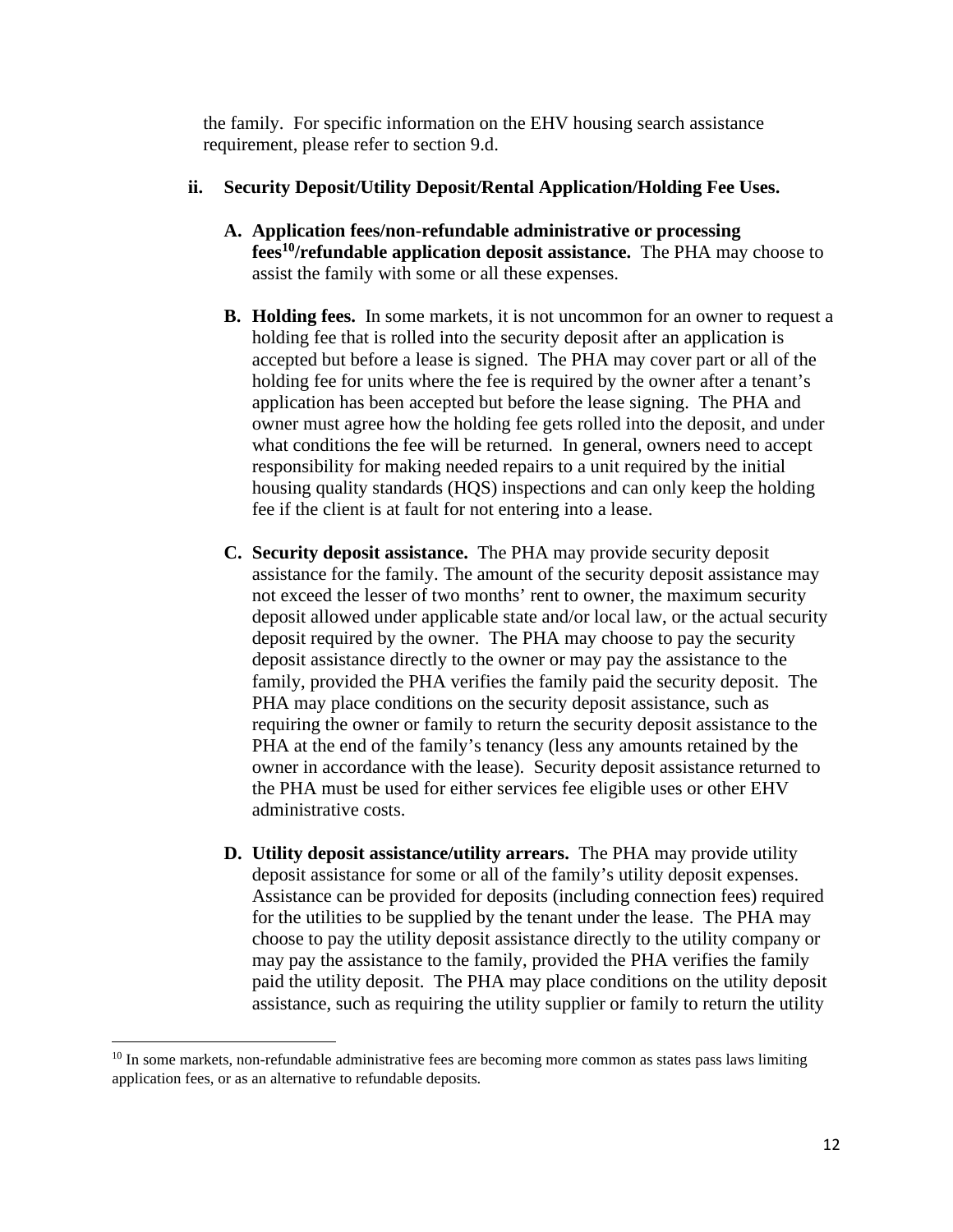the family. For specific information on the EHV housing search assistance requirement, please refer to section 9.d.

### **ii. Security Deposit/Utility Deposit/Rental Application/Holding Fee Uses.**

- **A. Application fees/non-refundable administrative or processing fees<sup>10</sup>/refundable application deposit assistance.** The PHA may choose to assist the family with some or all these expenses.
- **B. Holding fees.** In some markets, it is not uncommon for an owner to request a holding fee that is rolled into the security deposit after an application is accepted but before a lease is signed. The PHA may cover part or all of the holding fee for units where the fee is required by the owner after a tenant's application has been accepted but before the lease signing. The PHA and owner must agree how the holding fee gets rolled into the deposit, and under what conditions the fee will be returned. In general, owners need to accept responsibility for making needed repairs to a unit required by the initial housing quality standards (HQS) inspections and can only keep the holding fee if the client is at fault for not entering into a lease.
- **C. Security deposit assistance.** The PHA may provide security deposit assistance for the family. The amount of the security deposit assistance may not exceed the lesser of two months' rent to owner, the maximum security deposit allowed under applicable state and/or local law, or the actual security deposit required by the owner. The PHA may choose to pay the security deposit assistance directly to the owner or may pay the assistance to the family, provided the PHA verifies the family paid the security deposit. The PHA may place conditions on the security deposit assistance, such as requiring the owner or family to return the security deposit assistance to the PHA at the end of the family's tenancy (less any amounts retained by the owner in accordance with the lease). Security deposit assistance returned to the PHA must be used for either services fee eligible uses or other EHV administrative costs.
- **D. Utility deposit assistance/utility arrears.** The PHA may provide utility deposit assistance for some or all of the family's utility deposit expenses. Assistance can be provided for deposits (including connection fees) required for the utilities to be supplied by the tenant under the lease. The PHA may choose to pay the utility deposit assistance directly to the utility company or may pay the assistance to the family, provided the PHA verifies the family paid the utility deposit. The PHA may place conditions on the utility deposit assistance, such as requiring the utility supplier or family to return the utility

<sup>&</sup>lt;sup>10</sup> In some markets, non-refundable administrative fees are becoming more common as states pass laws limiting application fees, or as an alternative to refundable deposits.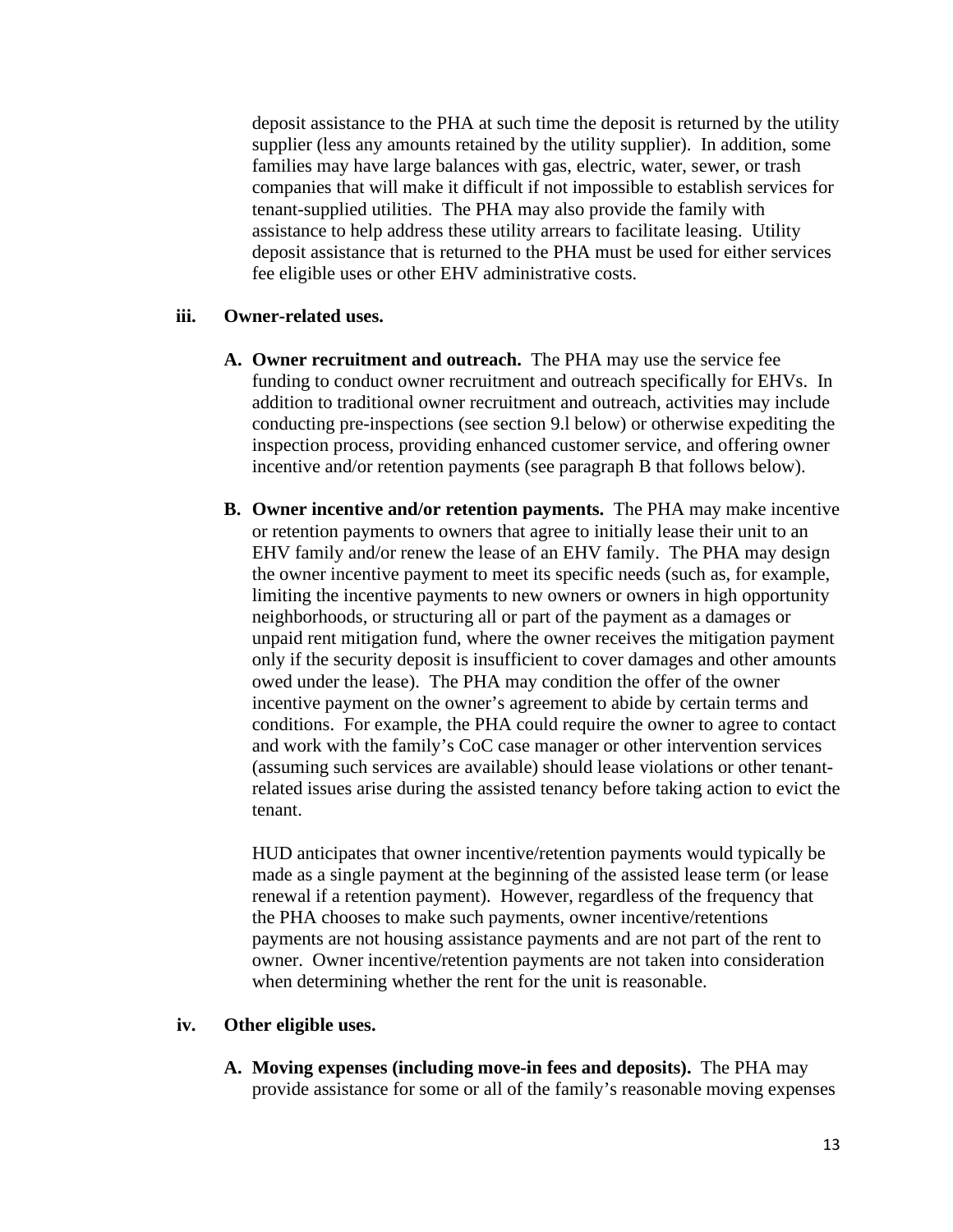deposit assistance to the PHA at such time the deposit is returned by the utility supplier (less any amounts retained by the utility supplier). In addition, some families may have large balances with gas, electric, water, sewer, or trash companies that will make it difficult if not impossible to establish services for tenant-supplied utilities. The PHA may also provide the family with assistance to help address these utility arrears to facilitate leasing. Utility deposit assistance that is returned to the PHA must be used for either services fee eligible uses or other EHV administrative costs.

#### **iii. Owner-related uses.**

- **A. Owner recruitment and outreach.** The PHA may use the service fee funding to conduct owner recruitment and outreach specifically for EHVs. In addition to traditional owner recruitment and outreach, activities may include conducting pre-inspections (see section 9.l below) or otherwise expediting the inspection process, providing enhanced customer service, and offering owner incentive and/or retention payments (see paragraph B that follows below).
- **B. Owner incentive and/or retention payments.** The PHA may make incentive or retention payments to owners that agree to initially lease their unit to an EHV family and/or renew the lease of an EHV family. The PHA may design the owner incentive payment to meet its specific needs (such as, for example, limiting the incentive payments to new owners or owners in high opportunity neighborhoods, or structuring all or part of the payment as a damages or unpaid rent mitigation fund, where the owner receives the mitigation payment only if the security deposit is insufficient to cover damages and other amounts owed under the lease). The PHA may condition the offer of the owner incentive payment on the owner's agreement to abide by certain terms and conditions. For example, the PHA could require the owner to agree to contact and work with the family's CoC case manager or other intervention services (assuming such services are available) should lease violations or other tenantrelated issues arise during the assisted tenancy before taking action to evict the tenant.

HUD anticipates that owner incentive/retention payments would typically be made as a single payment at the beginning of the assisted lease term (or lease renewal if a retention payment). However, regardless of the frequency that the PHA chooses to make such payments, owner incentive/retentions payments are not housing assistance payments and are not part of the rent to owner. Owner incentive/retention payments are not taken into consideration when determining whether the rent for the unit is reasonable.

#### **iv. Other eligible uses.**

**A. Moving expenses (including move-in fees and deposits).** The PHA may provide assistance for some or all of the family's reasonable moving expenses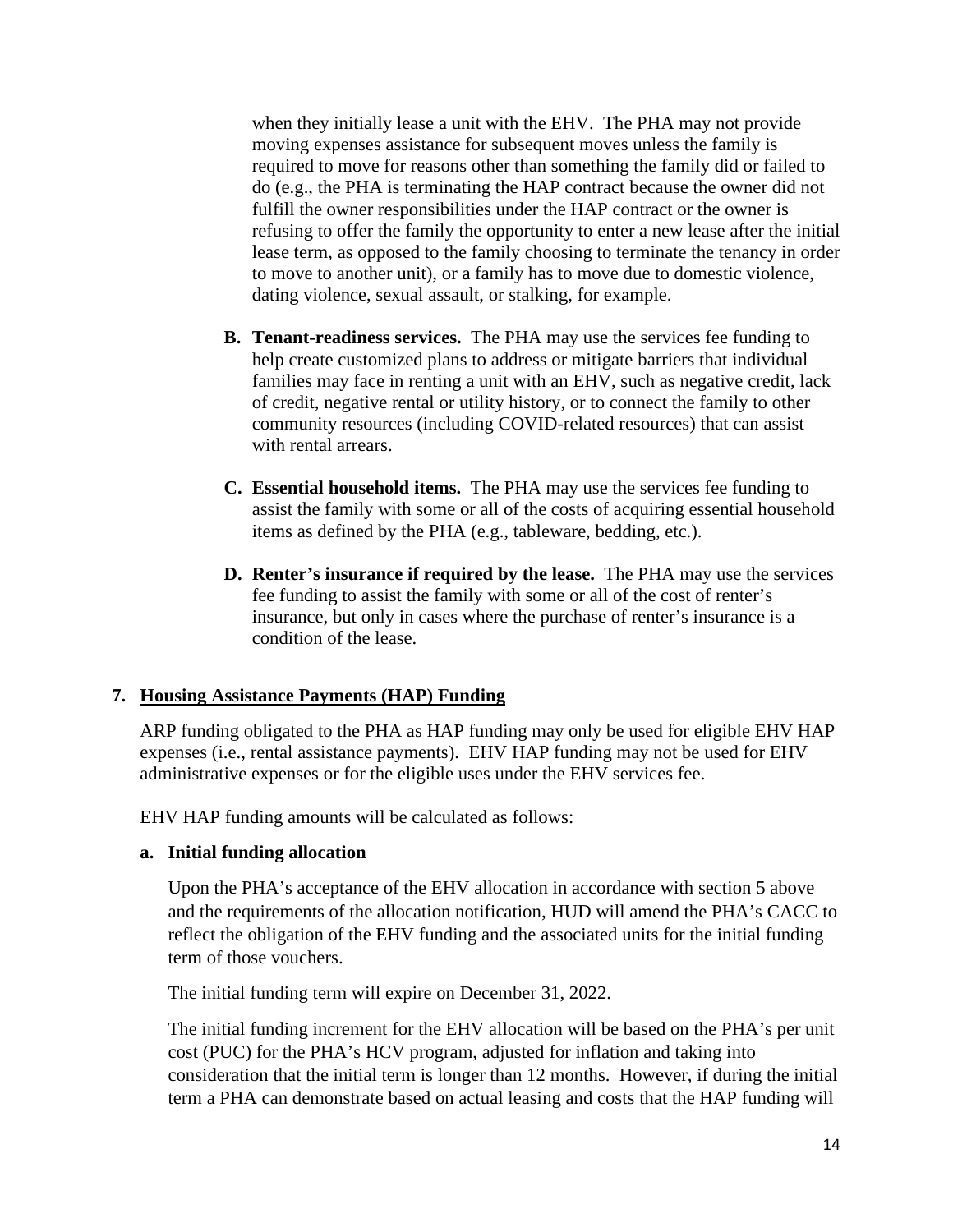when they initially lease a unit with the EHV. The PHA may not provide moving expenses assistance for subsequent moves unless the family is required to move for reasons other than something the family did or failed to do (e.g., the PHA is terminating the HAP contract because the owner did not fulfill the owner responsibilities under the HAP contract or the owner is refusing to offer the family the opportunity to enter a new lease after the initial lease term, as opposed to the family choosing to terminate the tenancy in order to move to another unit), or a family has to move due to domestic violence, dating violence, sexual assault, or stalking, for example.

- **B. Tenant-readiness services.** The PHA may use the services fee funding to help create customized plans to address or mitigate barriers that individual families may face in renting a unit with an EHV, such as negative credit, lack of credit, negative rental or utility history, or to connect the family to other community resources (including COVID-related resources) that can assist with rental arrears.
- **C. Essential household items.** The PHA may use the services fee funding to assist the family with some or all of the costs of acquiring essential household items as defined by the PHA (e.g., tableware, bedding, etc.).
- **D. Renter's insurance if required by the lease.** The PHA may use the services fee funding to assist the family with some or all of the cost of renter's insurance, but only in cases where the purchase of renter's insurance is a condition of the lease.

### **7. Housing Assistance Payments (HAP) Funding**

ARP funding obligated to the PHA as HAP funding may only be used for eligible EHV HAP expenses (i.e., rental assistance payments). EHV HAP funding may not be used for EHV administrative expenses or for the eligible uses under the EHV services fee.

EHV HAP funding amounts will be calculated as follows:

### **a. Initial funding allocation**

Upon the PHA's acceptance of the EHV allocation in accordance with section 5 above and the requirements of the allocation notification, HUD will amend the PHA's CACC to reflect the obligation of the EHV funding and the associated units for the initial funding term of those vouchers.

The initial funding term will expire on December 31, 2022.

The initial funding increment for the EHV allocation will be based on the PHA's per unit cost (PUC) for the PHA's HCV program, adjusted for inflation and taking into consideration that the initial term is longer than 12 months. However, if during the initial term a PHA can demonstrate based on actual leasing and costs that the HAP funding will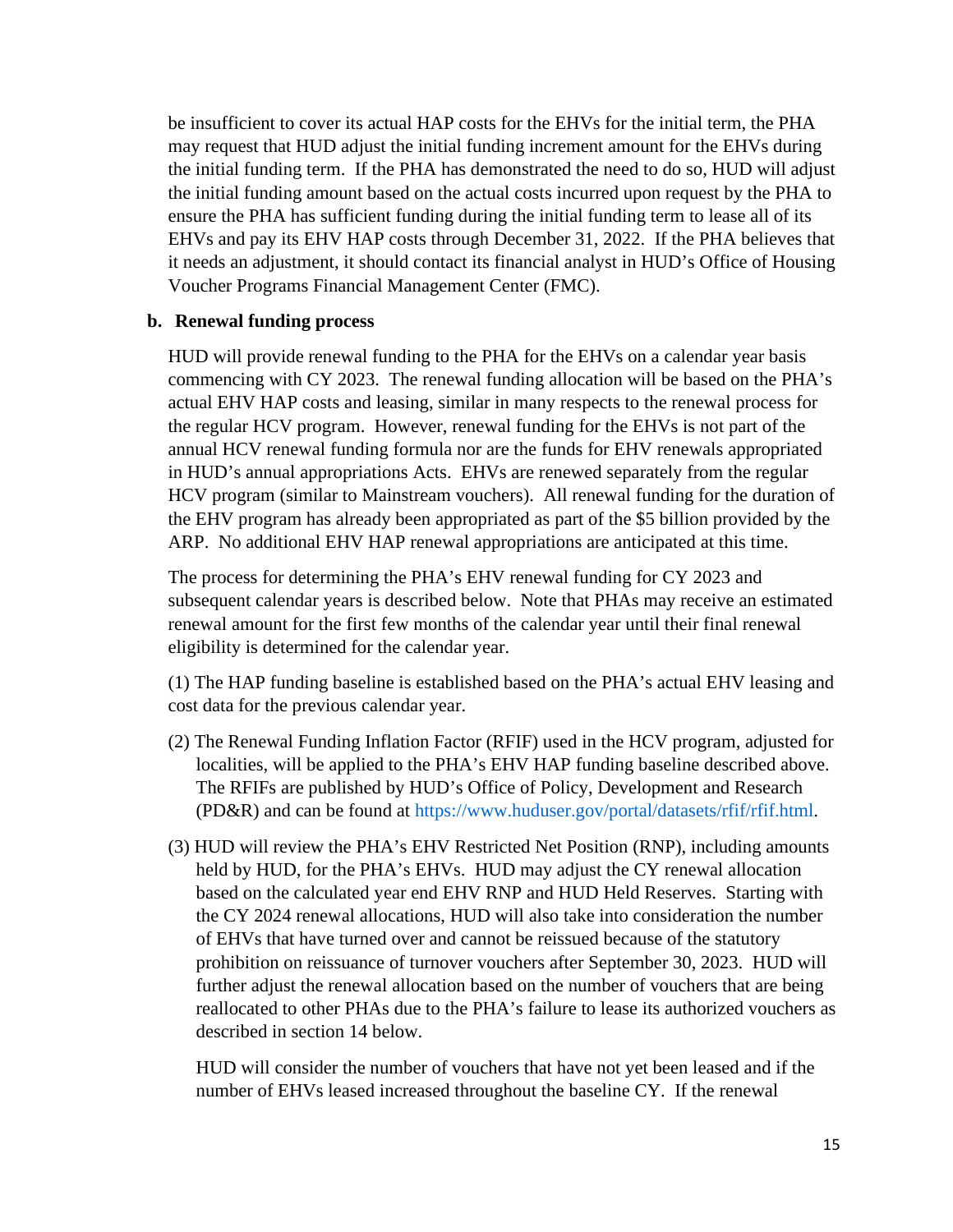be insufficient to cover its actual HAP costs for the EHVs for the initial term, the PHA may request that HUD adjust the initial funding increment amount for the EHVs during the initial funding term. If the PHA has demonstrated the need to do so, HUD will adjust the initial funding amount based on the actual costs incurred upon request by the PHA to ensure the PHA has sufficient funding during the initial funding term to lease all of its EHVs and pay its EHV HAP costs through December 31, 2022. If the PHA believes that it needs an adjustment, it should contact its financial analyst in HUD's Office of Housing Voucher Programs Financial Management Center (FMC).

#### **b. Renewal funding process**

HUD will provide renewal funding to the PHA for the EHVs on a calendar year basis commencing with CY 2023. The renewal funding allocation will be based on the PHA's actual EHV HAP costs and leasing, similar in many respects to the renewal process for the regular HCV program. However, renewal funding for the EHVs is not part of the annual HCV renewal funding formula nor are the funds for EHV renewals appropriated in HUD's annual appropriations Acts. EHVs are renewed separately from the regular HCV program (similar to Mainstream vouchers). All renewal funding for the duration of the EHV program has already been appropriated as part of the \$5 billion provided by the ARP. No additional EHV HAP renewal appropriations are anticipated at this time.

The process for determining the PHA's EHV renewal funding for CY 2023 and subsequent calendar years is described below. Note that PHAs may receive an estimated renewal amount for the first few months of the calendar year until their final renewal eligibility is determined for the calendar year.

(1) The HAP funding baseline is established based on the PHA's actual EHV leasing and cost data for the previous calendar year.

- (2) The Renewal Funding Inflation Factor (RFIF) used in the HCV program, adjusted for localities, will be applied to the PHA's EHV HAP funding baseline described above. The RFIFs are published by HUD's Office of Policy, Development and Research (PD&R) and can be found at [https://www.huduser.gov/portal/datasets/rfif/rfif.html.](https://www.huduser.gov/portal/datasets/rfif/rfif.html)
- (3) HUD will review the PHA's EHV Restricted Net Position (RNP), including amounts held by HUD, for the PHA's EHVs. HUD may adjust the CY renewal allocation based on the calculated year end EHV RNP and HUD Held Reserves. Starting with the CY 2024 renewal allocations, HUD will also take into consideration the number of EHVs that have turned over and cannot be reissued because of the statutory prohibition on reissuance of turnover vouchers after September 30, 2023. HUD will further adjust the renewal allocation based on the number of vouchers that are being reallocated to other PHAs due to the PHA's failure to lease its authorized vouchers as described in section 14 below.

HUD will consider the number of vouchers that have not yet been leased and if the number of EHVs leased increased throughout the baseline CY. If the renewal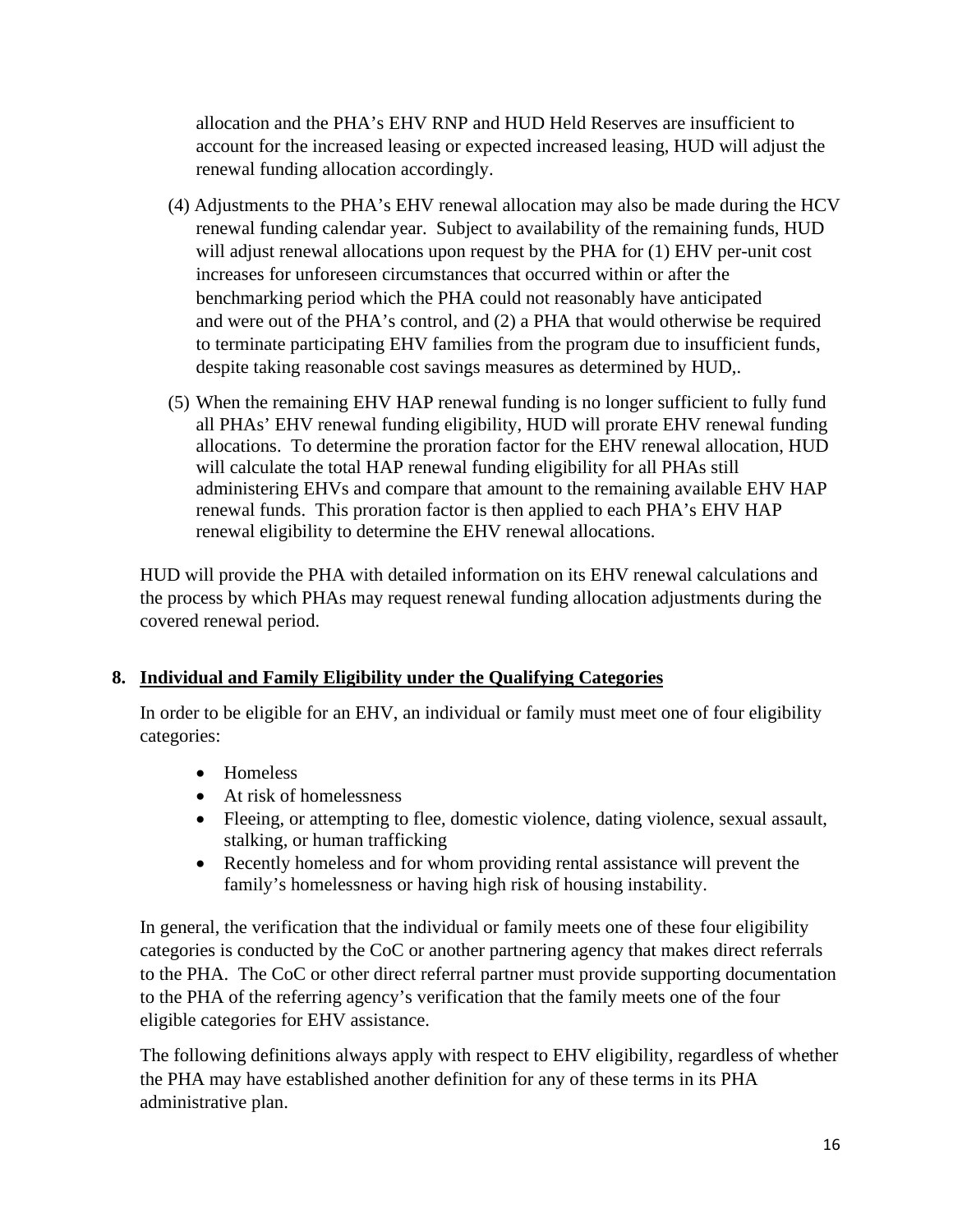allocation and the PHA's EHV RNP and HUD Held Reserves are insufficient to account for the increased leasing or expected increased leasing, HUD will adjust the renewal funding allocation accordingly.

- (4) Adjustments to the PHA's EHV renewal allocation may also be made during the HCV renewal funding calendar year. Subject to availability of the remaining funds, HUD will adjust renewal allocations upon request by the PHA for (1) EHV per-unit cost increases for unforeseen circumstances that occurred within or after the benchmarking period which the PHA could not reasonably have anticipated and were out of the PHA's control, and (2) a PHA that would otherwise be required to terminate participating EHV families from the program due to insufficient funds, despite taking reasonable cost savings measures as determined by HUD,.
- (5) When the remaining EHV HAP renewal funding is no longer sufficient to fully fund all PHAs' EHV renewal funding eligibility, HUD will prorate EHV renewal funding allocations. To determine the proration factor for the EHV renewal allocation, HUD will calculate the total HAP renewal funding eligibility for all PHAs still administering EHVs and compare that amount to the remaining available EHV HAP renewal funds. This proration factor is then applied to each PHA's EHV HAP renewal eligibility to determine the EHV renewal allocations.

HUD will provide the PHA with detailed information on its EHV renewal calculations and the process by which PHAs may request renewal funding allocation adjustments during the covered renewal period.

### **8. Individual and Family Eligibility under the Qualifying Categories**

In order to be eligible for an EHV, an individual or family must meet one of four eligibility categories:

- Homeless
- At risk of homelessness
- Fleeing, or attempting to flee, domestic violence, dating violence, sexual assault, stalking, or human trafficking
- Recently homeless and for whom providing rental assistance will prevent the family's homelessness or having high risk of housing instability.

In general, the verification that the individual or family meets one of these four eligibility categories is conducted by the CoC or another partnering agency that makes direct referrals to the PHA. The CoC or other direct referral partner must provide supporting documentation to the PHA of the referring agency's verification that the family meets one of the four eligible categories for EHV assistance.

The following definitions always apply with respect to EHV eligibility, regardless of whether the PHA may have established another definition for any of these terms in its PHA administrative plan.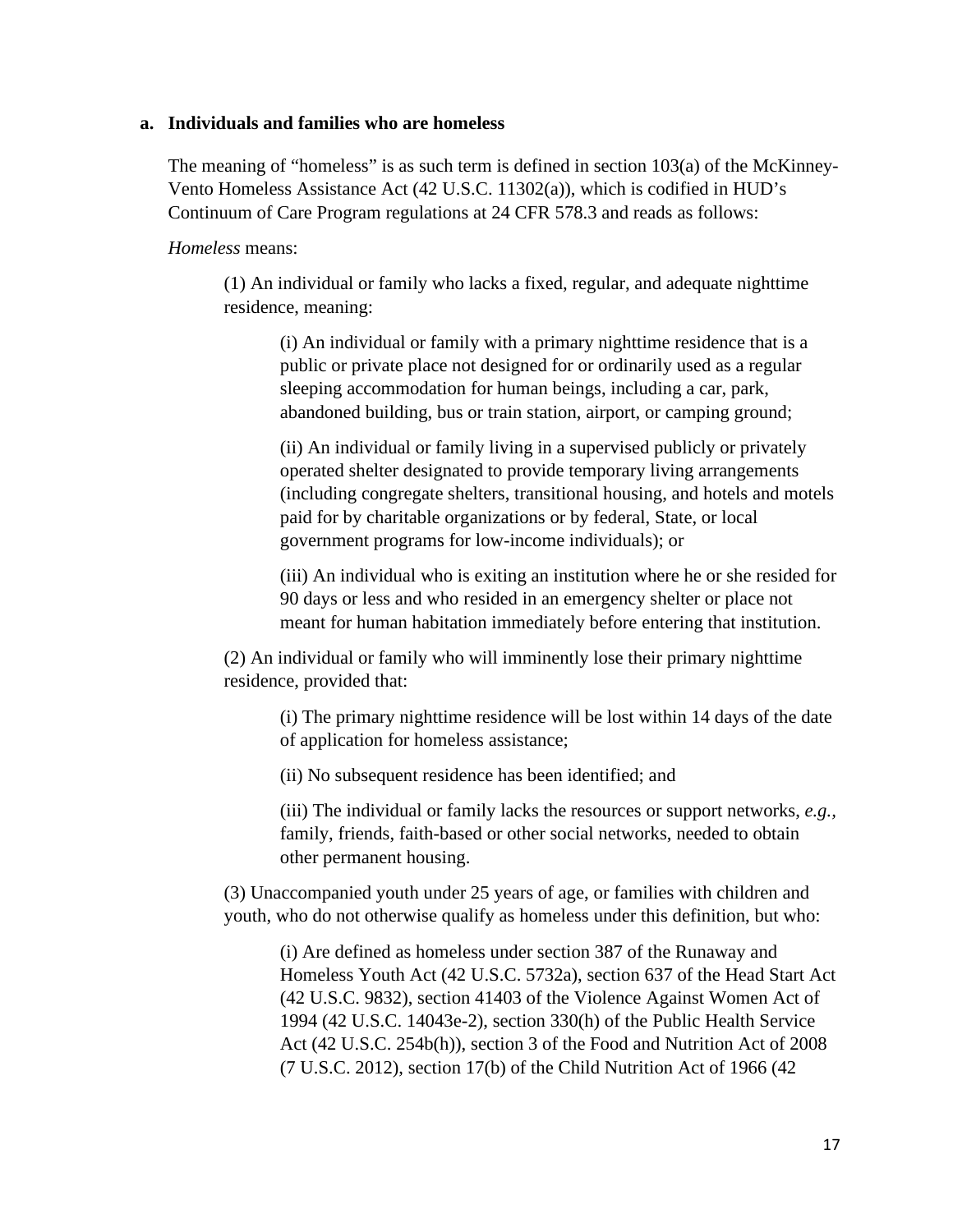#### **a. Individuals and families who are homeless**

The meaning of "homeless" is as such term is defined in section 103(a) of the McKinney-Vento Homeless Assistance Act (42 U.S.C. 11302(a)), which is codified in HUD's Continuum of Care Program regulations at 24 CFR 578.3 and reads as follows:

*Homeless* means:

(1) An individual or family who lacks a fixed, regular, and adequate nighttime residence, meaning:

(i) An individual or family with a primary nighttime residence that is a public or private place not designed for or ordinarily used as a regular sleeping accommodation for human beings, including a car, park, abandoned building, bus or train station, airport, or camping ground;

(ii) An individual or family living in a supervised publicly or privately operated shelter designated to provide temporary living arrangements (including congregate shelters, transitional housing, and hotels and motels paid for by charitable organizations or by federal, State, or local government programs for low-income individuals); or

(iii) An individual who is exiting an institution where he or she resided for 90 days or less and who resided in an emergency shelter or place not meant for human habitation immediately before entering that institution.

(2) An individual or family who will imminently lose their primary nighttime residence, provided that:

(i) The primary nighttime residence will be lost within 14 days of the date of application for homeless assistance;

(ii) No subsequent residence has been identified; and

(iii) The individual or family lacks the resources or support networks, *e.g.,* family, friends, faith-based or other social networks, needed to obtain other permanent housing.

(3) Unaccompanied youth under 25 years of age, or families with children and youth, who do not otherwise qualify as homeless under this definition, but who:

(i) Are defined as homeless under section 387 of the Runaway and Homeless Youth Act (42 U.S.C. 5732a), section 637 of the Head Start Act (42 U.S.C. 9832), section 41403 of the Violence Against Women Act of 1994 (42 U.S.C. 14043e-2), section 330(h) of the Public Health Service Act (42 U.S.C. 254b(h)), section 3 of the Food and Nutrition Act of 2008 (7 U.S.C. 2012), section 17(b) of the Child Nutrition Act of 1966 (42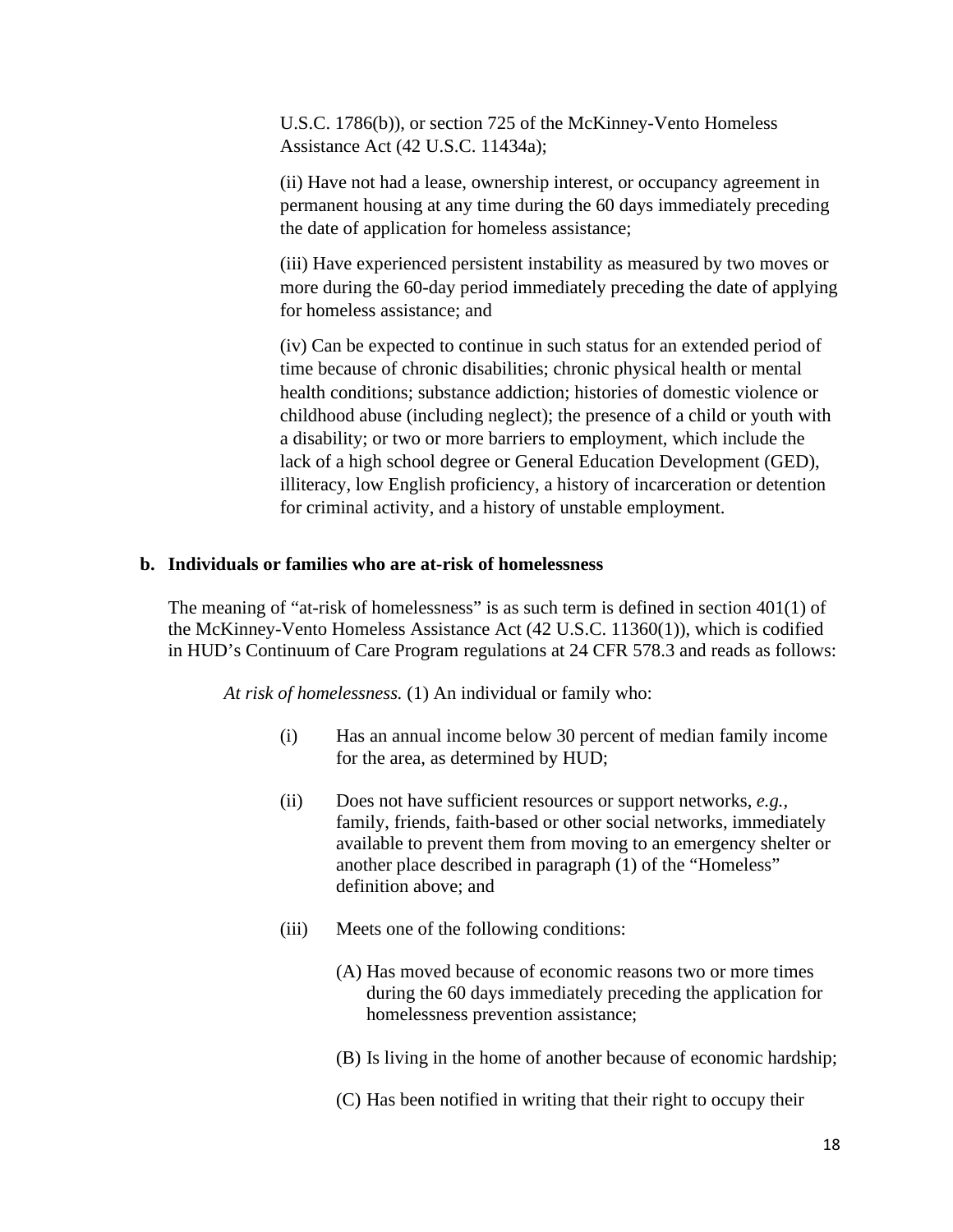U.S.C. 1786(b)), or section 725 of the McKinney-Vento Homeless Assistance Act (42 U.S.C. 11434a);

(ii) Have not had a lease, ownership interest, or occupancy agreement in permanent housing at any time during the 60 days immediately preceding the date of application for homeless assistance;

(iii) Have experienced persistent instability as measured by two moves or more during the 60-day period immediately preceding the date of applying for homeless assistance; and

(iv) Can be expected to continue in such status for an extended period of time because of chronic disabilities; chronic physical health or mental health conditions; substance addiction; histories of domestic violence or childhood abuse (including neglect); the presence of a child or youth with a disability; or two or more barriers to employment, which include the lack of a high school degree or General Education Development (GED), illiteracy, low English proficiency, a history of incarceration or detention for criminal activity, and a history of unstable employment.

### **b. Individuals or families who are at-risk of homelessness**

The meaning of "at-risk of homelessness" is as such term is defined in section 401(1) of the McKinney-Vento Homeless Assistance Act (42 U.S.C. 11360(1)), which is codified in HUD's Continuum of Care Program regulations at 24 CFR 578.3 and reads as follows:

*At risk of homelessness.* (1) An individual or family who:

- (i) Has an annual income below 30 percent of median family income for the area, as determined by HUD;
- (ii) Does not have sufficient resources or support networks, *e.g.,* family, friends, faith-based or other social networks, immediately available to prevent them from moving to an emergency shelter or another place described in paragraph (1) of the "Homeless" definition above; and
- (iii) Meets one of the following conditions:
	- (A) Has moved because of economic reasons two or more times during the 60 days immediately preceding the application for homelessness prevention assistance;
	- (B) Is living in the home of another because of economic hardship;
	- (C) Has been notified in writing that their right to occupy their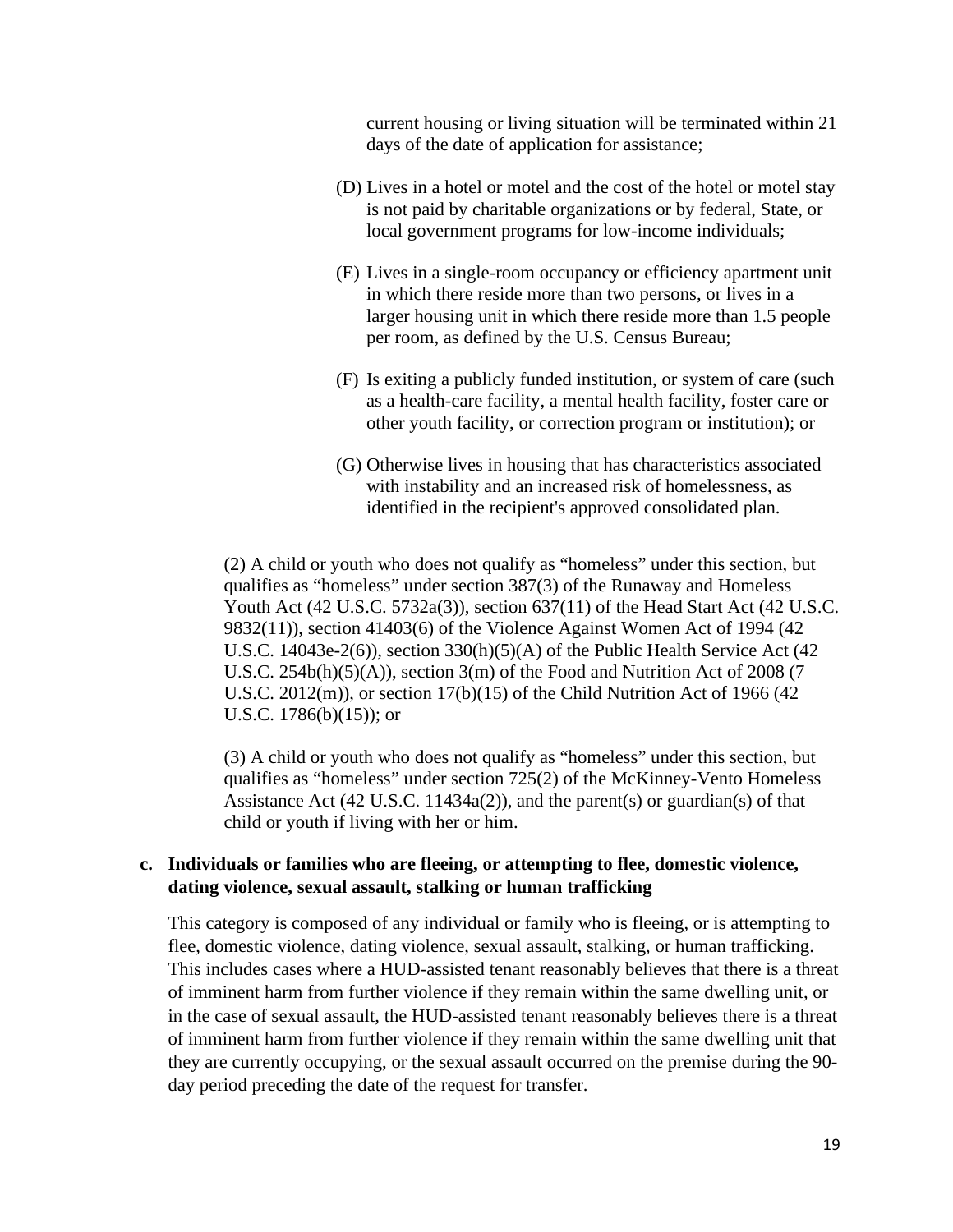current housing or living situation will be terminated within 21 days of the date of application for assistance;

- (D) Lives in a hotel or motel and the cost of the hotel or motel stay is not paid by charitable organizations or by federal, State, or local government programs for low-income individuals;
- (E) Lives in a single-room occupancy or efficiency apartment unit in which there reside more than two persons, or lives in a larger housing unit in which there reside more than 1.5 people per room, as defined by the U.S. Census Bureau;
- (F) Is exiting a publicly funded institution, or system of care (such as a health-care facility, a mental health facility, foster care or other youth facility, or correction program or institution); or
- (G) Otherwise lives in housing that has characteristics associated with instability and an increased risk of homelessness, as identified in the recipient's approved consolidated plan.

(2) A child or youth who does not qualify as "homeless" under this section, but qualifies as "homeless" under section 387(3) of the Runaway and Homeless Youth Act (42 U.S.C. 5732a(3)), section 637(11) of the Head Start Act (42 U.S.C. 9832(11)), section 41403(6) of the Violence Against Women Act of 1994 (42 U.S.C. 14043e-2(6)), section 330(h)(5)(A) of the Public Health Service Act (42 U.S.C. 254b(h)(5)(A)), section 3(m) of the Food and Nutrition Act of 2008 (7 U.S.C. 2012(m)), or section 17(b)(15) of the Child Nutrition Act of 1966 (42 U.S.C. 1786(b)(15)); or

(3) A child or youth who does not qualify as "homeless" under this section, but qualifies as "homeless" under section 725(2) of the McKinney-Vento Homeless Assistance Act (42 U.S.C. 11434a(2)), and the parent(s) or guardian(s) of that child or youth if living with her or him.

#### **c. Individuals or families who are fleeing, or attempting to flee, domestic violence, dating violence, sexual assault, stalking or human trafficking**

This category is composed of any individual or family who is fleeing, or is attempting to flee, domestic violence, dating violence, sexual assault, stalking, or human trafficking. This includes cases where a HUD-assisted tenant reasonably believes that there is a threat of imminent harm from further violence if they remain within the same dwelling unit, or in the case of sexual assault, the HUD-assisted tenant reasonably believes there is a threat of imminent harm from further violence if they remain within the same dwelling unit that they are currently occupying, or the sexual assault occurred on the premise during the 90 day period preceding the date of the request for transfer.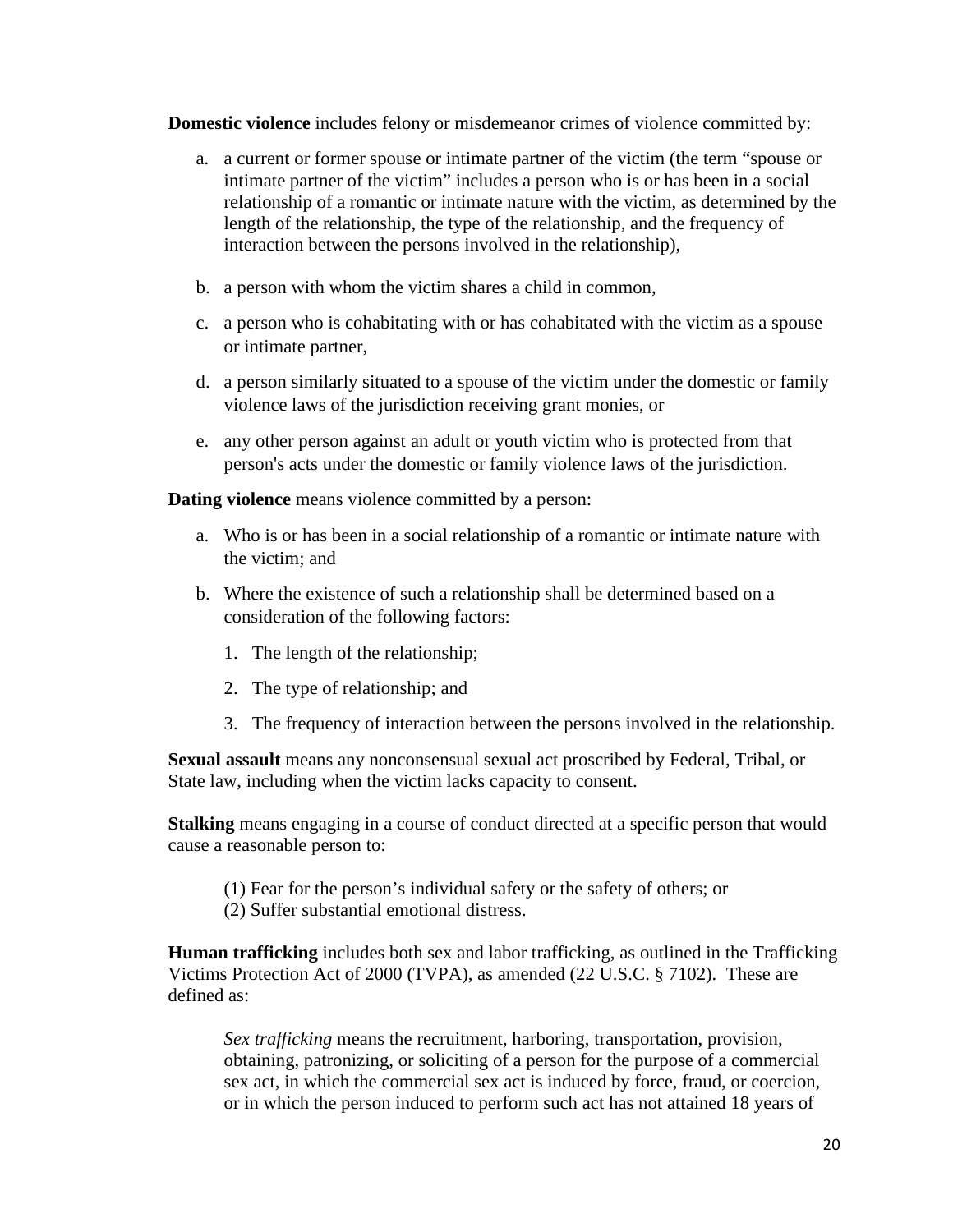**Domestic violence** includes felony or misdemeanor crimes of violence committed by:

- a. a current or former spouse or intimate partner of the victim (the term "spouse or intimate partner of the victim" includes a person who is or has been in a social relationship of a romantic or intimate nature with the victim, as determined by the length of the relationship, the type of the relationship, and the frequency of interaction between the persons involved in the relationship),
- b. a person with whom the victim shares a child in common,
- c. a person who is cohabitating with or has cohabitated with the victim as a spouse or intimate partner,
- d. a person similarly situated to a spouse of the victim under the domestic or family violence laws of the jurisdiction receiving grant monies, or
- e. any other person against an adult or youth victim who is protected from that person's acts under the domestic or family violence laws of the jurisdiction.

**Dating violence** means violence committed by a person:

- a. Who is or has been in a social relationship of a romantic or intimate nature with the victim; and
- b. Where the existence of such a relationship shall be determined based on a consideration of the following factors:
	- 1. The length of the relationship;
	- 2. The type of relationship; and
	- 3. The frequency of interaction between the persons involved in the relationship.

**Sexual assault** means any nonconsensual sexual act proscribed by Federal, Tribal, or State law, including when the victim lacks capacity to consent.

**Stalking** means engaging in a course of conduct directed at a specific person that would cause a reasonable person to:

- (1) Fear for the person's individual safety or the safety of others; or
- (2) Suffer substantial emotional distress.

**Human trafficking** includes both sex and labor trafficking, as outlined in the Trafficking Victims Protection Act of 2000 (TVPA), as amended (22 U.S.C. § 7102). These are defined as:

*Sex trafficking* means the recruitment, harboring, transportation, provision, obtaining, patronizing, or soliciting of a person for the purpose of a commercial sex act, in which the commercial sex act is induced by force, fraud, or coercion, or in which the person induced to perform such act has not attained 18 years of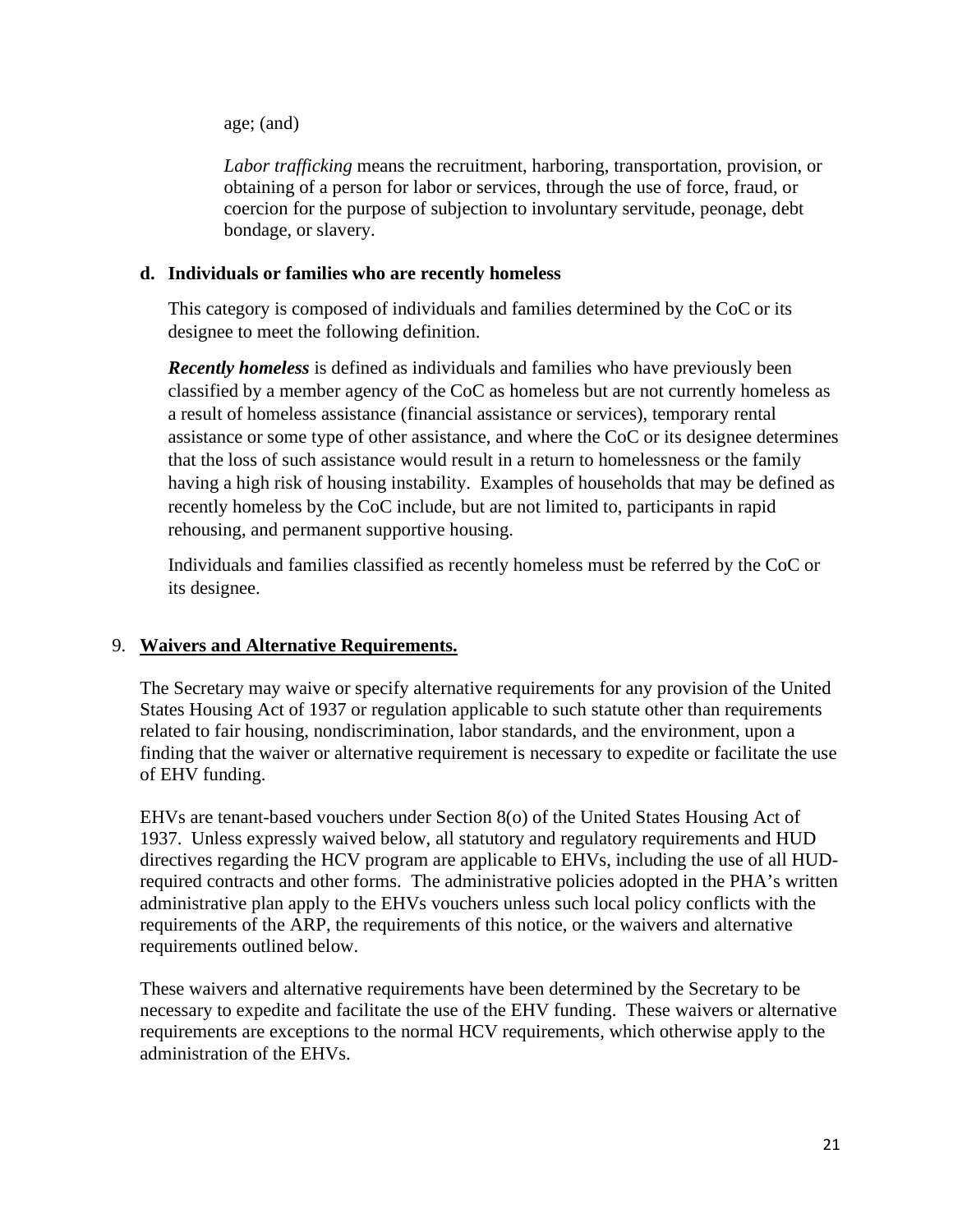age; (and)

*Labor trafficking* means the recruitment, harboring, transportation, provision, or obtaining of a person for labor or services, through the use of force, fraud, or coercion for the purpose of subjection to involuntary servitude, peonage, debt bondage, or slavery.

### **d. Individuals or families who are recently homeless**

This category is composed of individuals and families determined by the CoC or its designee to meet the following definition.

*Recently homeless* is defined as individuals and families who have previously been classified by a member agency of the CoC as homeless but are not currently homeless as a result of homeless assistance (financial assistance or services), temporary rental assistance or some type of other assistance, and where the CoC or its designee determines that the loss of such assistance would result in a return to homelessness or the family having a high risk of housing instability. Examples of households that may be defined as recently homeless by the CoC include, but are not limited to, participants in rapid rehousing, and permanent supportive housing.

Individuals and families classified as recently homeless must be referred by the CoC or its designee.

### 9. **Waivers and Alternative Requirements.**

The Secretary may waive or specify alternative requirements for any provision of the United States Housing Act of 1937 or regulation applicable to such statute other than requirements related to fair housing, nondiscrimination, labor standards, and the environment, upon a finding that the waiver or alternative requirement is necessary to expedite or facilitate the use of EHV funding.

EHVs are tenant-based vouchers under Section 8(o) of the United States Housing Act of 1937. Unless expressly waived below, all statutory and regulatory requirements and HUD directives regarding the HCV program are applicable to EHVs, including the use of all HUDrequired contracts and other forms. The administrative policies adopted in the PHA's written administrative plan apply to the EHVs vouchers unless such local policy conflicts with the requirements of the ARP, the requirements of this notice, or the waivers and alternative requirements outlined below.

These waivers and alternative requirements have been determined by the Secretary to be necessary to expedite and facilitate the use of the EHV funding. These waivers or alternative requirements are exceptions to the normal HCV requirements, which otherwise apply to the administration of the EHVs.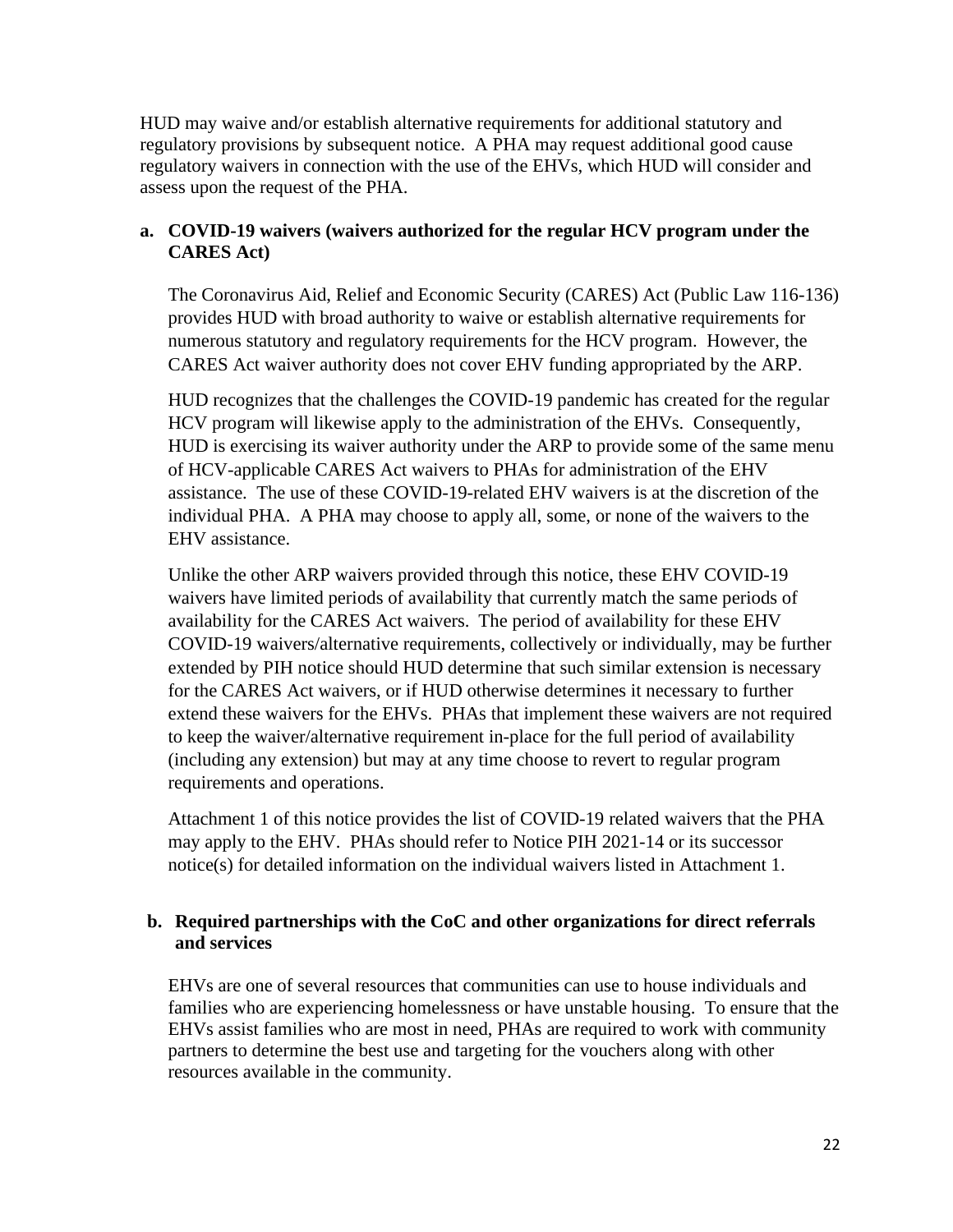HUD may waive and/or establish alternative requirements for additional statutory and regulatory provisions by subsequent notice. A PHA may request additional good cause regulatory waivers in connection with the use of the EHVs, which HUD will consider and assess upon the request of the PHA.

### **a. COVID-19 waivers (waivers authorized for the regular HCV program under the CARES Act)**

The Coronavirus Aid, Relief and Economic Security (CARES) Act (Public Law 116-136) provides HUD with broad authority to waive or establish alternative requirements for numerous statutory and regulatory requirements for the HCV program. However, the CARES Act waiver authority does not cover EHV funding appropriated by the ARP.

HUD recognizes that the challenges the COVID-19 pandemic has created for the regular HCV program will likewise apply to the administration of the EHVs. Consequently, HUD is exercising its waiver authority under the ARP to provide some of the same menu of HCV-applicable CARES Act waivers to PHAs for administration of the EHV assistance. The use of these COVID-19-related EHV waivers is at the discretion of the individual PHA. A PHA may choose to apply all, some, or none of the waivers to the EHV assistance.

Unlike the other ARP waivers provided through this notice, these EHV COVID-19 waivers have limited periods of availability that currently match the same periods of availability for the CARES Act waivers. The period of availability for these EHV COVID-19 waivers/alternative requirements, collectively or individually, may be further extended by PIH notice should HUD determine that such similar extension is necessary for the CARES Act waivers, or if HUD otherwise determines it necessary to further extend these waivers for the EHVs. PHAs that implement these waivers are not required to keep the waiver/alternative requirement in-place for the full period of availability (including any extension) but may at any time choose to revert to regular program requirements and operations.

Attachment 1 of this notice provides the list of COVID-19 related waivers that the PHA may apply to the EHV. PHAs should refer to Notice PIH 2021-14 or its successor notice(s) for detailed information on the individual waivers listed in Attachment 1.

### **b. Required partnerships with the CoC and other organizations for direct referrals and services**

EHVs are one of several resources that communities can use to house individuals and families who are experiencing homelessness or have unstable housing. To ensure that the EHVs assist families who are most in need, PHAs are required to work with community partners to determine the best use and targeting for the vouchers along with other resources available in the community.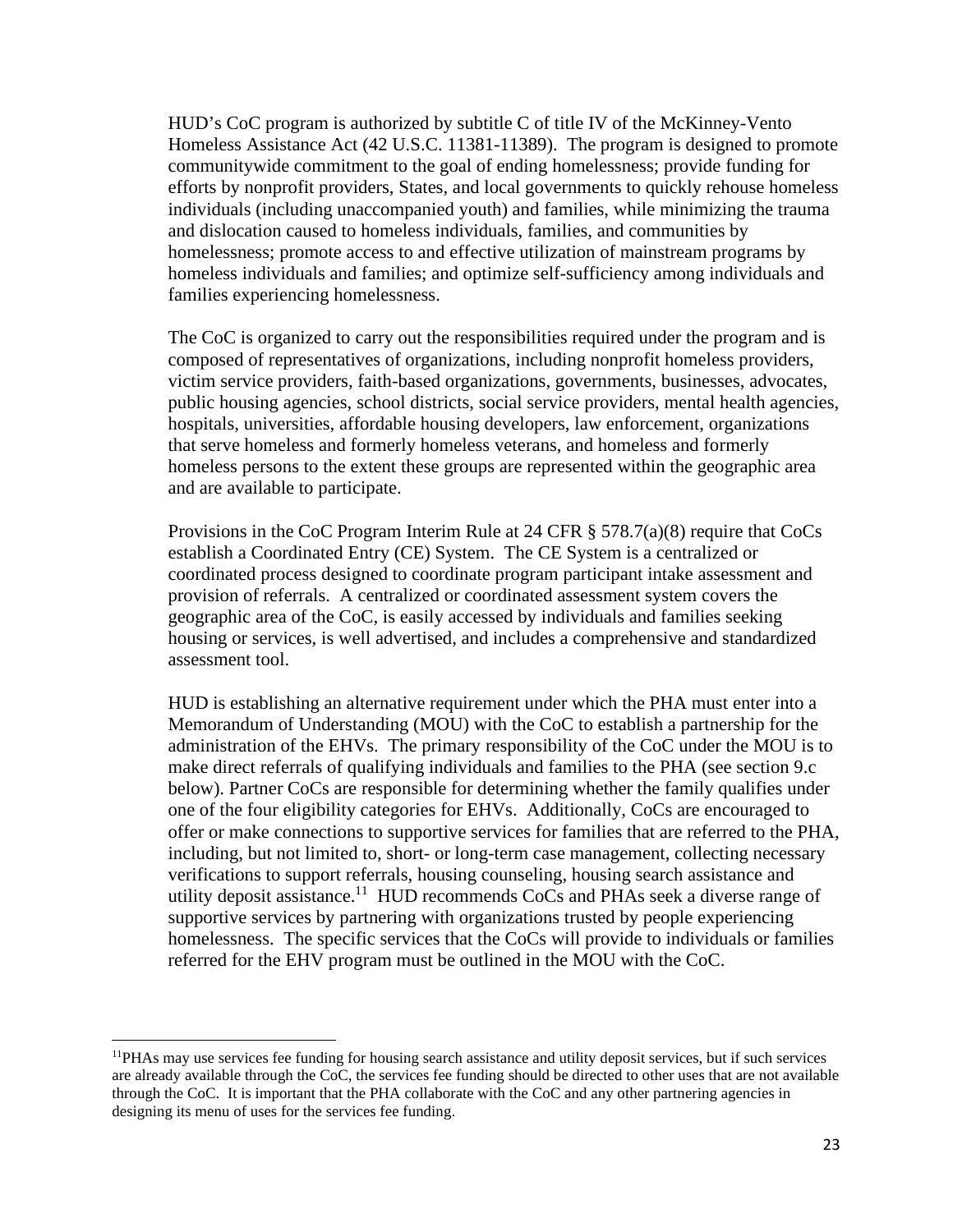HUD's CoC program is authorized by subtitle C of title IV of the McKinney-Vento Homeless Assistance Act (42 U.S.C. 11381-11389). The program is designed to promote communitywide commitment to the goal of ending homelessness; provide funding for efforts by nonprofit providers, States, and local governments to quickly rehouse homeless individuals (including unaccompanied youth) and families, while minimizing the trauma and dislocation caused to homeless individuals, families, and communities by homelessness; promote access to and effective utilization of mainstream programs by homeless individuals and families; and optimize self-sufficiency among individuals and families experiencing homelessness.

The CoC is organized to carry out the responsibilities required under the program and is composed of representatives of organizations, including nonprofit homeless providers, victim service providers, faith-based organizations, governments, businesses, advocates, public housing agencies, school districts, social service providers, mental health agencies, hospitals, universities, affordable housing developers, law enforcement, organizations that serve homeless and formerly homeless veterans, and homeless and formerly homeless persons to the extent these groups are represented within the geographic area and are available to participate.

Provisions in the CoC Program Interim Rule at 24 CFR § 578.7(a)(8) require that CoCs establish a Coordinated Entry (CE) System. The CE System is a centralized or coordinated process designed to coordinate program participant intake assessment and provision of referrals. A centralized or coordinated assessment system covers the geographic area of the CoC, is easily accessed by individuals and families seeking housing or services, is well advertised, and includes a comprehensive and standardized assessment tool.

HUD is establishing an alternative requirement under which the PHA must enter into a Memorandum of Understanding (MOU) with the CoC to establish a partnership for the administration of the EHVs. The primary responsibility of the CoC under the MOU is to make direct referrals of qualifying individuals and families to the PHA (see section 9.c below). Partner CoCs are responsible for determining whether the family qualifies under one of the four eligibility categories for EHVs. Additionally, CoCs are encouraged to offer or make connections to supportive services for families that are referred to the PHA, including, but not limited to, short- or long-term case management, collecting necessary verifications to support referrals, housing counseling, housing search assistance and utility deposit assistance.<sup>11</sup> HUD recommends CoCs and PHAs seek a diverse range of supportive services by partnering with organizations trusted by people experiencing homelessness. The specific services that the CoCs will provide to individuals or families referred for the EHV program must be outlined in the MOU with the CoC.

<sup>11</sup>PHAs may use services fee funding for housing search assistance and utility deposit services, but if such services are already available through the CoC, the services fee funding should be directed to other uses that are not available through the CoC. It is important that the PHA collaborate with the CoC and any other partnering agencies in designing its menu of uses for the services fee funding.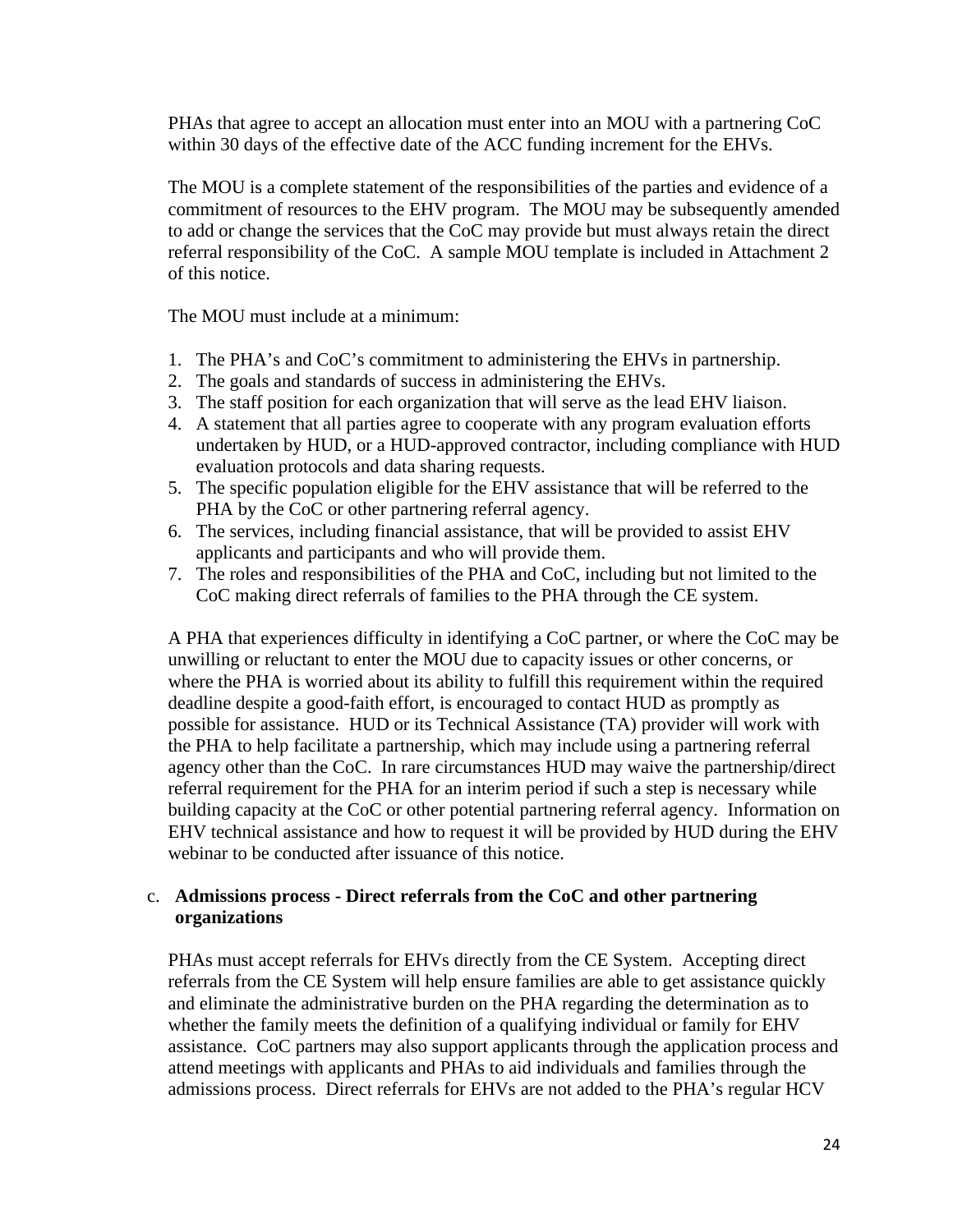PHAs that agree to accept an allocation must enter into an MOU with a partnering CoC within 30 days of the effective date of the ACC funding increment for the EHVs.

The MOU is a complete statement of the responsibilities of the parties and evidence of a commitment of resources to the EHV program. The MOU may be subsequently amended to add or change the services that the CoC may provide but must always retain the direct referral responsibility of the CoC. A sample MOU template is included in Attachment 2 of this notice.

The MOU must include at a minimum:

- 1. The PHA's and CoC's commitment to administering the EHVs in partnership.
- 2. The goals and standards of success in administering the EHVs.
- 3. The staff position for each organization that will serve as the lead EHV liaison.
- 4. A statement that all parties agree to cooperate with any program evaluation efforts undertaken by HUD, or a HUD-approved contractor, including compliance with HUD evaluation protocols and data sharing requests.
- 5. The specific population eligible for the EHV assistance that will be referred to the PHA by the CoC or other partnering referral agency.
- 6. The services, including financial assistance, that will be provided to assist EHV applicants and participants and who will provide them.
- 7. The roles and responsibilities of the PHA and CoC, including but not limited to the CoC making direct referrals of families to the PHA through the CE system.

A PHA that experiences difficulty in identifying a CoC partner, or where the CoC may be unwilling or reluctant to enter the MOU due to capacity issues or other concerns, or where the PHA is worried about its ability to fulfill this requirement within the required deadline despite a good-faith effort, is encouraged to contact HUD as promptly as possible for assistance. HUD or its Technical Assistance (TA) provider will work with the PHA to help facilitate a partnership, which may include using a partnering referral agency other than the CoC. In rare circumstances HUD may waive the partnership/direct referral requirement for the PHA for an interim period if such a step is necessary while building capacity at the CoC or other potential partnering referral agency. Information on EHV technical assistance and how to request it will be provided by HUD during the EHV webinar to be conducted after issuance of this notice.

### c. **Admissions process - Direct referrals from the CoC and other partnering organizations**

PHAs must accept referrals for EHVs directly from the CE System. Accepting direct referrals from the CE System will help ensure families are able to get assistance quickly and eliminate the administrative burden on the PHA regarding the determination as to whether the family meets the definition of a qualifying individual or family for EHV assistance. CoC partners may also support applicants through the application process and attend meetings with applicants and PHAs to aid individuals and families through the admissions process. Direct referrals for EHVs are not added to the PHA's regular HCV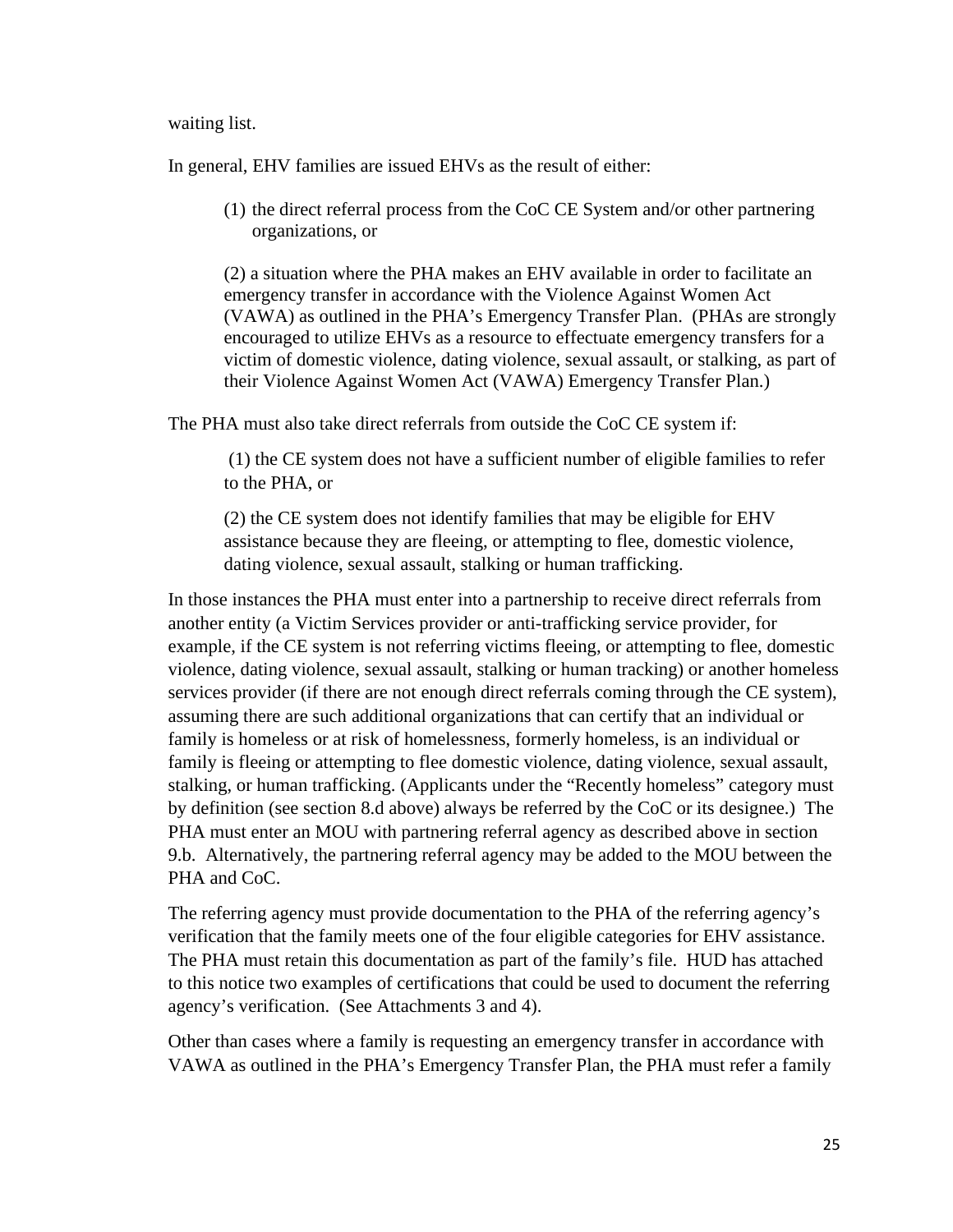waiting list.

In general, EHV families are issued EHVs as the result of either:

(1) the direct referral process from the CoC CE System and/or other partnering organizations, or

(2) a situation where the PHA makes an EHV available in order to facilitate an emergency transfer in accordance with the Violence Against Women Act (VAWA) as outlined in the PHA's Emergency Transfer Plan. (PHAs are strongly encouraged to utilize EHVs as a resource to effectuate emergency transfers for a victim of domestic violence, dating violence, sexual assault, or stalking, as part of their Violence Against Women Act (VAWA) Emergency Transfer Plan.)

The PHA must also take direct referrals from outside the CoC CE system if:

 (1) the CE system does not have a sufficient number of eligible families to refer to the PHA, or

(2) the CE system does not identify families that may be eligible for EHV assistance because they are fleeing, or attempting to flee, domestic violence, dating violence, sexual assault, stalking or human trafficking.

In those instances the PHA must enter into a partnership to receive direct referrals from another entity (a Victim Services provider or anti-trafficking service provider, for example, if the CE system is not referring victims fleeing, or attempting to flee, domestic violence, dating violence, sexual assault, stalking or human tracking) or another homeless services provider (if there are not enough direct referrals coming through the CE system), assuming there are such additional organizations that can certify that an individual or family is homeless or at risk of homelessness, formerly homeless, is an individual or family is fleeing or attempting to flee domestic violence, dating violence, sexual assault, stalking, or human trafficking. (Applicants under the "Recently homeless" category must by definition (see section 8.d above) always be referred by the CoC or its designee.) The PHA must enter an MOU with partnering referral agency as described above in section 9.b. Alternatively, the partnering referral agency may be added to the MOU between the PHA and CoC.

The referring agency must provide documentation to the PHA of the referring agency's verification that the family meets one of the four eligible categories for EHV assistance. The PHA must retain this documentation as part of the family's file. HUD has attached to this notice two examples of certifications that could be used to document the referring agency's verification. (See Attachments 3 and 4).

Other than cases where a family is requesting an emergency transfer in accordance with VAWA as outlined in the PHA's Emergency Transfer Plan, the PHA must refer a family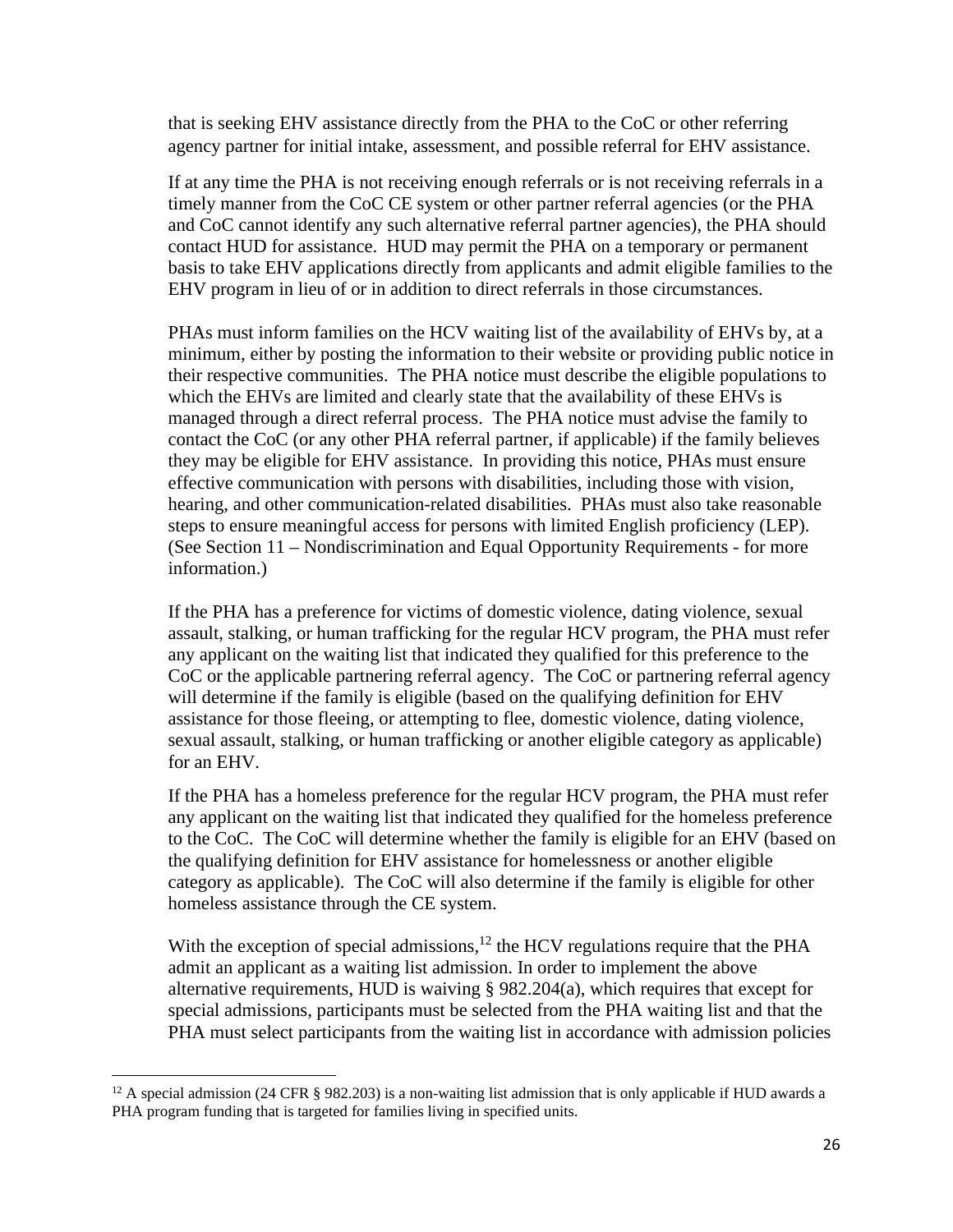that is seeking EHV assistance directly from the PHA to the CoC or other referring agency partner for initial intake, assessment, and possible referral for EHV assistance.

If at any time the PHA is not receiving enough referrals or is not receiving referrals in a timely manner from the CoC CE system or other partner referral agencies (or the PHA and CoC cannot identify any such alternative referral partner agencies), the PHA should contact HUD for assistance. HUD may permit the PHA on a temporary or permanent basis to take EHV applications directly from applicants and admit eligible families to the EHV program in lieu of or in addition to direct referrals in those circumstances.

PHAs must inform families on the HCV waiting list of the availability of EHVs by, at a minimum, either by posting the information to their website or providing public notice in their respective communities. The PHA notice must describe the eligible populations to which the EHVs are limited and clearly state that the availability of these EHVs is managed through a direct referral process. The PHA notice must advise the family to contact the CoC (or any other PHA referral partner, if applicable) if the family believes they may be eligible for EHV assistance. In providing this notice, PHAs must ensure effective communication with persons with disabilities, including those with vision, hearing, and other communication-related disabilities. PHAs must also take reasonable steps to ensure meaningful access for persons with limited English proficiency (LEP). (See Section 11 – Nondiscrimination and Equal Opportunity Requirements - for more information.)

If the PHA has a preference for victims of domestic violence, dating violence, sexual assault, stalking, or human trafficking for the regular HCV program, the PHA must refer any applicant on the waiting list that indicated they qualified for this preference to the CoC or the applicable partnering referral agency. The CoC or partnering referral agency will determine if the family is eligible (based on the qualifying definition for EHV assistance for those fleeing, or attempting to flee, domestic violence, dating violence, sexual assault, stalking, or human trafficking or another eligible category as applicable) for an EHV.

If the PHA has a homeless preference for the regular HCV program, the PHA must refer any applicant on the waiting list that indicated they qualified for the homeless preference to the CoC. The CoC will determine whether the family is eligible for an EHV (based on the qualifying definition for EHV assistance for homelessness or another eligible category as applicable). The CoC will also determine if the family is eligible for other homeless assistance through the CE system.

With the exception of special admissions, $12$  the HCV regulations require that the PHA admit an applicant as a waiting list admission. In order to implement the above alternative requirements, HUD is waiving § 982.204(a), which requires that except for special admissions, participants must be selected from the PHA waiting list and that the PHA must select participants from the waiting list in accordance with admission policies

<sup>&</sup>lt;sup>12</sup> A special admission (24 CFR  $\S$  982.203) is a non-waiting list admission that is only applicable if HUD awards a PHA program funding that is targeted for families living in specified units.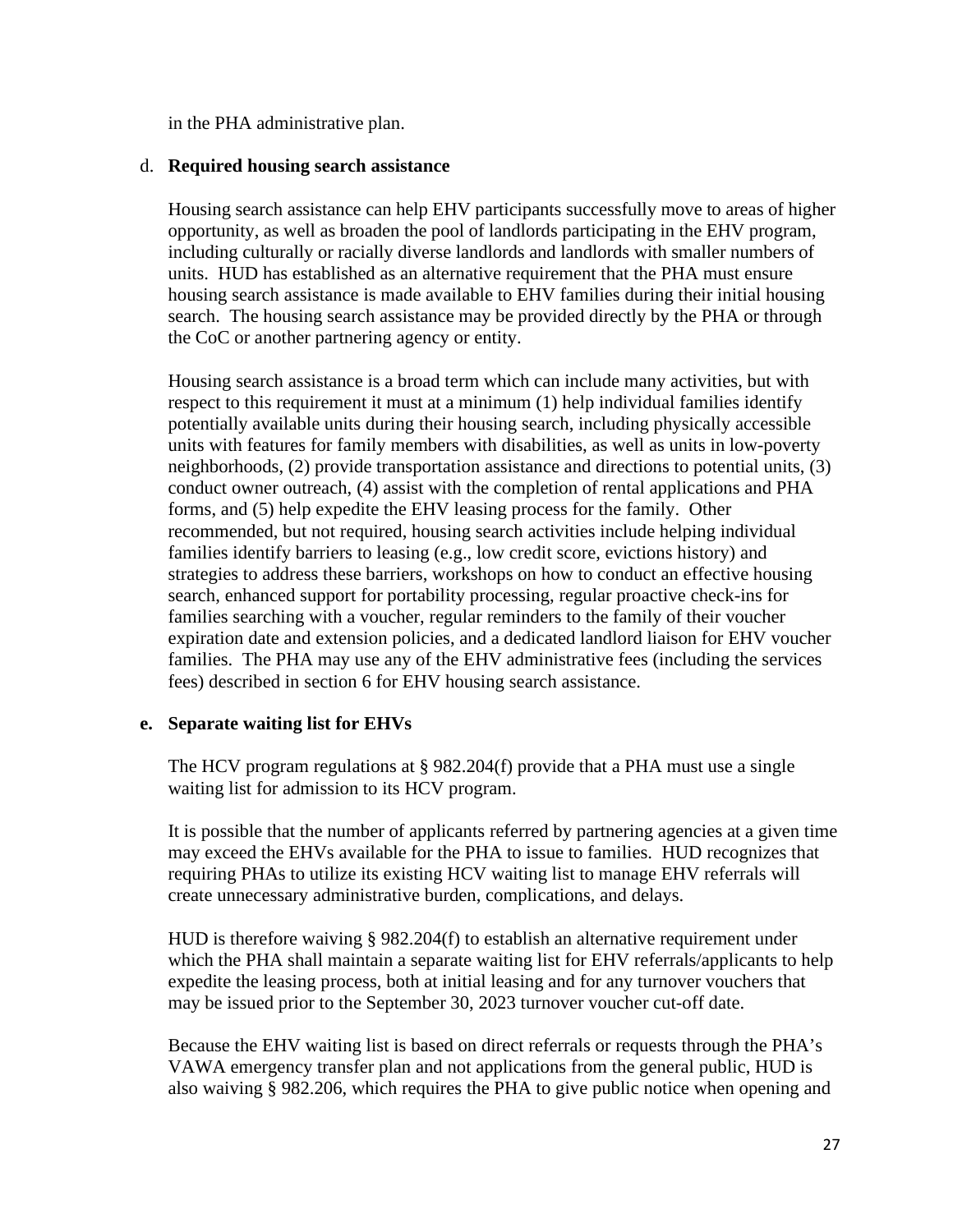in the PHA administrative plan.

#### d. **Required housing search assistance**

Housing search assistance can help EHV participants successfully move to areas of higher opportunity, as well as broaden the pool of landlords participating in the EHV program, including culturally or racially diverse landlords and landlords with smaller numbers of units. HUD has established as an alternative requirement that the PHA must ensure housing search assistance is made available to EHV families during their initial housing search. The housing search assistance may be provided directly by the PHA or through the CoC or another partnering agency or entity.

Housing search assistance is a broad term which can include many activities, but with respect to this requirement it must at a minimum (1) help individual families identify potentially available units during their housing search, including physically accessible units with features for family members with disabilities, as well as units in low-poverty neighborhoods, (2) provide transportation assistance and directions to potential units, (3) conduct owner outreach, (4) assist with the completion of rental applications and PHA forms, and (5) help expedite the EHV leasing process for the family. Other recommended, but not required, housing search activities include helping individual families identify barriers to leasing (e.g., low credit score, evictions history) and strategies to address these barriers, workshops on how to conduct an effective housing search, enhanced support for portability processing, regular proactive check-ins for families searching with a voucher, regular reminders to the family of their voucher expiration date and extension policies, and a dedicated landlord liaison for EHV voucher families. The PHA may use any of the EHV administrative fees (including the services fees) described in section 6 for EHV housing search assistance.

#### **e. Separate waiting list for EHVs**

The HCV program regulations at § 982.204(f) provide that a PHA must use a single waiting list for admission to its HCV program.

It is possible that the number of applicants referred by partnering agencies at a given time may exceed the EHVs available for the PHA to issue to families. HUD recognizes that requiring PHAs to utilize its existing HCV waiting list to manage EHV referrals will create unnecessary administrative burden, complications, and delays.

HUD is therefore waiving § 982.204(f) to establish an alternative requirement under which the PHA shall maintain a separate waiting list for EHV referrals/applicants to help expedite the leasing process, both at initial leasing and for any turnover vouchers that may be issued prior to the September 30, 2023 turnover voucher cut-off date.

Because the EHV waiting list is based on direct referrals or requests through the PHA's VAWA emergency transfer plan and not applications from the general public, HUD is also waiving § 982.206, which requires the PHA to give public notice when opening and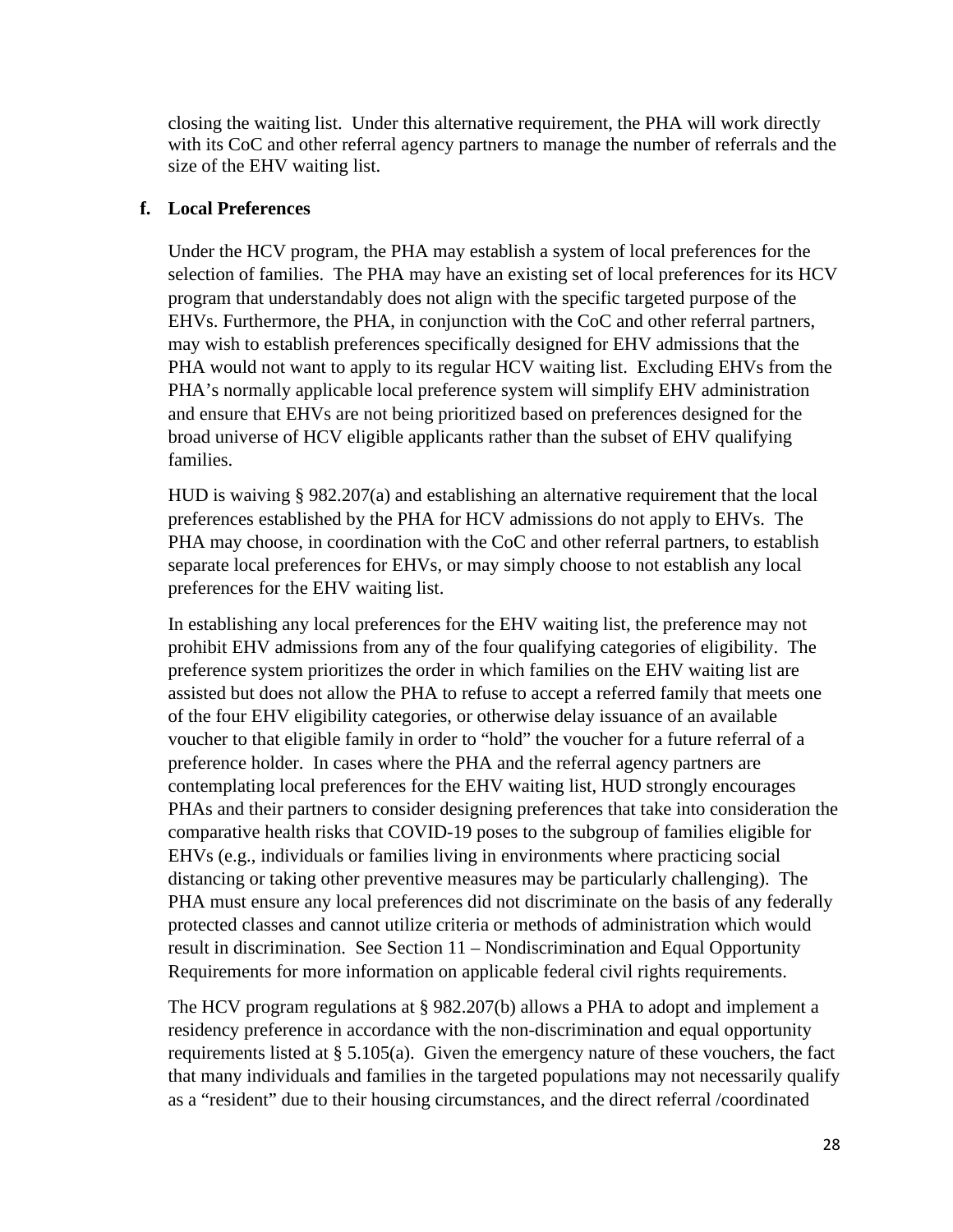closing the waiting list. Under this alternative requirement, the PHA will work directly with its CoC and other referral agency partners to manage the number of referrals and the size of the EHV waiting list.

#### **f. Local Preferences**

Under the HCV program, the PHA may establish a system of local preferences for the selection of families. The PHA may have an existing set of local preferences for its HCV program that understandably does not align with the specific targeted purpose of the EHVs. Furthermore, the PHA, in conjunction with the CoC and other referral partners, may wish to establish preferences specifically designed for EHV admissions that the PHA would not want to apply to its regular HCV waiting list. Excluding EHVs from the PHA's normally applicable local preference system will simplify EHV administration and ensure that EHVs are not being prioritized based on preferences designed for the broad universe of HCV eligible applicants rather than the subset of EHV qualifying families.

HUD is waiving § 982.207(a) and establishing an alternative requirement that the local preferences established by the PHA for HCV admissions do not apply to EHVs. The PHA may choose, in coordination with the CoC and other referral partners, to establish separate local preferences for EHVs, or may simply choose to not establish any local preferences for the EHV waiting list.

In establishing any local preferences for the EHV waiting list, the preference may not prohibit EHV admissions from any of the four qualifying categories of eligibility. The preference system prioritizes the order in which families on the EHV waiting list are assisted but does not allow the PHA to refuse to accept a referred family that meets one of the four EHV eligibility categories, or otherwise delay issuance of an available voucher to that eligible family in order to "hold" the voucher for a future referral of a preference holder. In cases where the PHA and the referral agency partners are contemplating local preferences for the EHV waiting list, HUD strongly encourages PHAs and their partners to consider designing preferences that take into consideration the comparative health risks that COVID-19 poses to the subgroup of families eligible for EHVs (e.g., individuals or families living in environments where practicing social distancing or taking other preventive measures may be particularly challenging). The PHA must ensure any local preferences did not discriminate on the basis of any federally protected classes and cannot utilize criteria or methods of administration which would result in discrimination. See Section 11 – Nondiscrimination and Equal Opportunity Requirements for more information on applicable federal civil rights requirements.

The HCV program regulations at § 982.207(b) allows a PHA to adopt and implement a residency preference in accordance with the non-discrimination and equal opportunity requirements listed at § 5.105(a). Given the emergency nature of these vouchers, the fact that many individuals and families in the targeted populations may not necessarily qualify as a "resident" due to their housing circumstances, and the direct referral /coordinated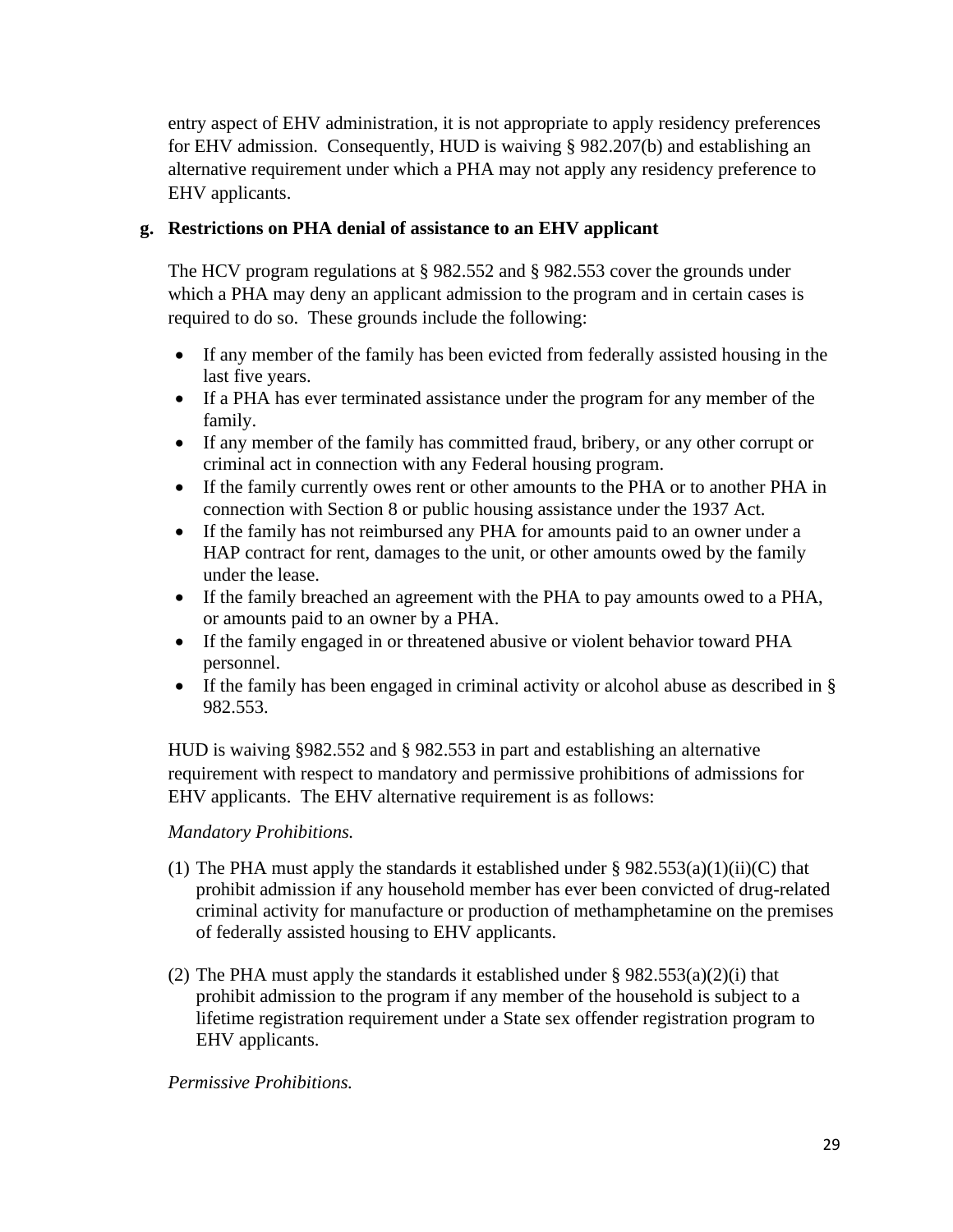entry aspect of EHV administration, it is not appropriate to apply residency preferences for EHV admission. Consequently, HUD is waiving § 982.207(b) and establishing an alternative requirement under which a PHA may not apply any residency preference to EHV applicants.

### **g. Restrictions on PHA denial of assistance to an EHV applicant**

The HCV program regulations at § 982.552 and § 982.553 cover the grounds under which a PHA may deny an applicant admission to the program and in certain cases is required to do so. These grounds include the following:

- If any member of the family has been evicted from federally assisted housing in the last five years.
- If a PHA has ever terminated assistance under the program for any member of the family.
- If any member of the family has committed fraud, bribery, or any other corrupt or criminal act in connection with any Federal housing program.
- If the family currently owes rent or other amounts to the PHA or to another PHA in connection with Section 8 or public housing assistance under the 1937 Act.
- If the family has not reimbursed any PHA for amounts paid to an owner under a HAP contract for rent, damages to the unit, or other amounts owed by the family under the lease.
- If the family breached an agreement with the PHA to pay amounts owed to a PHA, or amounts paid to an owner by a PHA.
- If the family engaged in or threatened abusive or violent behavior toward PHA personnel.
- If the family has been engaged in criminal activity or alcohol abuse as described in § 982.553.

HUD is waiving §982.552 and § 982.553 in part and establishing an alternative requirement with respect to mandatory and permissive prohibitions of admissions for EHV applicants. The EHV alternative requirement is as follows:

### *Mandatory Prohibitions.*

- (1) The PHA must apply the standards it established under  $\S 982.553(a)(1)(ii)(C)$  that prohibit admission if any household member has ever been convicted of drug-related criminal activity for manufacture or production of methamphetamine on the premises of federally assisted housing to EHV applicants.
- (2) The PHA must apply the standards it established under § 982.553(a)(2)(i) that prohibit admission to the program if any member of the household is subject to a lifetime registration requirement under a State sex offender registration program to EHV applicants.

### *Permissive Prohibitions.*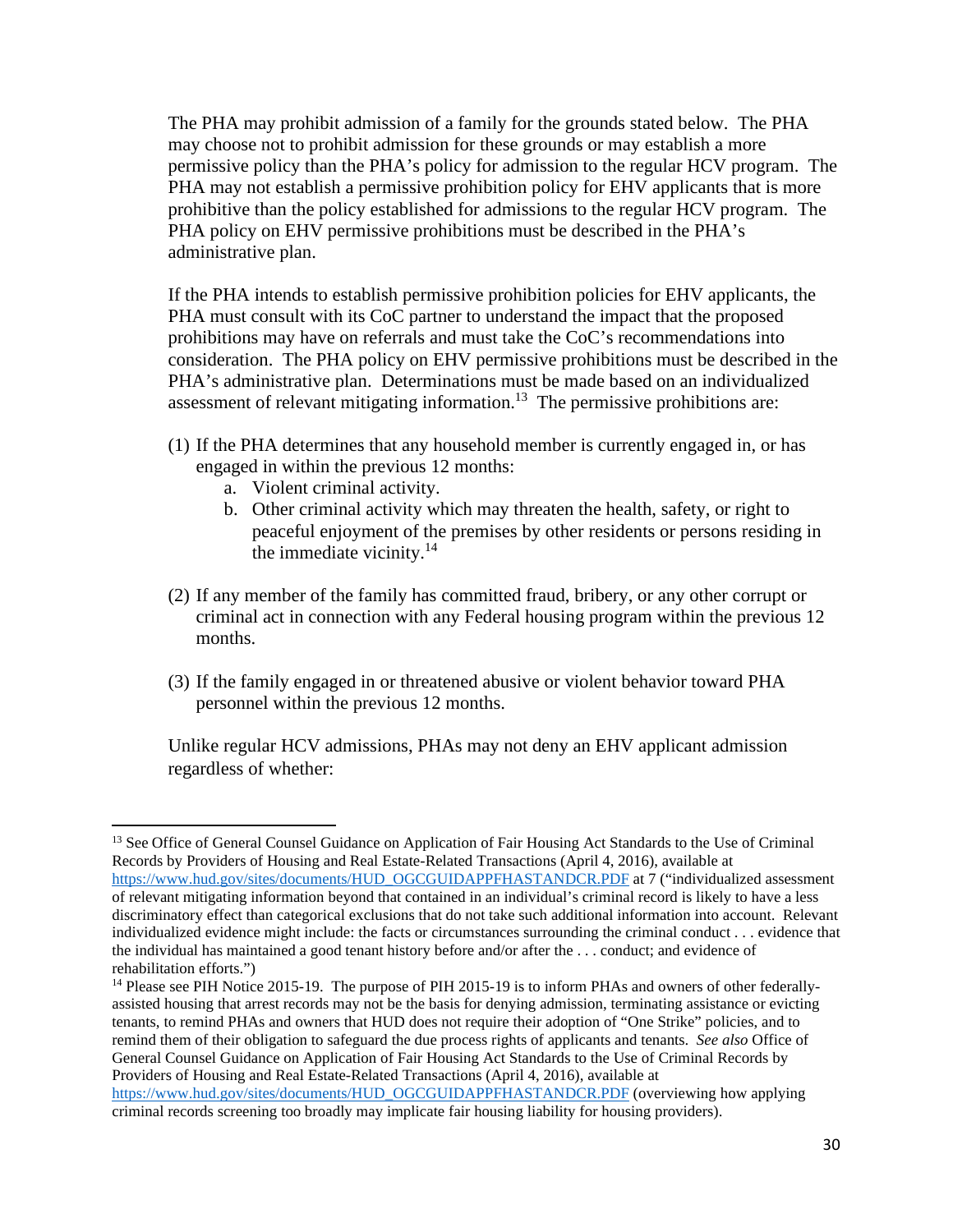The PHA may prohibit admission of a family for the grounds stated below. The PHA may choose not to prohibit admission for these grounds or may establish a more permissive policy than the PHA's policy for admission to the regular HCV program. The PHA may not establish a permissive prohibition policy for EHV applicants that is more prohibitive than the policy established for admissions to the regular HCV program. The PHA policy on EHV permissive prohibitions must be described in the PHA's administrative plan.

If the PHA intends to establish permissive prohibition policies for EHV applicants, the PHA must consult with its CoC partner to understand the impact that the proposed prohibitions may have on referrals and must take the CoC's recommendations into consideration. The PHA policy on EHV permissive prohibitions must be described in the PHA's administrative plan. Determinations must be made based on an individualized assessment of relevant mitigating information.<sup>13</sup> The permissive prohibitions are:

- (1) If the PHA determines that any household member is currently engaged in, or has engaged in within the previous 12 months:
	- a. Violent criminal activity.
	- b. Other criminal activity which may threaten the health, safety, or right to peaceful enjoyment of the premises by other residents or persons residing in the immediate vicinity. $14$
- (2) If any member of the family has committed fraud, bribery, or any other corrupt or criminal act in connection with any Federal housing program within the previous 12 months.
- (3) If the family engaged in or threatened abusive or violent behavior toward PHA personnel within the previous 12 months.

Unlike regular HCV admissions, PHAs may not deny an EHV applicant admission regardless of whether:

<sup>&</sup>lt;sup>13</sup> See Office of General Counsel Guidance on Application of Fair Housing Act Standards to the Use of Criminal Records by Providers of Housing and Real Estate-Related Transactions (April 4, 2016), available at [https://www.hud.gov/sites/documents/HUD\\_OGCGUIDAPPFHASTANDCR.PDF a](https://www.hud.gov/sites/documents/HUD_OGCGUIDAPPFHASTANDCR.PDF)t 7 ("individualized assessment of relevant mitigating information beyond that contained in an individual's criminal record is likely to have a less discriminatory effect than categorical exclusions that do not take such additional information into account. Relevant individualized evidence might include: the facts or circumstances surrounding the criminal conduct . . . evidence that the individual has maintained a good tenant history before and/or after the . . . conduct; and evidence of rehabilitation efforts.")

<sup>&</sup>lt;sup>14</sup> Please see PIH Notice 2015-19. The purpose of PIH 2015-19 is to inform PHAs and owners of other federallyassisted housing that arrest records may not be the basis for denying admission, terminating assistance or evicting tenants, to remind PHAs and owners that HUD does not require their adoption of "One Strike" policies, and to remind them of their obligation to safeguard the due process rights of applicants and tenants. *See also* Office of General Counsel Guidance on Application of Fair Housing Act Standards to the Use of Criminal Records by Providers of Housing and Real Estate-Related Transactions (April 4, 2016), available at [https://www.hud.gov/sites/documents/HUD\\_OGCGUIDAPPFHASTANDCR.PDF \(](https://www.hud.gov/sites/documents/HUD_OGCGUIDAPPFHASTANDCR.PDF)overviewing how applying criminal records screening too broadly may implicate fair housing liability for housing providers).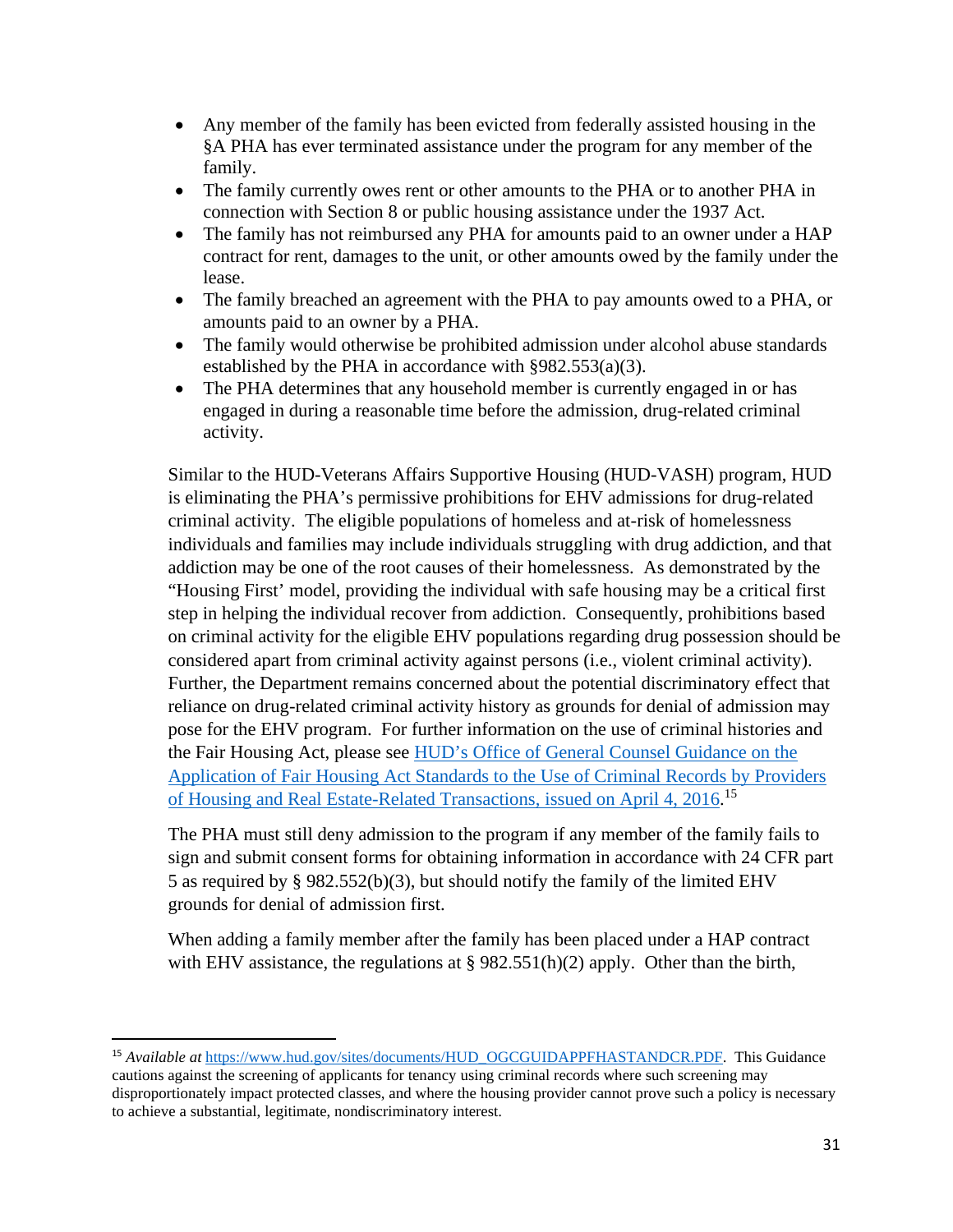- Any member of the family has been evicted from federally assisted housing in the §A PHA has ever terminated assistance under the program for any member of the family.
- The family currently owes rent or other amounts to the PHA or to another PHA in connection with Section 8 or public housing assistance under the 1937 Act.
- The family has not reimbursed any PHA for amounts paid to an owner under a HAP contract for rent, damages to the unit, or other amounts owed by the family under the lease.
- The family breached an agreement with the PHA to pay amounts owed to a PHA, or amounts paid to an owner by a PHA.
- The family would otherwise be prohibited admission under alcohol abuse standards established by the PHA in accordance with §982.553(a)(3).
- The PHA determines that any household member is currently engaged in or has engaged in during a reasonable time before the admission, drug-related criminal activity.

Similar to the HUD-Veterans Affairs Supportive Housing (HUD-VASH) program, HUD is eliminating the PHA's permissive prohibitions for EHV admissions for drug-related criminal activity. The eligible populations of homeless and at-risk of homelessness individuals and families may include individuals struggling with drug addiction, and that addiction may be one of the root causes of their homelessness. As demonstrated by the "Housing First' model, providing the individual with safe housing may be a critical first step in helping the individual recover from addiction. Consequently, prohibitions based on criminal activity for the eligible EHV populations regarding drug possession should be considered apart from criminal activity against persons (i.e., violent criminal activity). Further, the Department remains concerned about the potential discriminatory effect that reliance on drug-related criminal activity history as grounds for denial of admission may pose for the EHV program. For further information on the use of criminal histories and the Fair Housing Act, please see [HUD's Office of General Counsel Guidance on the](https://hudgov-my.sharepoint.com/personal/michael_s_dennis_hud_gov/Documents/The%20OGC%20guidance%20is%20available%20at%20the%20following%20link:%20%20https:/www.hud.gov/sites/documents/HUD_OGCGUIDAPPFHASTANDCR.PDF)  [Application of Fair Housing Act Standards to the Use of Criminal Records by Providers](https://hudgov-my.sharepoint.com/personal/michael_s_dennis_hud_gov/Documents/The%20OGC%20guidance%20is%20available%20at%20the%20following%20link:%20%20https:/www.hud.gov/sites/documents/HUD_OGCGUIDAPPFHASTANDCR.PDF)  [of Housing and Real Estate-Related Transactions, issued on April 4, 2016.](https://hudgov-my.sharepoint.com/personal/michael_s_dennis_hud_gov/Documents/The%20OGC%20guidance%20is%20available%20at%20the%20following%20link:%20%20https:/www.hud.gov/sites/documents/HUD_OGCGUIDAPPFHASTANDCR.PDF)<sup>15</sup>

The PHA must still deny admission to the program if any member of the family fails to sign and submit consent forms for obtaining information in accordance with 24 CFR part 5 as required by § 982.552(b)(3), but should notify the family of the limited EHV grounds for denial of admission first.

When adding a family member after the family has been placed under a HAP contract with EHV assistance, the regulations at  $\S 982.551(h)(2)$  apply. Other than the birth,

<sup>15</sup> *Available at* [https://www.hud.gov/sites/documents/HUD\\_OGCGUIDAPPFHASTANDCR.PDF.](https://www.hud.gov/sites/documents/HUD_OGCGUIDAPPFHASTANDCR.PDF) This Guidance cautions against the screening of applicants for tenancy using criminal records where such screening may disproportionately impact protected classes, and where the housing provider cannot prove such a policy is necessary to achieve a substantial, legitimate, nondiscriminatory interest.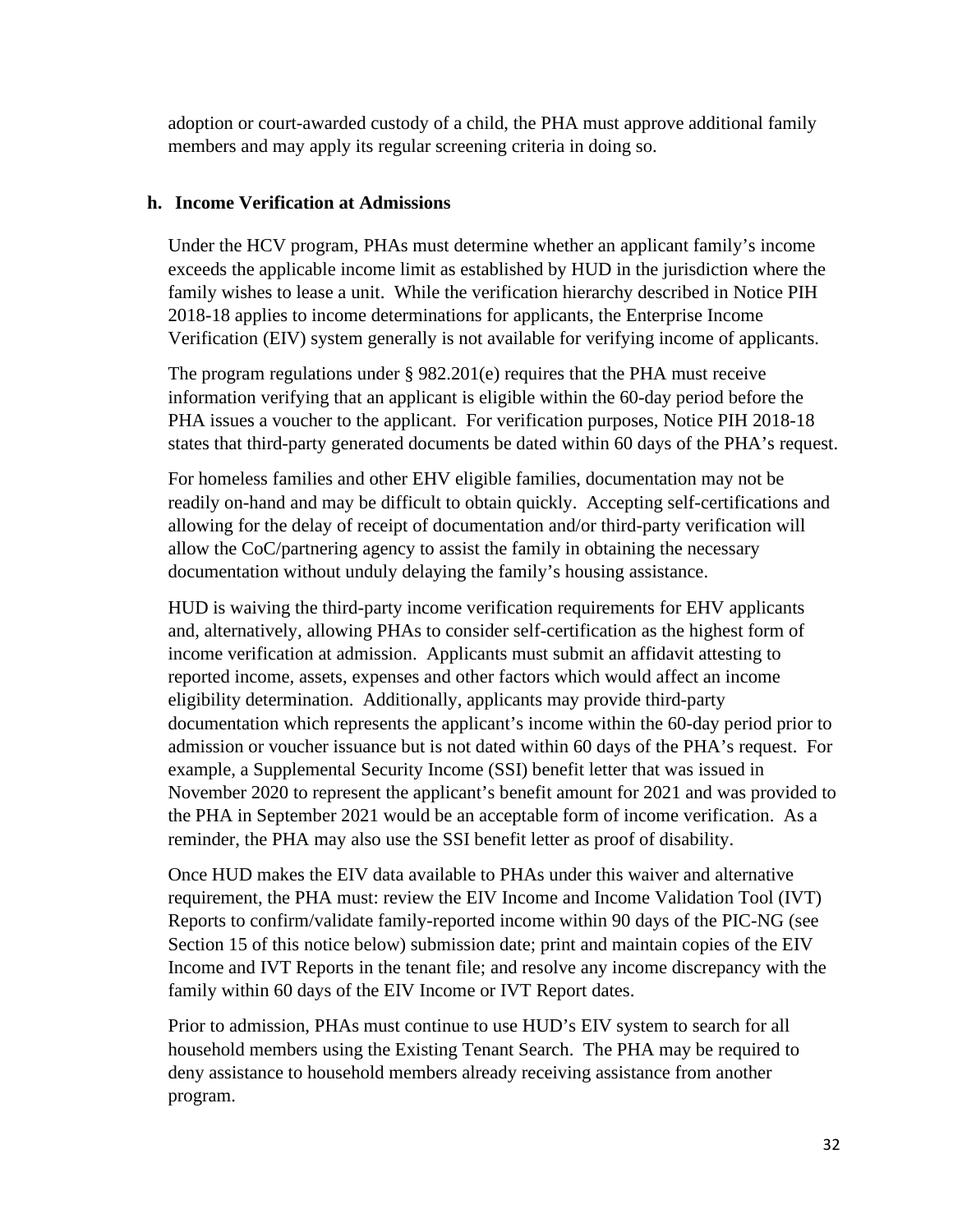adoption or court-awarded custody of a child, the PHA must approve additional family members and may apply its regular screening criteria in doing so.

### **h. Income Verification at Admissions**

Under the HCV program, PHAs must determine whether an applicant family's income exceeds the applicable income limit as established by HUD in the jurisdiction where the family wishes to lease a unit. While the verification hierarchy described in Notice PIH 2018-18 applies to income determinations for applicants, the Enterprise Income Verification (EIV) system generally is not available for verifying income of applicants.

The program regulations under  $\S 982.201(e)$  requires that the PHA must receive information verifying that an applicant is eligible within the 60-day period before the PHA issues a voucher to the applicant. For verification purposes, Notice PIH 2018-18 states that third-party generated documents be dated within 60 days of the PHA's request.

For homeless families and other EHV eligible families, documentation may not be readily on-hand and may be difficult to obtain quickly. Accepting self-certifications and allowing for the delay of receipt of documentation and/or third-party verification will allow the CoC/partnering agency to assist the family in obtaining the necessary documentation without unduly delaying the family's housing assistance.

HUD is waiving the third-party income verification requirements for EHV applicants and, alternatively, allowing PHAs to consider self-certification as the highest form of income verification at admission. Applicants must submit an affidavit attesting to reported income, assets, expenses and other factors which would affect an income eligibility determination. Additionally, applicants may provide third-party documentation which represents the applicant's income within the 60-day period prior to admission or voucher issuance but is not dated within 60 days of the PHA's request. For example, a Supplemental Security Income (SSI) benefit letter that was issued in November 2020 to represent the applicant's benefit amount for 2021 and was provided to the PHA in September 2021 would be an acceptable form of income verification. As a reminder, the PHA may also use the SSI benefit letter as proof of disability.

Once HUD makes the EIV data available to PHAs under this waiver and alternative requirement, the PHA must: review the EIV Income and Income Validation Tool (IVT) Reports to confirm/validate family-reported income within 90 days of the PIC-NG (see Section 15 of this notice below) submission date; print and maintain copies of the EIV Income and IVT Reports in the tenant file; and resolve any income discrepancy with the family within 60 days of the EIV Income or IVT Report dates.

Prior to admission, PHAs must continue to use HUD's EIV system to search for all household members using the Existing Tenant Search. The PHA may be required to deny assistance to household members already receiving assistance from another program.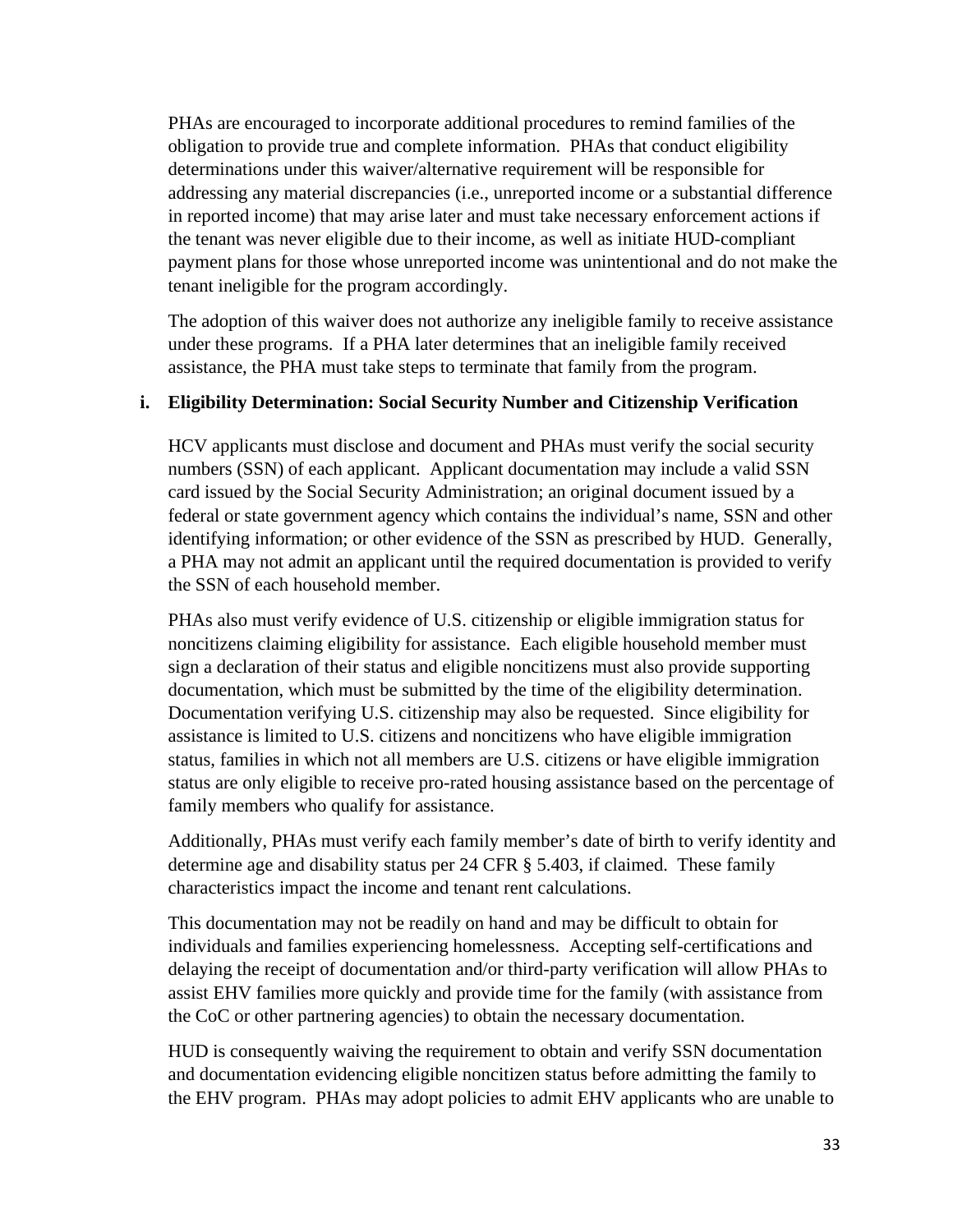PHAs are encouraged to incorporate additional procedures to remind families of the obligation to provide true and complete information. PHAs that conduct eligibility determinations under this waiver/alternative requirement will be responsible for addressing any material discrepancies (i.e., unreported income or a substantial difference in reported income) that may arise later and must take necessary enforcement actions if the tenant was never eligible due to their income, as well as initiate HUD-compliant payment plans for those whose unreported income was unintentional and do not make the tenant ineligible for the program accordingly.

The adoption of this waiver does not authorize any ineligible family to receive assistance under these programs. If a PHA later determines that an ineligible family received assistance, the PHA must take steps to terminate that family from the program.

### **i. Eligibility Determination: Social Security Number and Citizenship Verification**

HCV applicants must disclose and document and PHAs must verify the social security numbers (SSN) of each applicant. Applicant documentation may include a valid SSN card issued by the Social Security Administration; an original document issued by a federal or state government agency which contains the individual's name, SSN and other identifying information; or other evidence of the SSN as prescribed by HUD. Generally, a PHA may not admit an applicant until the required documentation is provided to verify the SSN of each household member.

PHAs also must verify evidence of U.S. citizenship or eligible immigration status for noncitizens claiming eligibility for assistance. Each eligible household member must sign a declaration of their status and eligible noncitizens must also provide supporting documentation, which must be submitted by the time of the eligibility determination. Documentation verifying U.S. citizenship may also be requested. Since eligibility for assistance is limited to U.S. citizens and noncitizens who have eligible immigration status, families in which not all members are U.S. citizens or have eligible immigration status are only eligible to receive pro-rated housing assistance based on the percentage of family members who qualify for assistance.

Additionally, PHAs must verify each family member's date of birth to verify identity and determine age and disability status per 24 CFR § 5.403, if claimed. These family characteristics impact the income and tenant rent calculations.

This documentation may not be readily on hand and may be difficult to obtain for individuals and families experiencing homelessness. Accepting self-certifications and delaying the receipt of documentation and/or third-party verification will allow PHAs to assist EHV families more quickly and provide time for the family (with assistance from the CoC or other partnering agencies) to obtain the necessary documentation.

HUD is consequently waiving the requirement to obtain and verify SSN documentation and documentation evidencing eligible noncitizen status before admitting the family to the EHV program. PHAs may adopt policies to admit EHV applicants who are unable to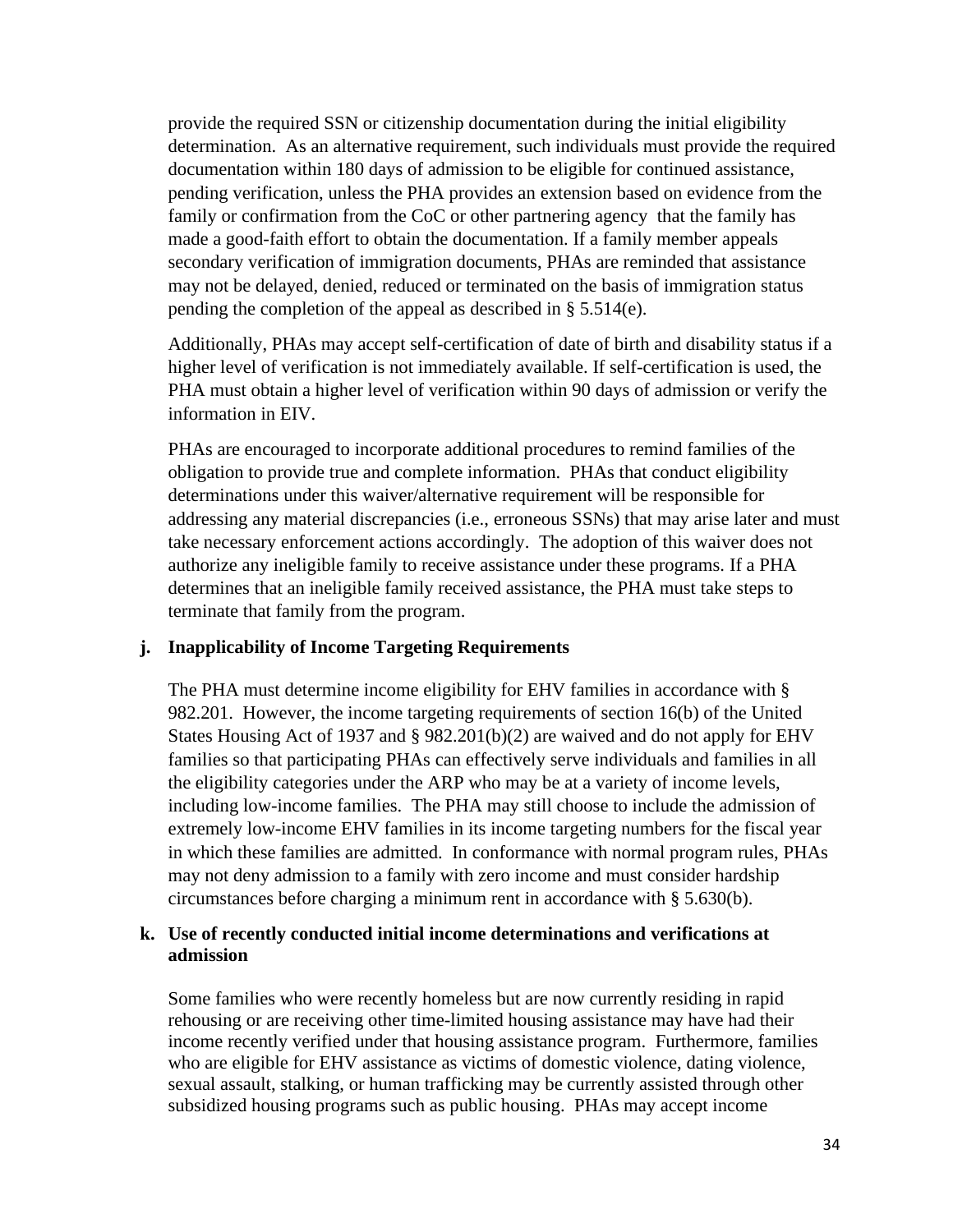provide the required SSN or citizenship documentation during the initial eligibility determination. As an alternative requirement, such individuals must provide the required documentation within 180 days of admission to be eligible for continued assistance, pending verification, unless the PHA provides an extension based on evidence from the family or confirmation from the CoC or other partnering agency that the family has made a good-faith effort to obtain the documentation. If a family member appeals secondary verification of immigration documents, PHAs are reminded that assistance may not be delayed, denied, reduced or terminated on the basis of immigration status pending the completion of the appeal as described in § 5.514(e).

Additionally, PHAs may accept self-certification of date of birth and disability status if a higher level of verification is not immediately available. If self-certification is used, the PHA must obtain a higher level of verification within 90 days of admission or verify the information in EIV.

PHAs are encouraged to incorporate additional procedures to remind families of the obligation to provide true and complete information. PHAs that conduct eligibility determinations under this waiver/alternative requirement will be responsible for addressing any material discrepancies (i.e., erroneous SSNs) that may arise later and must take necessary enforcement actions accordingly. The adoption of this waiver does not authorize any ineligible family to receive assistance under these programs. If a PHA determines that an ineligible family received assistance, the PHA must take steps to terminate that family from the program.

#### **j. Inapplicability of Income Targeting Requirements**

The PHA must determine income eligibility for EHV families in accordance with § 982.201. However, the income targeting requirements of section 16(b) of the United States Housing Act of 1937 and § 982.201(b)(2) are waived and do not apply for EHV families so that participating PHAs can effectively serve individuals and families in all the eligibility categories under the ARP who may be at a variety of income levels, including low-income families. The PHA may still choose to include the admission of extremely low-income EHV families in its income targeting numbers for the fiscal year in which these families are admitted. In conformance with normal program rules, PHAs may not deny admission to a family with zero income and must consider hardship circumstances before charging a minimum rent in accordance with § 5.630(b).

### **k. Use of recently conducted initial income determinations and verifications at admission**

Some families who were recently homeless but are now currently residing in rapid rehousing or are receiving other time-limited housing assistance may have had their income recently verified under that housing assistance program. Furthermore, families who are eligible for EHV assistance as victims of domestic violence, dating violence, sexual assault, stalking, or human trafficking may be currently assisted through other subsidized housing programs such as public housing. PHAs may accept income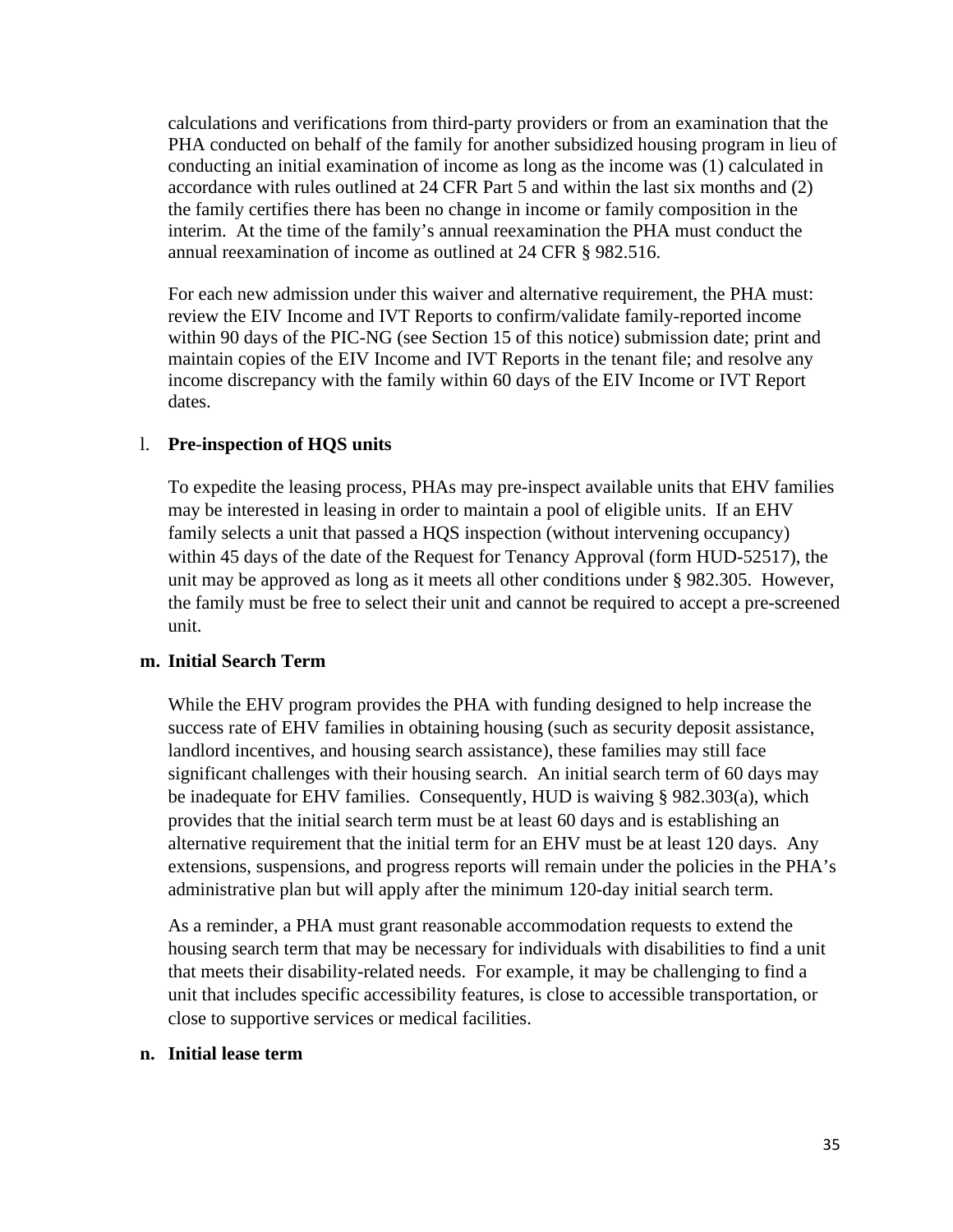calculations and verifications from third-party providers or from an examination that the PHA conducted on behalf of the family for another subsidized housing program in lieu of conducting an initial examination of income as long as the income was (1) calculated in accordance with rules outlined at 24 CFR Part 5 and within the last six months and (2) the family certifies there has been no change in income or family composition in the interim. At the time of the family's annual reexamination the PHA must conduct the annual reexamination of income as outlined at 24 CFR § 982.516.

For each new admission under this waiver and alternative requirement, the PHA must: review the EIV Income and IVT Reports to confirm/validate family-reported income within 90 days of the PIC-NG (see Section 15 of this notice) submission date; print and maintain copies of the EIV Income and IVT Reports in the tenant file; and resolve any income discrepancy with the family within 60 days of the EIV Income or IVT Report dates.

#### l. **Pre-inspection of HQS units**

To expedite the leasing process, PHAs may pre-inspect available units that EHV families may be interested in leasing in order to maintain a pool of eligible units. If an EHV family selects a unit that passed a HQS inspection (without intervening occupancy) within 45 days of the date of the Request for Tenancy Approval (form HUD-52517), the unit may be approved as long as it meets all other conditions under § 982.305. However, the family must be free to select their unit and cannot be required to accept a pre-screened unit.

#### **m. Initial Search Term**

While the EHV program provides the PHA with funding designed to help increase the success rate of EHV families in obtaining housing (such as security deposit assistance, landlord incentives, and housing search assistance), these families may still face significant challenges with their housing search. An initial search term of 60 days may be inadequate for EHV families. Consequently, HUD is waiving § 982.303(a), which provides that the initial search term must be at least 60 days and is establishing an alternative requirement that the initial term for an EHV must be at least 120 days. Any extensions, suspensions, and progress reports will remain under the policies in the PHA's administrative plan but will apply after the minimum 120-day initial search term.

As a reminder, a PHA must grant reasonable accommodation requests to extend the housing search term that may be necessary for individuals with disabilities to find a unit that meets their disability-related needs. For example, it may be challenging to find a unit that includes specific accessibility features, is close to accessible transportation, or close to supportive services or medical facilities.

#### **n. Initial lease term**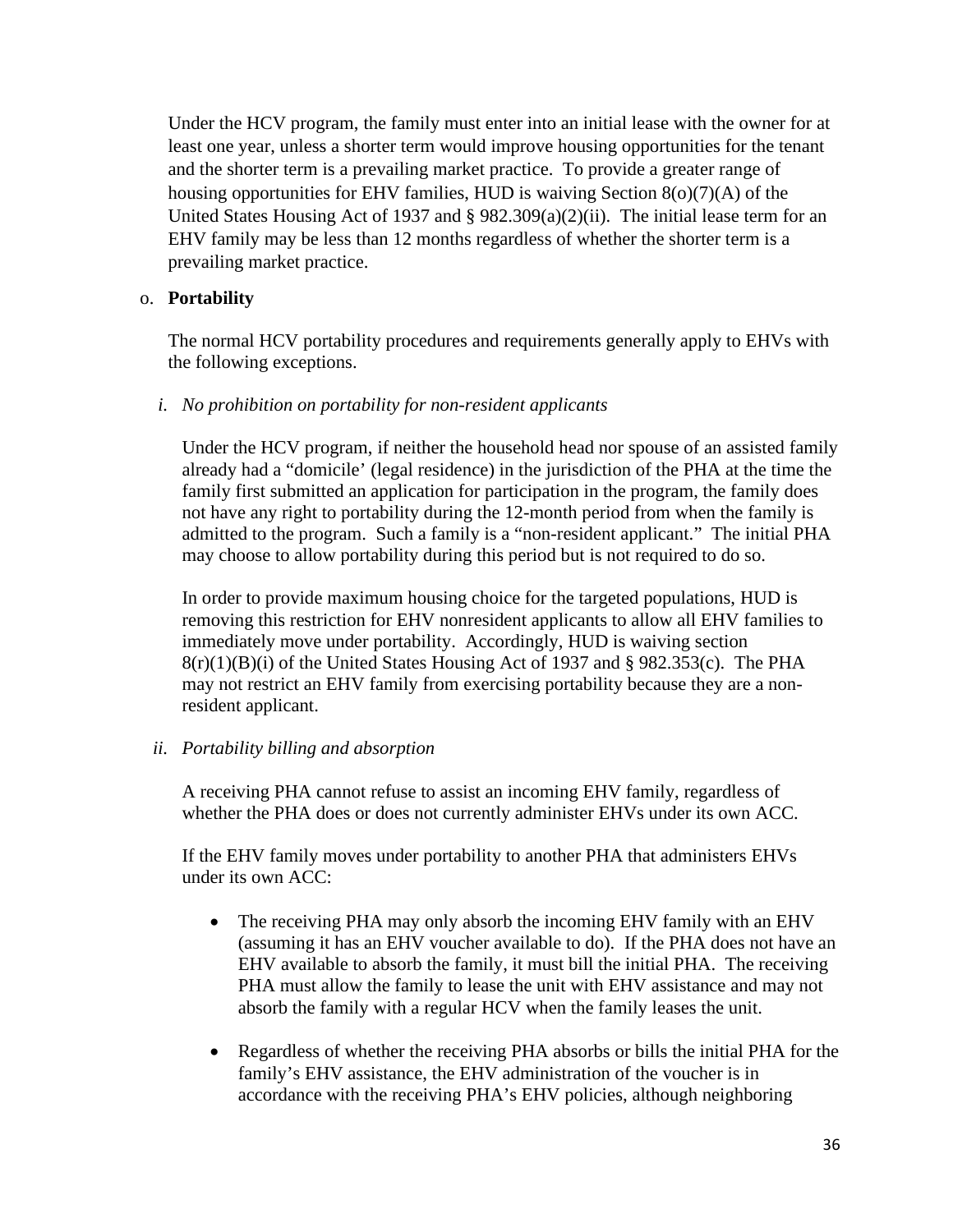Under the HCV program, the family must enter into an initial lease with the owner for at least one year, unless a shorter term would improve housing opportunities for the tenant and the shorter term is a prevailing market practice. To provide a greater range of housing opportunities for EHV families, HUD is waiving Section 8(o)(7)(A) of the United States Housing Act of 1937 and § 982.309(a)(2)(ii). The initial lease term for an EHV family may be less than 12 months regardless of whether the shorter term is a prevailing market practice.

### o. **Portability**

The normal HCV portability procedures and requirements generally apply to EHVs with the following exceptions.

*i. No prohibition on portability for non-resident applicants* 

Under the HCV program, if neither the household head nor spouse of an assisted family already had a "domicile' (legal residence) in the jurisdiction of the PHA at the time the family first submitted an application for participation in the program, the family does not have any right to portability during the 12-month period from when the family is admitted to the program. Such a family is a "non-resident applicant." The initial PHA may choose to allow portability during this period but is not required to do so.

In order to provide maximum housing choice for the targeted populations, HUD is removing this restriction for EHV nonresident applicants to allow all EHV families to immediately move under portability. Accordingly, HUD is waiving section  $8(r)(1)(B)(i)$  of the United States Housing Act of 1937 and § 982.353(c). The PHA may not restrict an EHV family from exercising portability because they are a nonresident applicant.

### *ii. Portability billing and absorption*

A receiving PHA cannot refuse to assist an incoming EHV family, regardless of whether the PHA does or does not currently administer EHVs under its own ACC.

If the EHV family moves under portability to another PHA that administers EHVs under its own ACC:

- The receiving PHA may only absorb the incoming EHV family with an EHV (assuming it has an EHV voucher available to do). If the PHA does not have an EHV available to absorb the family, it must bill the initial PHA. The receiving PHA must allow the family to lease the unit with EHV assistance and may not absorb the family with a regular HCV when the family leases the unit.
- Regardless of whether the receiving PHA absorbs or bills the initial PHA for the family's EHV assistance, the EHV administration of the voucher is in accordance with the receiving PHA's EHV policies, although neighboring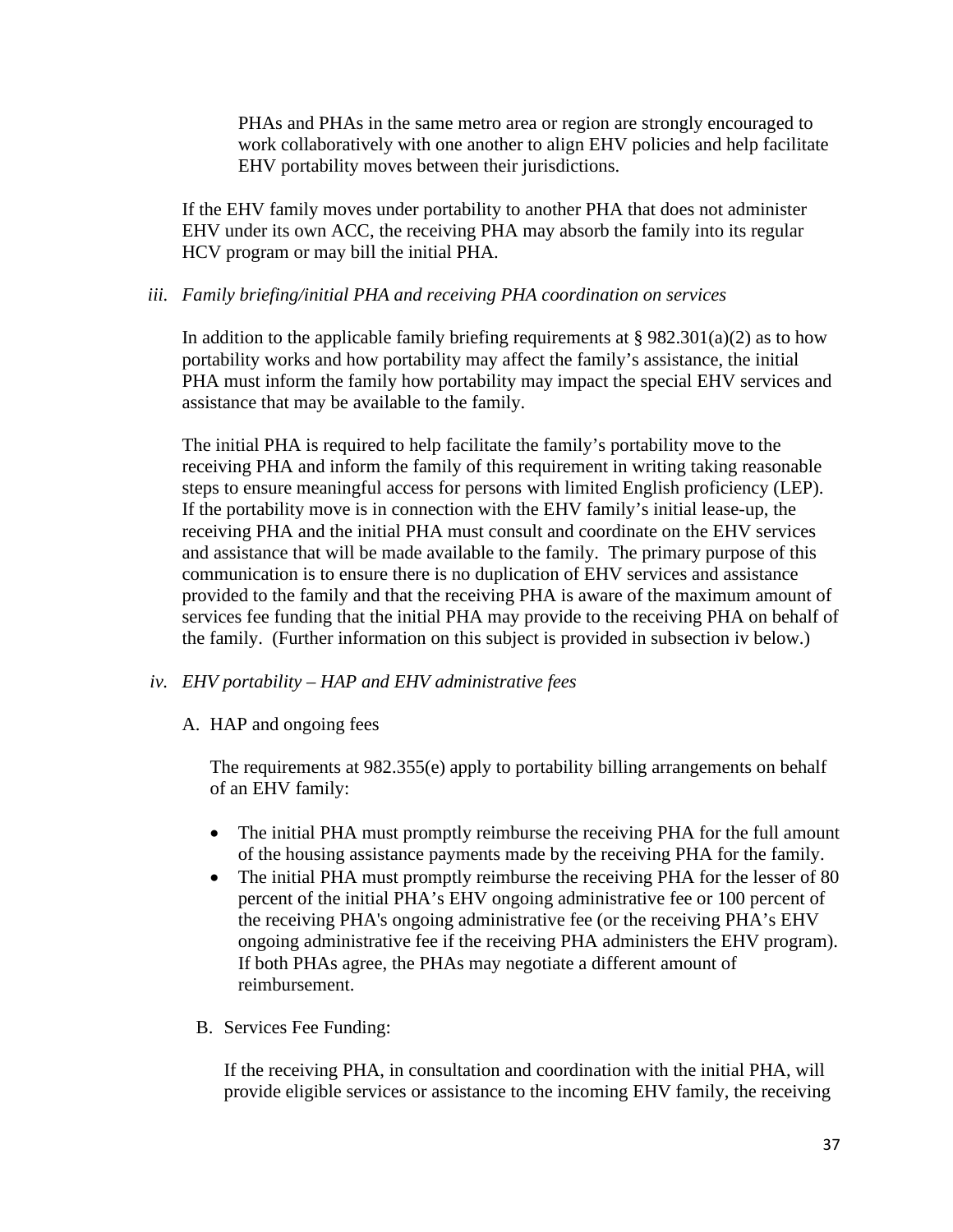PHAs and PHAs in the same metro area or region are strongly encouraged to work collaboratively with one another to align EHV policies and help facilitate EHV portability moves between their jurisdictions.

If the EHV family moves under portability to another PHA that does not administer EHV under its own ACC, the receiving PHA may absorb the family into its regular HCV program or may bill the initial PHA.

### *iii. Family briefing/initial PHA and receiving PHA coordination on services*

In addition to the applicable family briefing requirements at  $\S 982.301(a)(2)$  as to how portability works and how portability may affect the family's assistance, the initial PHA must inform the family how portability may impact the special EHV services and assistance that may be available to the family.

The initial PHA is required to help facilitate the family's portability move to the receiving PHA and inform the family of this requirement in writing taking reasonable steps to ensure meaningful access for persons with limited English proficiency (LEP). If the portability move is in connection with the EHV family's initial lease-up, the receiving PHA and the initial PHA must consult and coordinate on the EHV services and assistance that will be made available to the family. The primary purpose of this communication is to ensure there is no duplication of EHV services and assistance provided to the family and that the receiving PHA is aware of the maximum amount of services fee funding that the initial PHA may provide to the receiving PHA on behalf of the family. (Further information on this subject is provided in subsection iv below.)

#### *iv. EHV portability – HAP and EHV administrative fees*

#### A. HAP and ongoing fees

The requirements at 982.355(e) apply to portability billing arrangements on behalf of an EHV family:

- The initial PHA must promptly reimburse the receiving PHA for the full amount of the housing assistance payments made by the receiving PHA for the family.
- The initial PHA must promptly reimburse the receiving PHA for the lesser of 80 percent of the initial PHA's EHV ongoing administrative fee or 100 percent of the receiving PHA's ongoing administrative fee (or the receiving PHA's EHV ongoing administrative fee if the receiving PHA administers the EHV program). If both PHAs agree, the PHAs may negotiate a different amount of reimbursement.
- B. Services Fee Funding:

If the receiving PHA, in consultation and coordination with the initial PHA, will provide eligible services or assistance to the incoming EHV family, the receiving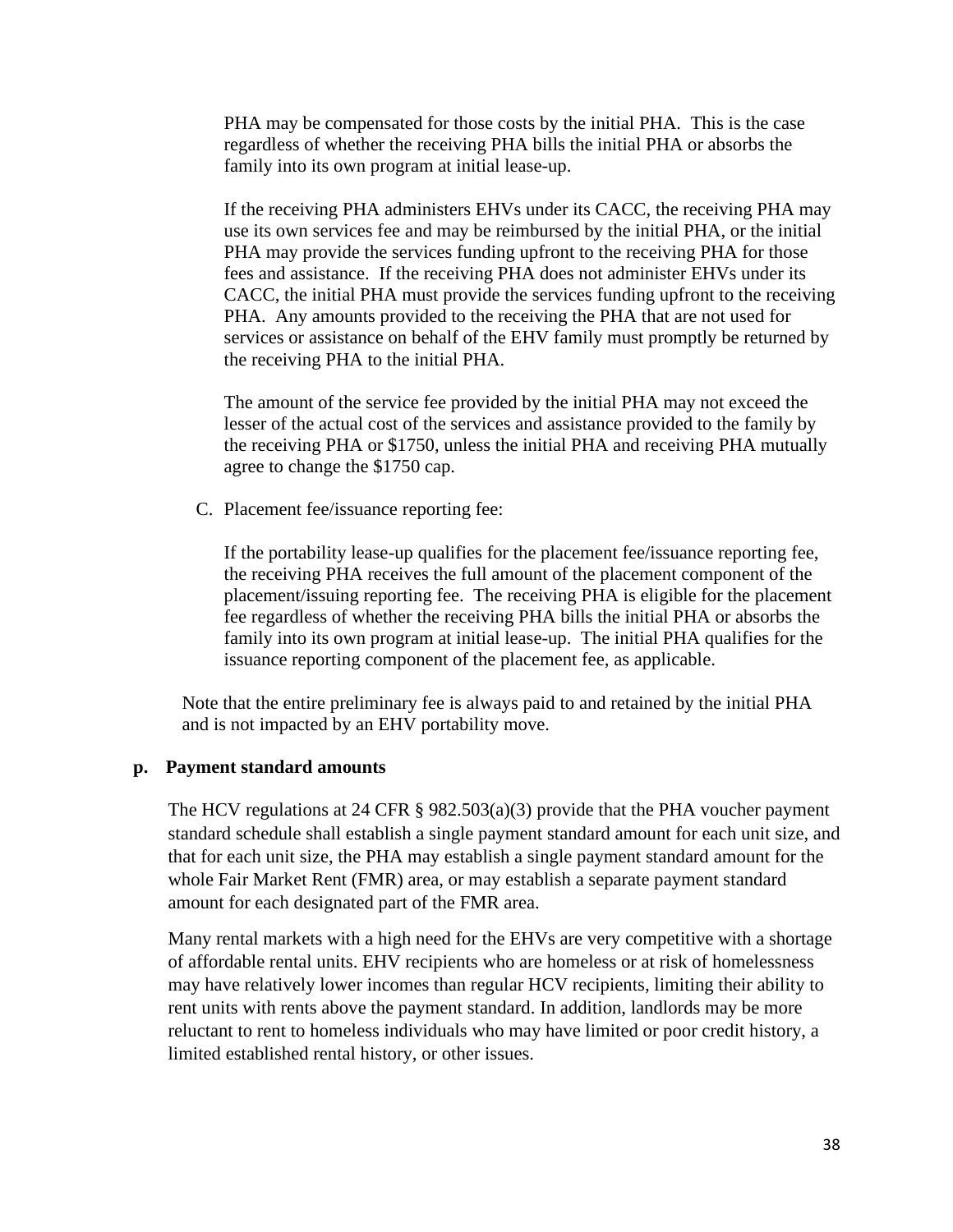PHA may be compensated for those costs by the initial PHA. This is the case regardless of whether the receiving PHA bills the initial PHA or absorbs the family into its own program at initial lease-up.

If the receiving PHA administers EHVs under its CACC, the receiving PHA may use its own services fee and may be reimbursed by the initial PHA, or the initial PHA may provide the services funding upfront to the receiving PHA for those fees and assistance. If the receiving PHA does not administer EHVs under its CACC, the initial PHA must provide the services funding upfront to the receiving PHA. Any amounts provided to the receiving the PHA that are not used for services or assistance on behalf of the EHV family must promptly be returned by the receiving PHA to the initial PHA.

The amount of the service fee provided by the initial PHA may not exceed the lesser of the actual cost of the services and assistance provided to the family by the receiving PHA or \$1750, unless the initial PHA and receiving PHA mutually agree to change the \$1750 cap.

C. Placement fee/issuance reporting fee:

If the portability lease-up qualifies for the placement fee/issuance reporting fee, the receiving PHA receives the full amount of the placement component of the placement/issuing reporting fee. The receiving PHA is eligible for the placement fee regardless of whether the receiving PHA bills the initial PHA or absorbs the family into its own program at initial lease-up. The initial PHA qualifies for the issuance reporting component of the placement fee, as applicable.

Note that the entire preliminary fee is always paid to and retained by the initial PHA and is not impacted by an EHV portability move.

#### **p. Payment standard amounts**

The HCV regulations at 24 CFR § 982.503(a)(3) provide that the PHA voucher payment standard schedule shall establish a single payment standard amount for each unit size, and that for each unit size, the PHA may establish a single payment standard amount for the whole Fair Market Rent (FMR) area, or may establish a separate payment standard amount for each designated part of the FMR area.

Many rental markets with a high need for the EHVs are very competitive with a shortage of affordable rental units. EHV recipients who are homeless or at risk of homelessness may have relatively lower incomes than regular HCV recipients, limiting their ability to rent units with rents above the payment standard. In addition, landlords may be more reluctant to rent to homeless individuals who may have limited or poor credit history, a limited established rental history, or other issues.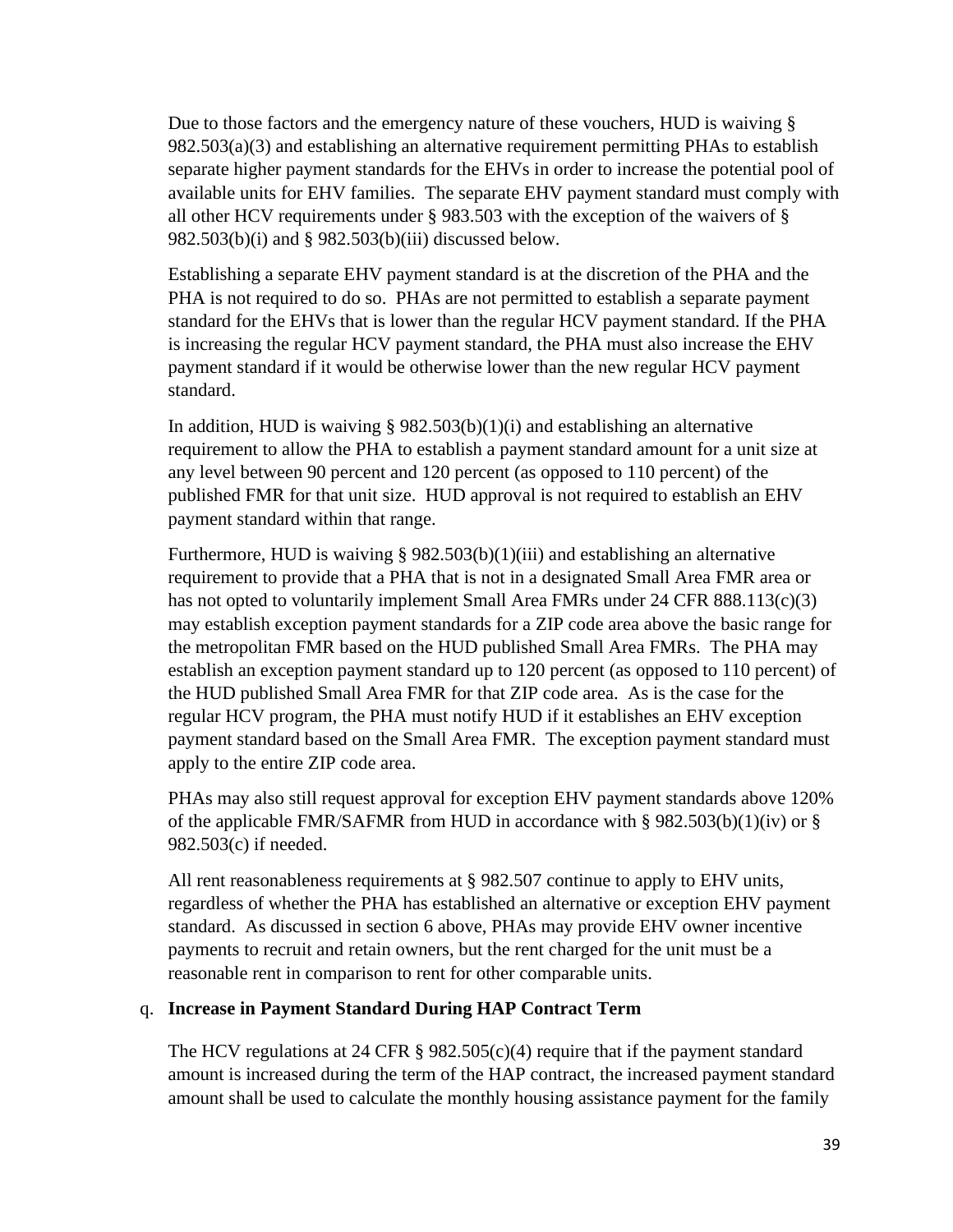Due to those factors and the emergency nature of these vouchers, HUD is waiving § 982.503(a)(3) and establishing an alternative requirement permitting PHAs to establish separate higher payment standards for the EHVs in order to increase the potential pool of available units for EHV families. The separate EHV payment standard must comply with all other HCV requirements under § 983.503 with the exception of the waivers of § 982.503(b)(i) and § 982.503(b)(iii) discussed below.

Establishing a separate EHV payment standard is at the discretion of the PHA and the PHA is not required to do so. PHAs are not permitted to establish a separate payment standard for the EHVs that is lower than the regular HCV payment standard. If the PHA is increasing the regular HCV payment standard, the PHA must also increase the EHV payment standard if it would be otherwise lower than the new regular HCV payment standard.

In addition, HUD is waiving  $\S 982.503(b)(1)(i)$  and establishing an alternative requirement to allow the PHA to establish a payment standard amount for a unit size at any level between 90 percent and 120 percent (as opposed to 110 percent) of the published FMR for that unit size. HUD approval is not required to establish an EHV payment standard within that range.

Furthermore, HUD is waiving § 982.503(b)(1)(iii) and establishing an alternative requirement to provide that a PHA that is not in a designated Small Area FMR area or has not opted to voluntarily implement Small Area FMRs under 24 CFR 888.113(c)(3) may establish exception payment standards for a ZIP code area above the basic range for the metropolitan FMR based on the HUD published Small Area FMRs. The PHA may establish an exception payment standard up to 120 percent (as opposed to 110 percent) of the HUD published Small Area FMR for that ZIP code area. As is the case for the regular HCV program, the PHA must notify HUD if it establishes an EHV exception payment standard based on the Small Area FMR. The exception payment standard must apply to the entire ZIP code area.

PHAs may also still request approval for exception EHV payment standards above 120% of the applicable FMR/SAFMR from HUD in accordance with § 982.503(b)(1)(iv) or § 982.503(c) if needed.

All rent reasonableness requirements at § 982.507 continue to apply to EHV units, regardless of whether the PHA has established an alternative or exception EHV payment standard. As discussed in section 6 above, PHAs may provide EHV owner incentive payments to recruit and retain owners, but the rent charged for the unit must be a reasonable rent in comparison to rent for other comparable units.

### q. **Increase in Payment Standard During HAP Contract Term**

The HCV regulations at 24 CFR § 982.505(c)(4) require that if the payment standard amount is increased during the term of the HAP contract, the increased payment standard amount shall be used to calculate the monthly housing assistance payment for the family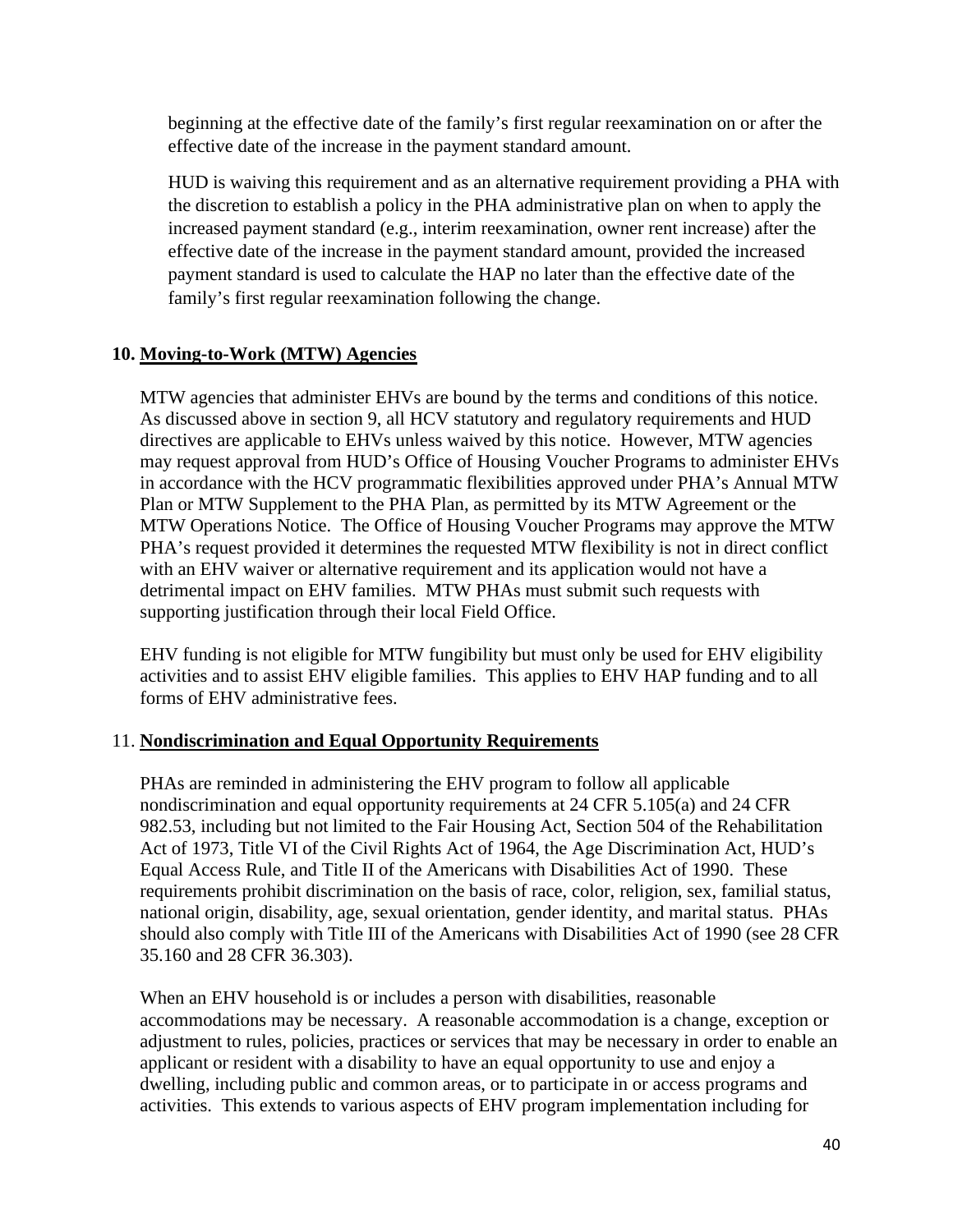beginning at the effective date of the family's first regular reexamination on or after the effective date of the increase in the payment standard amount.

HUD is waiving this requirement and as an alternative requirement providing a PHA with the discretion to establish a policy in the PHA administrative plan on when to apply the increased payment standard (e.g., interim reexamination, owner rent increase) after the effective date of the increase in the payment standard amount, provided the increased payment standard is used to calculate the HAP no later than the effective date of the family's first regular reexamination following the change.

### **10. Moving-to-Work (MTW) Agencies**

MTW agencies that administer EHVs are bound by the terms and conditions of this notice. As discussed above in section 9, all HCV statutory and regulatory requirements and HUD directives are applicable to EHVs unless waived by this notice. However, MTW agencies may request approval from HUD's Office of Housing Voucher Programs to administer EHVs in accordance with the HCV programmatic flexibilities approved under PHA's Annual MTW Plan or MTW Supplement to the PHA Plan, as permitted by its MTW Agreement or the MTW Operations Notice. The Office of Housing Voucher Programs may approve the MTW PHA's request provided it determines the requested MTW flexibility is not in direct conflict with an EHV waiver or alternative requirement and its application would not have a detrimental impact on EHV families. MTW PHAs must submit such requests with supporting justification through their local Field Office.

EHV funding is not eligible for MTW fungibility but must only be used for EHV eligibility activities and to assist EHV eligible families. This applies to EHV HAP funding and to all forms of EHV administrative fees.

### 11. **Nondiscrimination and Equal Opportunity Requirements**

PHAs are reminded in administering the EHV program to follow all applicable nondiscrimination and equal opportunity requirements at 24 CFR 5.105(a) and 24 CFR 982.53, including but not limited to the Fair Housing Act, Section 504 of the Rehabilitation Act of 1973, Title VI of the Civil Rights Act of 1964, the Age Discrimination Act, HUD's Equal Access Rule, and Title II of the Americans with Disabilities Act of 1990. These requirements prohibit discrimination on the basis of race, color, religion, sex, familial status, national origin, disability, age, sexual orientation, gender identity, and marital status. PHAs should also comply with Title III of the Americans with Disabilities Act of 1990 (see 28 CFR 35.160 and 28 CFR 36.303).

When an EHV household is or includes a person with disabilities, reasonable accommodations may be necessary. A reasonable accommodation is a change, exception or adjustment to rules, policies, practices or services that may be necessary in order to enable an applicant or resident with a disability to have an equal opportunity to use and enjoy a dwelling, including public and common areas, or to participate in or access programs and activities. This extends to various aspects of EHV program implementation including for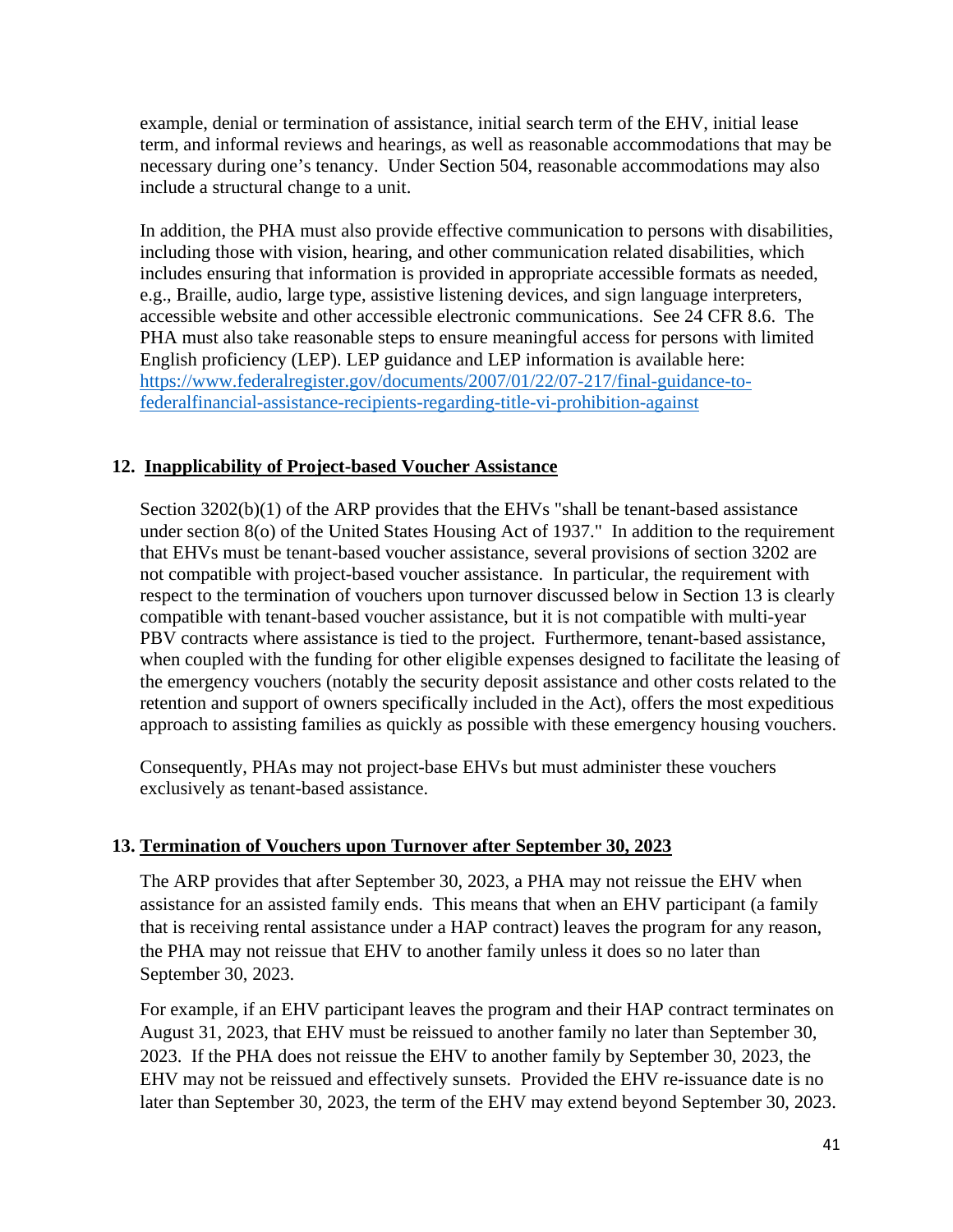example, denial or termination of assistance, initial search term of the EHV, initial lease term, and informal reviews and hearings, as well as reasonable accommodations that may be necessary during one's tenancy. Under Section 504, reasonable accommodations may also include a structural change to a unit.

In addition, the PHA must also provide effective communication to persons with disabilities, including those with vision, hearing, and other communication related disabilities, which includes ensuring that information is provided in appropriate accessible formats as needed, e.g., Braille, audio, large type, assistive listening devices, and sign language interpreters, accessible website and other accessible electronic communications. See 24 CFR 8.6. The PHA must also take reasonable steps to ensure meaningful access for persons with limited English proficiency (LEP). LEP guidance and LEP information is available here: [https://www.federalregister.gov/documents/2007/01/22/07-217/final-guidance-to](https://www.federalregister.gov/documents/2007/01/22/07-217/final-guidance-to-federalfinancial-assistance-recipients-regarding-title-vi-prohibition-against)[federalfinancial-assistance-recipients-regarding-title-vi-prohibition-against](https://www.federalregister.gov/documents/2007/01/22/07-217/final-guidance-to-federalfinancial-assistance-recipients-regarding-title-vi-prohibition-against) 

### **12. Inapplicability of Project-based Voucher Assistance**

Section 3202(b)(1) of the ARP provides that the EHVs "shall be tenant-based assistance under section 8(o) of the United States Housing Act of 1937." In addition to the requirement that EHVs must be tenant-based voucher assistance, several provisions of section 3202 are not compatible with project-based voucher assistance. In particular, the requirement with respect to the termination of vouchers upon turnover discussed below in Section 13 is clearly compatible with tenant-based voucher assistance, but it is not compatible with multi-year PBV contracts where assistance is tied to the project. Furthermore, tenant-based assistance, when coupled with the funding for other eligible expenses designed to facilitate the leasing of the emergency vouchers (notably the security deposit assistance and other costs related to the retention and support of owners specifically included in the Act), offers the most expeditious approach to assisting families as quickly as possible with these emergency housing vouchers.

Consequently, PHAs may not project-base EHVs but must administer these vouchers exclusively as tenant-based assistance.

### **13. Termination of Vouchers upon Turnover after September 30, 2023**

The ARP provides that after September 30, 2023, a PHA may not reissue the EHV when assistance for an assisted family ends. This means that when an EHV participant (a family that is receiving rental assistance under a HAP contract) leaves the program for any reason, the PHA may not reissue that EHV to another family unless it does so no later than September 30, 2023.

For example, if an EHV participant leaves the program and their HAP contract terminates on August 31, 2023, that EHV must be reissued to another family no later than September 30, 2023. If the PHA does not reissue the EHV to another family by September 30, 2023, the EHV may not be reissued and effectively sunsets. Provided the EHV re-issuance date is no later than September 30, 2023, the term of the EHV may extend beyond September 30, 2023.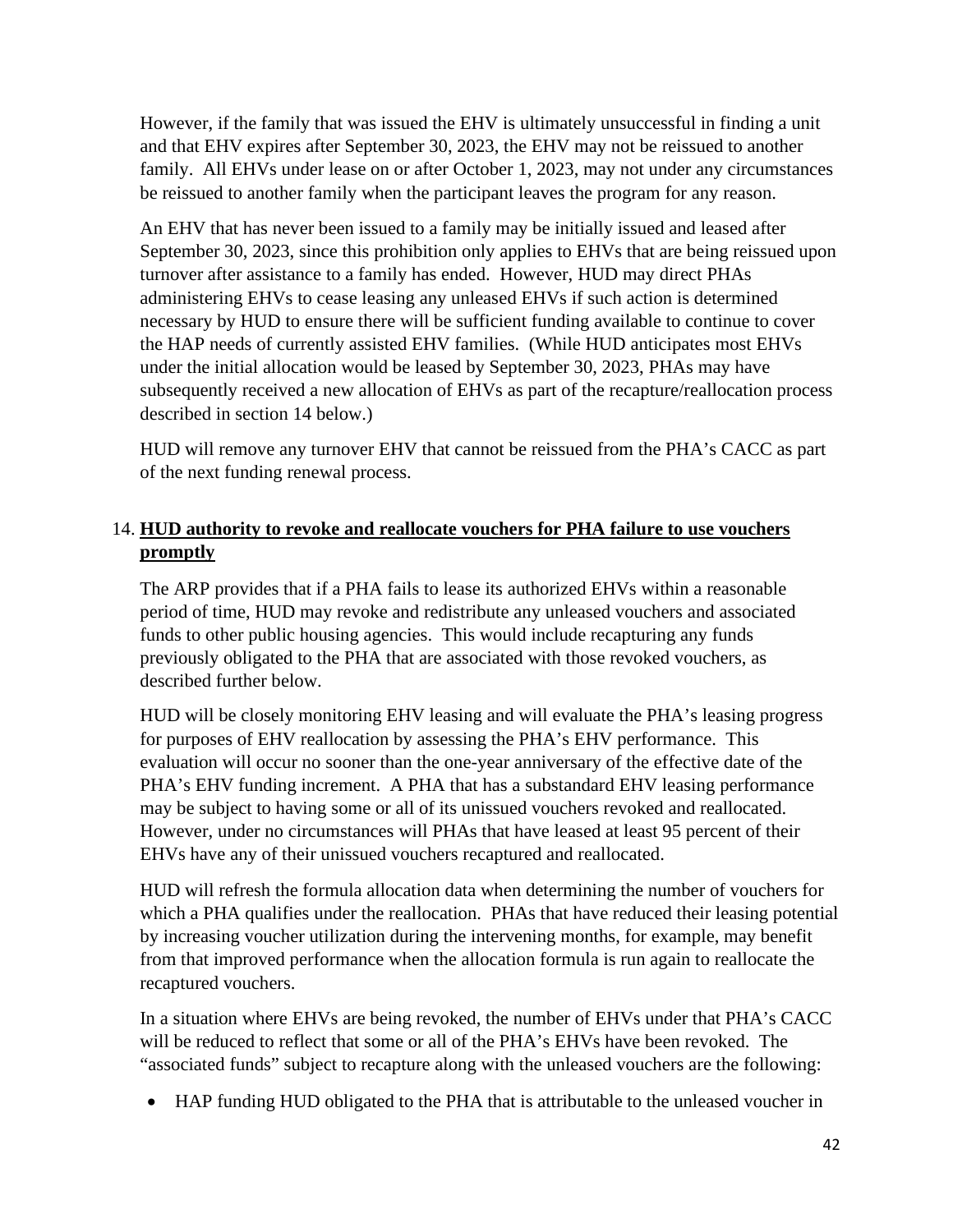However, if the family that was issued the EHV is ultimately unsuccessful in finding a unit and that EHV expires after September 30, 2023, the EHV may not be reissued to another family. All EHVs under lease on or after October 1, 2023, may not under any circumstances be reissued to another family when the participant leaves the program for any reason.

An EHV that has never been issued to a family may be initially issued and leased after September 30, 2023, since this prohibition only applies to EHVs that are being reissued upon turnover after assistance to a family has ended. However, HUD may direct PHAs administering EHVs to cease leasing any unleased EHVs if such action is determined necessary by HUD to ensure there will be sufficient funding available to continue to cover the HAP needs of currently assisted EHV families. (While HUD anticipates most EHVs under the initial allocation would be leased by September 30, 2023, PHAs may have subsequently received a new allocation of EHVs as part of the recapture/reallocation process described in section 14 below.)

HUD will remove any turnover EHV that cannot be reissued from the PHA's CACC as part of the next funding renewal process.

### 14. **HUD authority to revoke and reallocate vouchers for PHA failure to use vouchers promptly**

The ARP provides that if a PHA fails to lease its authorized EHVs within a reasonable period of time, HUD may revoke and redistribute any unleased vouchers and associated funds to other public housing agencies. This would include recapturing any funds previously obligated to the PHA that are associated with those revoked vouchers, as described further below.

HUD will be closely monitoring EHV leasing and will evaluate the PHA's leasing progress for purposes of EHV reallocation by assessing the PHA's EHV performance. This evaluation will occur no sooner than the one-year anniversary of the effective date of the PHA's EHV funding increment. A PHA that has a substandard EHV leasing performance may be subject to having some or all of its unissued vouchers revoked and reallocated. However, under no circumstances will PHAs that have leased at least 95 percent of their EHVs have any of their unissued vouchers recaptured and reallocated.

HUD will refresh the formula allocation data when determining the number of vouchers for which a PHA qualifies under the reallocation. PHAs that have reduced their leasing potential by increasing voucher utilization during the intervening months, for example, may benefit from that improved performance when the allocation formula is run again to reallocate the recaptured vouchers.

In a situation where EHVs are being revoked, the number of EHVs under that PHA's CACC will be reduced to reflect that some or all of the PHA's EHVs have been revoked. The "associated funds" subject to recapture along with the unleased vouchers are the following:

HAP funding HUD obligated to the PHA that is attributable to the unleased voucher in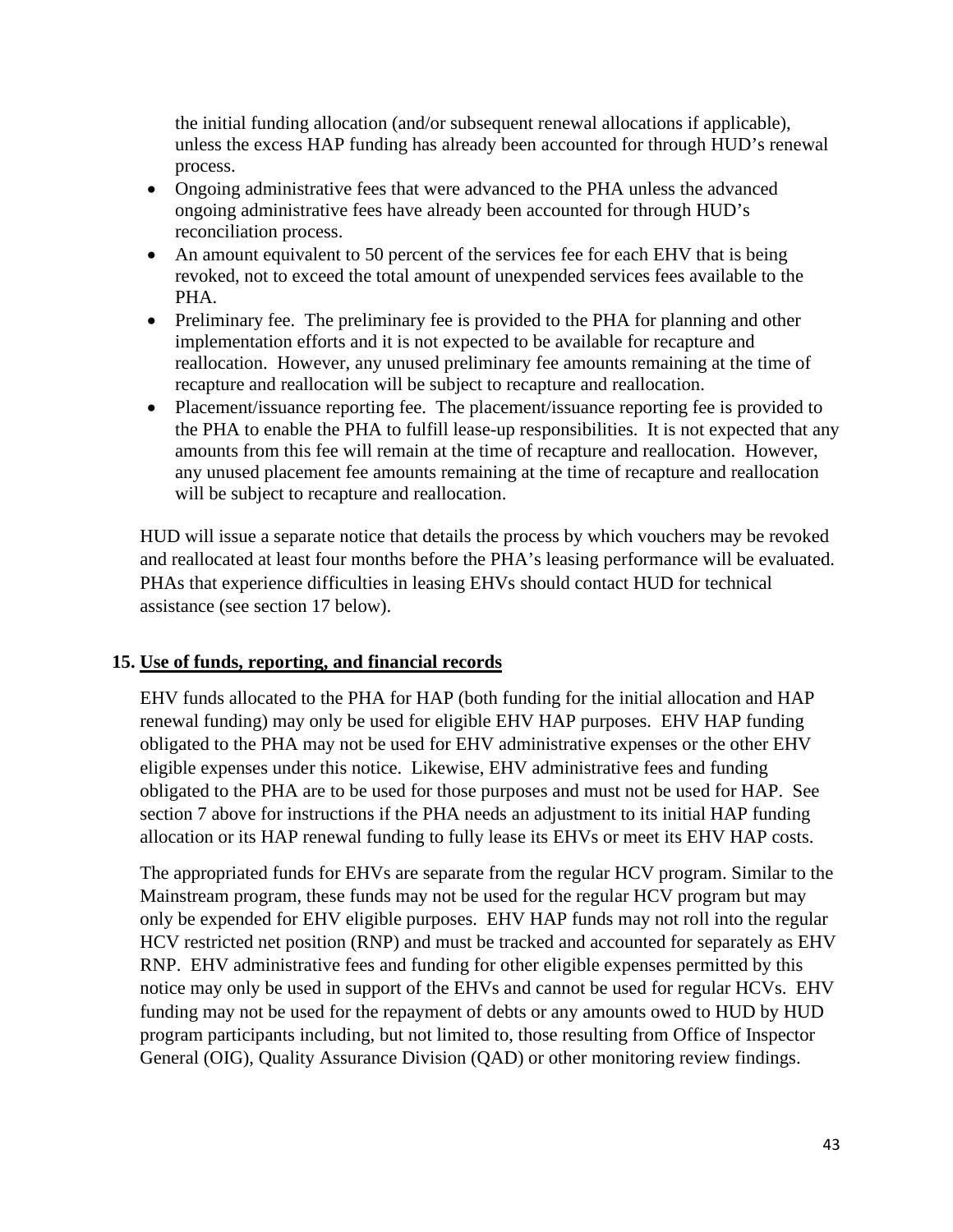the initial funding allocation (and/or subsequent renewal allocations if applicable), unless the excess HAP funding has already been accounted for through HUD's renewal process.

- Ongoing administrative fees that were advanced to the PHA unless the advanced ongoing administrative fees have already been accounted for through HUD's reconciliation process.
- An amount equivalent to 50 percent of the services fee for each EHV that is being revoked, not to exceed the total amount of unexpended services fees available to the PHA.
- Preliminary fee. The preliminary fee is provided to the PHA for planning and other implementation efforts and it is not expected to be available for recapture and reallocation. However, any unused preliminary fee amounts remaining at the time of recapture and reallocation will be subject to recapture and reallocation.
- Placement/issuance reporting fee. The placement/issuance reporting fee is provided to the PHA to enable the PHA to fulfill lease-up responsibilities. It is not expected that any amounts from this fee will remain at the time of recapture and reallocation. However, any unused placement fee amounts remaining at the time of recapture and reallocation will be subject to recapture and reallocation.

HUD will issue a separate notice that details the process by which vouchers may be revoked and reallocated at least four months before the PHA's leasing performance will be evaluated. PHAs that experience difficulties in leasing EHVs should contact HUD for technical assistance (see section 17 below).

### **15. Use of funds, reporting, and financial records**

EHV funds allocated to the PHA for HAP (both funding for the initial allocation and HAP renewal funding) may only be used for eligible EHV HAP purposes. EHV HAP funding obligated to the PHA may not be used for EHV administrative expenses or the other EHV eligible expenses under this notice. Likewise, EHV administrative fees and funding obligated to the PHA are to be used for those purposes and must not be used for HAP. See section 7 above for instructions if the PHA needs an adjustment to its initial HAP funding allocation or its HAP renewal funding to fully lease its EHVs or meet its EHV HAP costs.

The appropriated funds for EHVs are separate from the regular HCV program. Similar to the Mainstream program, these funds may not be used for the regular HCV program but may only be expended for EHV eligible purposes. EHV HAP funds may not roll into the regular HCV restricted net position (RNP) and must be tracked and accounted for separately as EHV RNP. EHV administrative fees and funding for other eligible expenses permitted by this notice may only be used in support of the EHVs and cannot be used for regular HCVs. EHV funding may not be used for the repayment of debts or any amounts owed to HUD by HUD program participants including, but not limited to, those resulting from Office of Inspector General (OIG), Quality Assurance Division (QAD) or other monitoring review findings.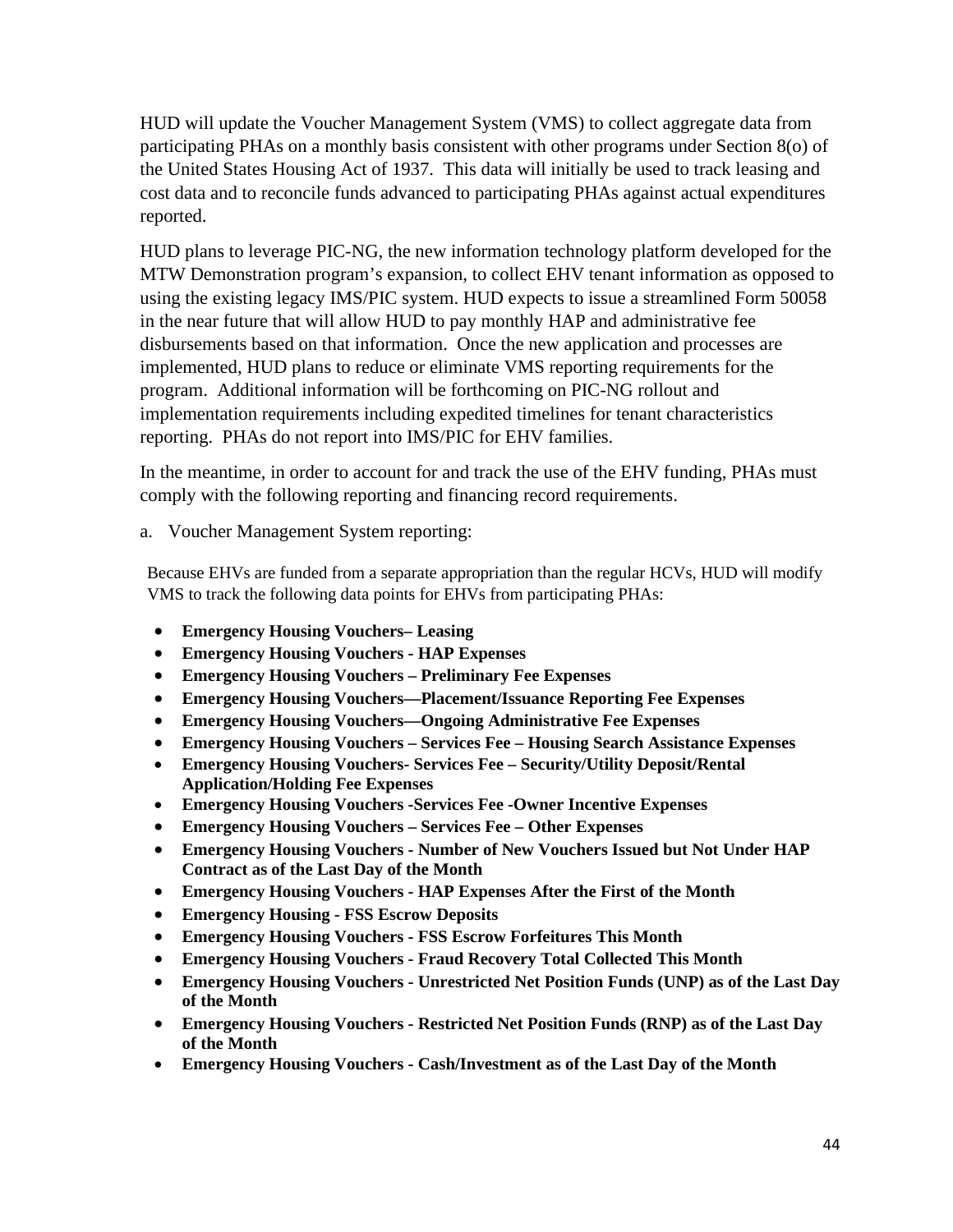HUD will update the Voucher Management System (VMS) to collect aggregate data from participating PHAs on a monthly basis consistent with other programs under Section 8(o) of the United States Housing Act of 1937. This data will initially be used to track leasing and cost data and to reconcile funds advanced to participating PHAs against actual expenditures reported.

HUD plans to leverage PIC-NG, the new information technology platform developed for the MTW Demonstration program's expansion, to collect EHV tenant information as opposed to using the existing legacy IMS/PIC system. HUD expects to issue a streamlined Form 50058 in the near future that will allow HUD to pay monthly HAP and administrative fee disbursements based on that information. Once the new application and processes are implemented, HUD plans to reduce or eliminate VMS reporting requirements for the program. Additional information will be forthcoming on PIC-NG rollout and implementation requirements including expedited timelines for tenant characteristics reporting. PHAs do not report into IMS/PIC for EHV families.

In the meantime, in order to account for and track the use of the EHV funding, PHAs must comply with the following reporting and financing record requirements.

a. Voucher Management System reporting:

Because EHVs are funded from a separate appropriation than the regular HCVs, HUD will modify VMS to track the following data points for EHVs from participating PHAs:

- **Emergency Housing Vouchers– Leasing**
- **Emergency Housing Vouchers HAP Expenses**
- **Emergency Housing Vouchers Preliminary Fee Expenses**
- **Emergency Housing Vouchers—Placement/Issuance Reporting Fee Expenses**
- **Emergency Housing Vouchers—Ongoing Administrative Fee Expenses**
- **Emergency Housing Vouchers Services Fee Housing Search Assistance Expenses**
- **Emergency Housing Vouchers- Services Fee Security/Utility Deposit/Rental Application/Holding Fee Expenses**
- **Emergency Housing Vouchers -Services Fee -Owner Incentive Expenses**
- **Emergency Housing Vouchers Services Fee Other Expenses**
- **Emergency Housing Vouchers Number of New Vouchers Issued but Not Under HAP Contract as of the Last Day of the Month**
- **Emergency Housing Vouchers HAP Expenses After the First of the Month**
- **Emergency Housing FSS Escrow Deposits**
- **Emergency Housing Vouchers FSS Escrow Forfeitures This Month**
- **Emergency Housing Vouchers Fraud Recovery Total Collected This Month**
- **Emergency Housing Vouchers Unrestricted Net Position Funds (UNP) as of the Last Day of the Month**
- **Emergency Housing Vouchers Restricted Net Position Funds (RNP) as of the Last Day of the Month**
- **Emergency Housing Vouchers Cash/Investment as of the Last Day of the Month**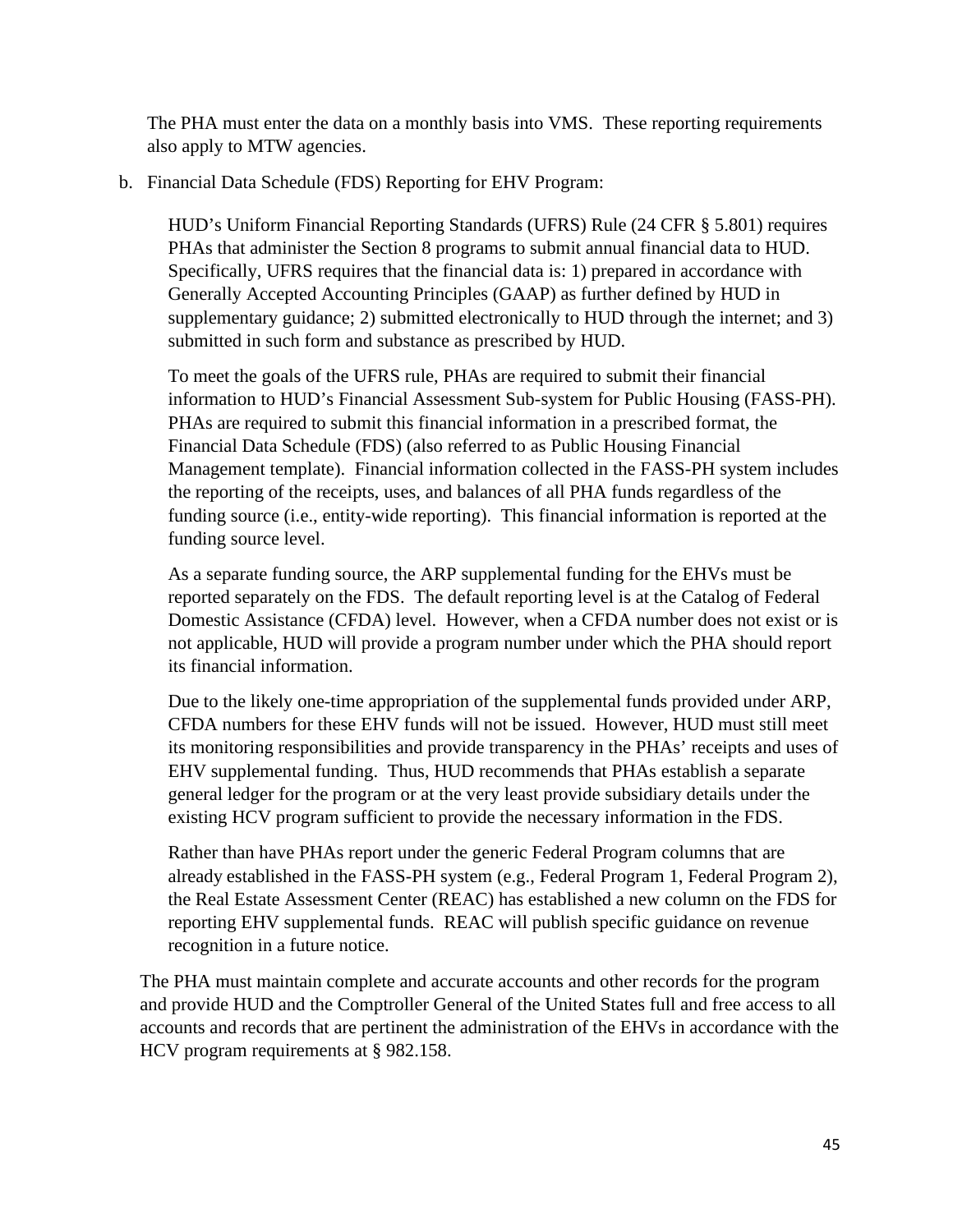The PHA must enter the data on a monthly basis into VMS. These reporting requirements also apply to MTW agencies.

b. Financial Data Schedule (FDS) Reporting for EHV Program:

HUD's Uniform Financial Reporting Standards (UFRS) Rule (24 CFR § 5.801) requires PHAs that administer the Section 8 programs to submit annual financial data to HUD. Specifically, UFRS requires that the financial data is: 1) prepared in accordance with Generally Accepted Accounting Principles (GAAP) as further defined by HUD in supplementary guidance; 2) submitted electronically to HUD through the internet; and 3) submitted in such form and substance as prescribed by HUD.

To meet the goals of the UFRS rule, PHAs are required to submit their financial information to HUD's Financial Assessment Sub-system for Public Housing (FASS-PH). PHAs are required to submit this financial information in a prescribed format, the Financial Data Schedule (FDS) (also referred to as Public Housing Financial Management template). Financial information collected in the FASS-PH system includes the reporting of the receipts, uses, and balances of all PHA funds regardless of the funding source (i.e., entity-wide reporting). This financial information is reported at the funding source level.

As a separate funding source, the ARP supplemental funding for the EHVs must be reported separately on the FDS. The default reporting level is at the Catalog of Federal Domestic Assistance (CFDA) level. However, when a CFDA number does not exist or is not applicable, HUD will provide a program number under which the PHA should report its financial information.

Due to the likely one-time appropriation of the supplemental funds provided under ARP, CFDA numbers for these EHV funds will not be issued. However, HUD must still meet its monitoring responsibilities and provide transparency in the PHAs' receipts and uses of EHV supplemental funding. Thus, HUD recommends that PHAs establish a separate general ledger for the program or at the very least provide subsidiary details under the existing HCV program sufficient to provide the necessary information in the FDS.

Rather than have PHAs report under the generic Federal Program columns that are already established in the FASS-PH system (e.g., Federal Program 1, Federal Program 2), the Real Estate Assessment Center (REAC) has established a new column on the FDS for reporting EHV supplemental funds. REAC will publish specific guidance on revenue recognition in a future notice.

The PHA must maintain complete and accurate accounts and other records for the program and provide HUD and the Comptroller General of the United States full and free access to all accounts and records that are pertinent the administration of the EHVs in accordance with the HCV program requirements at § 982.158.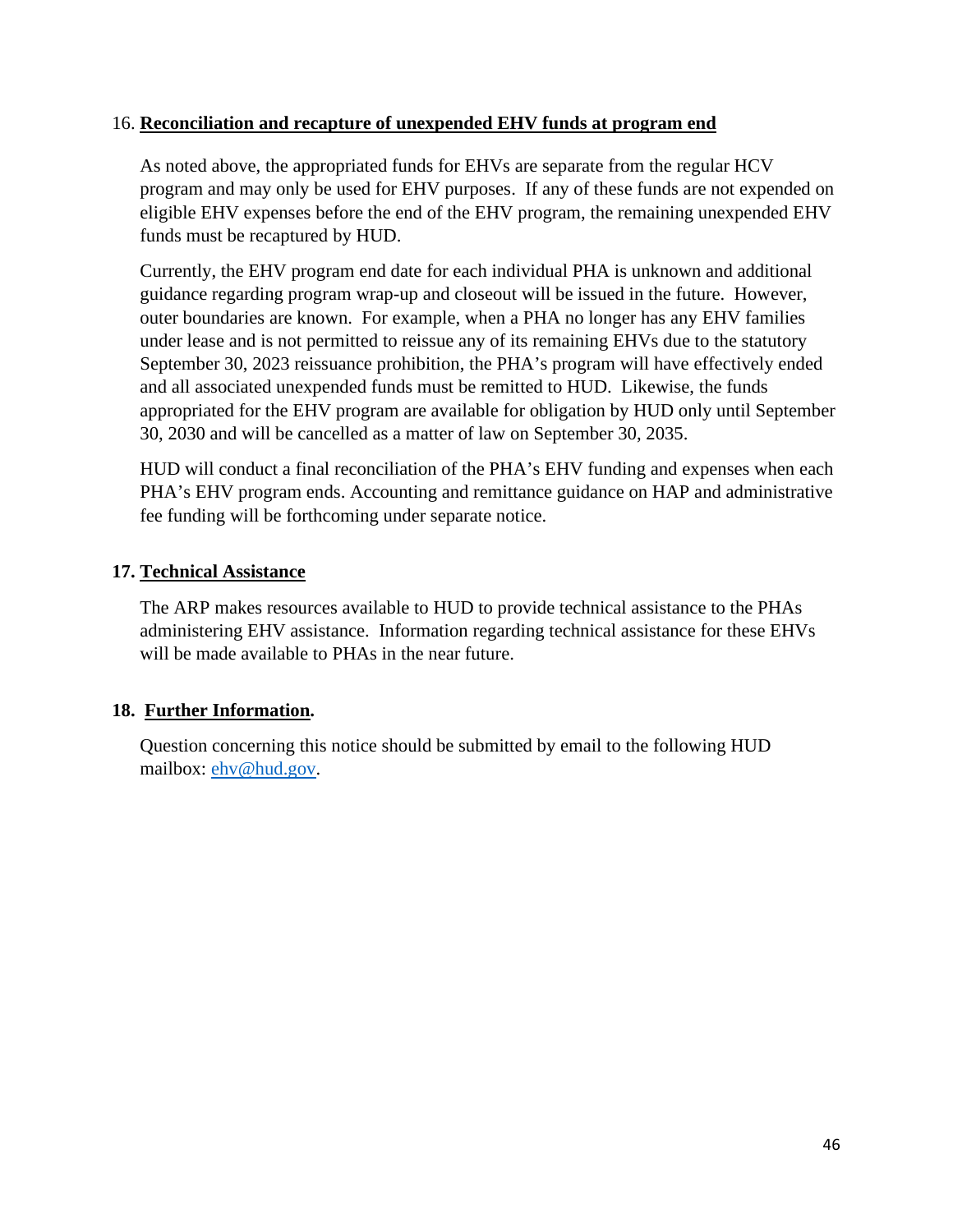### 16. **Reconciliation and recapture of unexpended EHV funds at program end**

As noted above, the appropriated funds for EHVs are separate from the regular HCV program and may only be used for EHV purposes. If any of these funds are not expended on eligible EHV expenses before the end of the EHV program, the remaining unexpended EHV funds must be recaptured by HUD.

Currently, the EHV program end date for each individual PHA is unknown and additional guidance regarding program wrap-up and closeout will be issued in the future. However, outer boundaries are known. For example, when a PHA no longer has any EHV families under lease and is not permitted to reissue any of its remaining EHVs due to the statutory September 30, 2023 reissuance prohibition, the PHA's program will have effectively ended and all associated unexpended funds must be remitted to HUD. Likewise, the funds appropriated for the EHV program are available for obligation by HUD only until September 30, 2030 and will be cancelled as a matter of law on September 30, 2035.

HUD will conduct a final reconciliation of the PHA's EHV funding and expenses when each PHA's EHV program ends. Accounting and remittance guidance on HAP and administrative fee funding will be forthcoming under separate notice.

### **17. Technical Assistance**

The ARP makes resources available to HUD to provide technical assistance to the PHAs administering EHV assistance. Information regarding technical assistance for these EHVs will be made available to PHAs in the near future.

### **18. Further Information.**

Question concerning this notice should be submitted by email to the following HUD mailbox: [ehv@hud.gov.](mailto:ehv@hud.gov)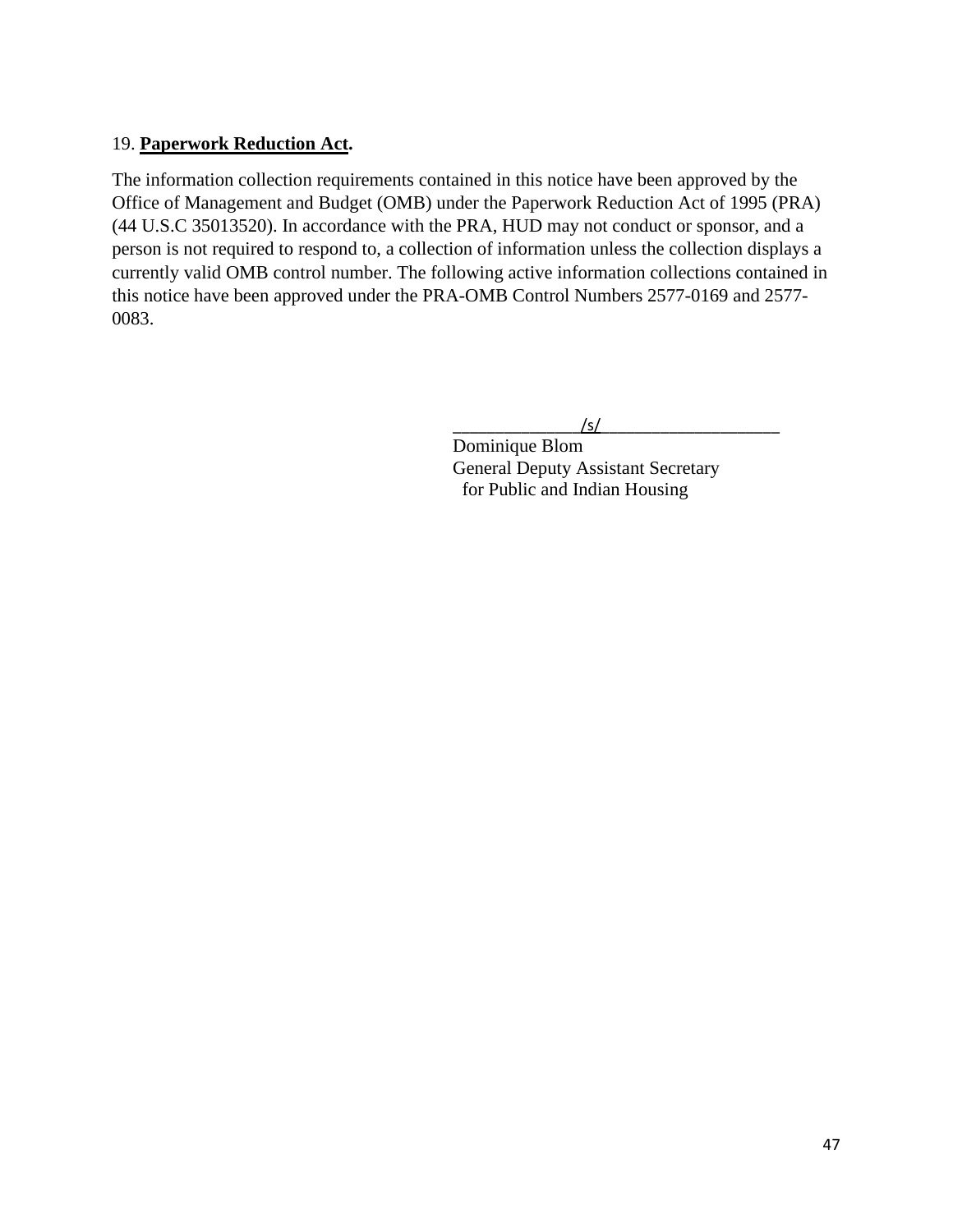### 19. **Paperwork Reduction Act.**

The information collection requirements contained in this notice have been approved by the Office of Management and Budget (OMB) under the Paperwork Reduction Act of 1995 (PRA) (44 U.S.C 35013520). In accordance with the PRA, HUD may not conduct or sponsor, and a person is not required to respond to, a collection of information unless the collection displays a currently valid OMB control number. The following active information collections contained in this notice have been approved under the PRA-OMB Control Numbers 2577-0169 and 2577- 0083.

 $\sqrt{s/2}$ 

Dominique Blom General Deputy Assistant Secretary for Public and Indian Housing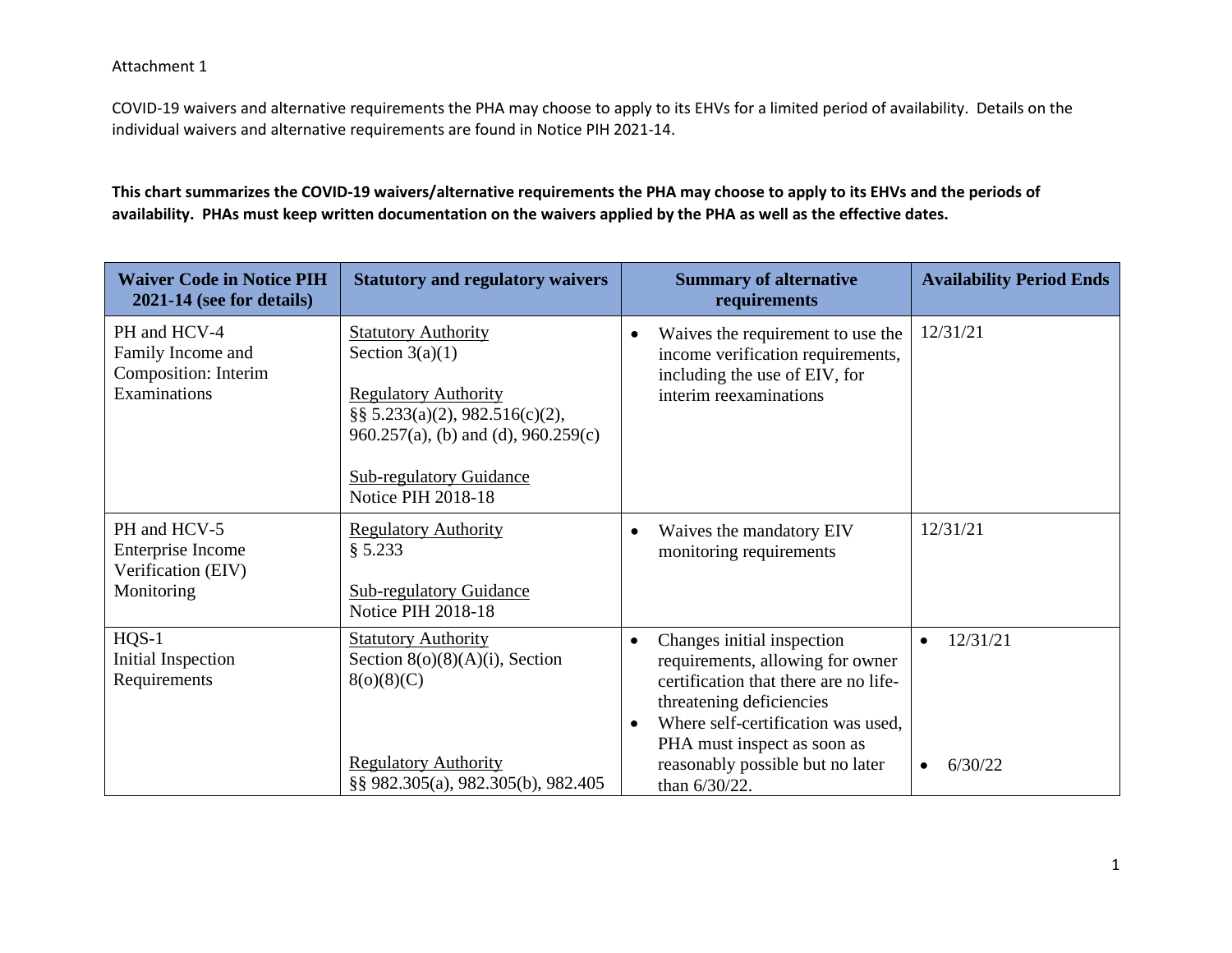COVID-19 waivers and alternative requirements the PHA may choose to apply to its EHVs for a limited period of availability. Details on the individual waivers and alternative requirements are found in Notice PIH 2021-14.

**This chart summarizes the COVID-19 waivers/alternative requirements the PHA may choose to apply to its EHVs and the periods of availability. PHAs must keep written documentation on the waivers applied by the PHA as well as the effective dates.** 

| <b>Waiver Code in Notice PIH</b><br>2021-14 (see for details)             | <b>Statutory and regulatory waivers</b>                                                                                                                                                                                         | <b>Summary of alternative</b><br>requirements                                                                                                                                                                                                                 | <b>Availability Period Ends</b>               |
|---------------------------------------------------------------------------|---------------------------------------------------------------------------------------------------------------------------------------------------------------------------------------------------------------------------------|---------------------------------------------------------------------------------------------------------------------------------------------------------------------------------------------------------------------------------------------------------------|-----------------------------------------------|
| PH and HCV-4<br>Family Income and<br>Composition: Interim<br>Examinations | <b>Statutory Authority</b><br>Section $3(a)(1)$<br><b>Regulatory Authority</b><br>$\S$ § 5.233(a)(2), 982.516(c)(2),<br>$960.257(a)$ , (b) and (d), $960.259(c)$<br><b>Sub-regulatory Guidance</b><br><b>Notice PIH 2018-18</b> | Waives the requirement to use the<br>income verification requirements,<br>including the use of EIV, for<br>interim reexaminations                                                                                                                             | 12/31/21                                      |
| PH and HCV-5<br>Enterprise Income<br>Verification (EIV)<br>Monitoring     | <b>Regulatory Authority</b><br>§ 5.233<br><b>Sub-regulatory Guidance</b><br><b>Notice PIH 2018-18</b>                                                                                                                           | Waives the mandatory EIV<br>monitoring requirements                                                                                                                                                                                                           | 12/31/21                                      |
| $HQS-1$<br><b>Initial Inspection</b><br>Requirements                      | <b>Statutory Authority</b><br>Section $8(0)(8)(A)(i)$ , Section<br>8(0)(8)(C)<br><b>Regulatory Authority</b><br>§§ 982.305(a), 982.305(b), 982.405                                                                              | Changes initial inspection<br>requirements, allowing for owner<br>certification that there are no life-<br>threatening deficiencies<br>Where self-certification was used,<br>PHA must inspect as soon as<br>reasonably possible but no later<br>than 6/30/22. | 12/31/21<br>$\bullet$<br>6/30/22<br>$\bullet$ |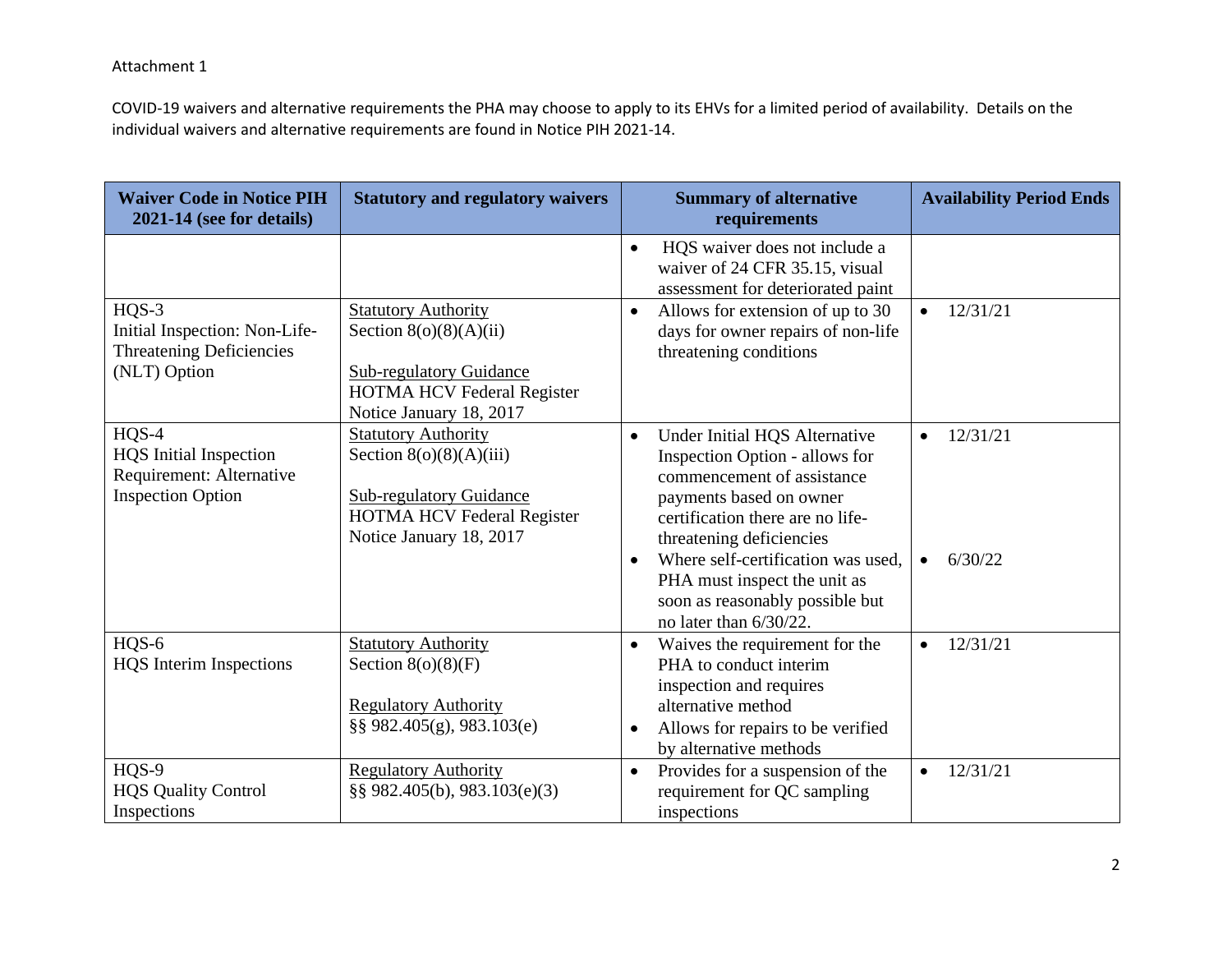COVID-19 waivers and alternative requirements the PHA may choose to apply to its EHVs for a limited period of availability. Details on the individual waivers and alternative requirements are found in Notice PIH 2021-14.

| <b>Waiver Code in Notice PIH</b><br>2021-14 (see for details)                                    | <b>Statutory and regulatory waivers</b>                                                                                                                   | <b>Summary of alternative</b><br>requirements                                                                                                                                                                                                                                                                                            | <b>Availability Period Ends</b>               |
|--------------------------------------------------------------------------------------------------|-----------------------------------------------------------------------------------------------------------------------------------------------------------|------------------------------------------------------------------------------------------------------------------------------------------------------------------------------------------------------------------------------------------------------------------------------------------------------------------------------------------|-----------------------------------------------|
|                                                                                                  |                                                                                                                                                           | HQS waiver does not include a<br>$\bullet$<br>waiver of 24 CFR 35.15, visual<br>assessment for deteriorated paint                                                                                                                                                                                                                        |                                               |
| $HQS-3$<br>Initial Inspection: Non-Life-<br><b>Threatening Deficiencies</b><br>(NLT) Option      | <b>Statutory Authority</b><br>Section $8(o)(8)(A)(ii)$<br><b>Sub-regulatory Guidance</b><br>HOTMA HCV Federal Register<br>Notice January 18, 2017         | Allows for extension of up to 30<br>$\bullet$<br>days for owner repairs of non-life<br>threatening conditions                                                                                                                                                                                                                            | 12/31/21<br>$\bullet$                         |
| $HQS-4$<br><b>HQS</b> Initial Inspection<br>Requirement: Alternative<br><b>Inspection Option</b> | <b>Statutory Authority</b><br>Section $8(0)(8)(A)(iii)$<br><b>Sub-regulatory Guidance</b><br><b>HOTMA HCV Federal Register</b><br>Notice January 18, 2017 | Under Initial HQS Alternative<br>$\bullet$<br>Inspection Option - allows for<br>commencement of assistance<br>payments based on owner<br>certification there are no life-<br>threatening deficiencies<br>Where self-certification was used,<br>PHA must inspect the unit as<br>soon as reasonably possible but<br>no later than 6/30/22. | 12/31/21<br>$\bullet$<br>6/30/22<br>$\bullet$ |
| HQS-6<br><b>HQS</b> Interim Inspections                                                          | <b>Statutory Authority</b><br>Section $8(o)(8)(F)$<br><b>Regulatory Authority</b><br>§§ 982.405(g), 983.103(e)                                            | Waives the requirement for the<br>PHA to conduct interim<br>inspection and requires<br>alternative method<br>Allows for repairs to be verified<br>by alternative methods                                                                                                                                                                 | 12/31/21<br>$\bullet$                         |
| HQS-9<br><b>HQS Quality Control</b><br>Inspections                                               | <b>Regulatory Authority</b><br>§§ 982.405(b), 983.103(e)(3)                                                                                               | Provides for a suspension of the<br>$\bullet$<br>requirement for QC sampling<br>inspections                                                                                                                                                                                                                                              | 12/31/21<br>$\bullet$                         |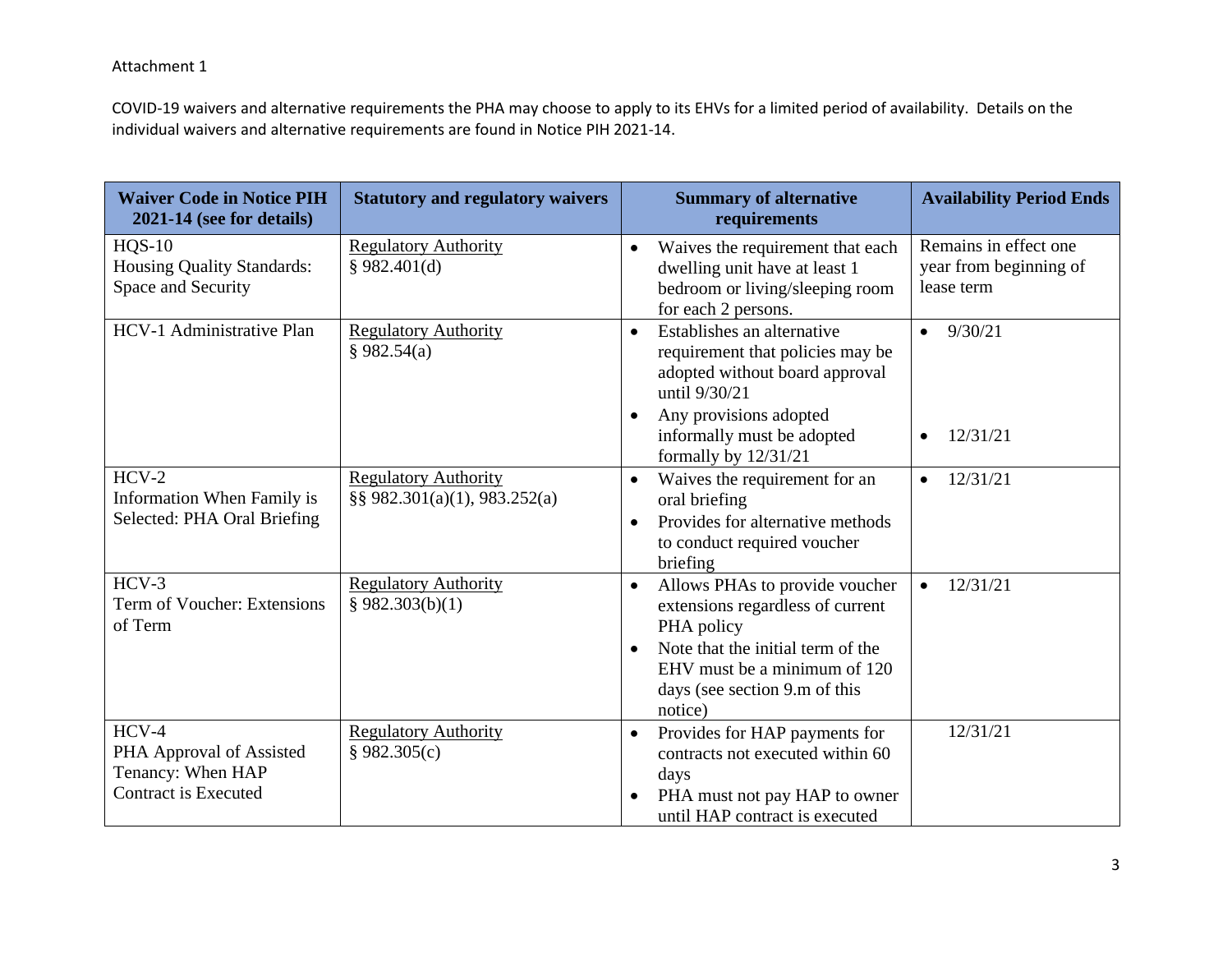COVID-19 waivers and alternative requirements the PHA may choose to apply to its EHVs for a limited period of availability. Details on the individual waivers and alternative requirements are found in Notice PIH 2021-14.

| <b>Waiver Code in Notice PIH</b><br>2021-14 (see for details)                           | <b>Statutory and regulatory waivers</b>                         | <b>Summary of alternative</b><br>requirements                                                                                                                                                                  | <b>Availability Period Ends</b>                               |
|-----------------------------------------------------------------------------------------|-----------------------------------------------------------------|----------------------------------------------------------------------------------------------------------------------------------------------------------------------------------------------------------------|---------------------------------------------------------------|
| $HQS-10$<br><b>Housing Quality Standards:</b><br>Space and Security                     | <b>Regulatory Authority</b><br>§ 982.401(d)                     | Waives the requirement that each<br>dwelling unit have at least 1<br>bedroom or living/sleeping room<br>for each 2 persons.                                                                                    | Remains in effect one<br>year from beginning of<br>lease term |
| HCV-1 Administrative Plan                                                               | <b>Regulatory Authority</b><br>§ 982.54(a)                      | Establishes an alternative<br>$\bullet$<br>requirement that policies may be<br>adopted without board approval<br>until 9/30/21<br>Any provisions adopted<br>$\bullet$                                          | 9/30/21<br>$\bullet$                                          |
|                                                                                         |                                                                 | informally must be adopted<br>formally by 12/31/21                                                                                                                                                             | 12/31/21<br>$\bullet$                                         |
| $HCV-2$<br>Information When Family is<br>Selected: PHA Oral Briefing                    | <b>Regulatory Authority</b><br>$\S$ § 982.301(a)(1), 983.252(a) | Waives the requirement for an<br>oral briefing<br>Provides for alternative methods<br>$\bullet$<br>to conduct required voucher<br>briefing                                                                     | 12/31/21<br>$\bullet$                                         |
| $HCV-3$<br>Term of Voucher: Extensions<br>of Term                                       | <b>Regulatory Authority</b><br>\$982.303(b)(1)                  | Allows PHAs to provide voucher<br>$\bullet$<br>extensions regardless of current<br>PHA policy<br>Note that the initial term of the<br>EHV must be a minimum of 120<br>days (see section 9.m of this<br>notice) | 12/31/21<br>$\bullet$                                         |
| $HCV-4$<br>PHA Approval of Assisted<br>Tenancy: When HAP<br><b>Contract is Executed</b> | <b>Regulatory Authority</b><br>§ 982.305(c)                     | Provides for HAP payments for<br>$\bullet$<br>contracts not executed within 60<br>days<br>PHA must not pay HAP to owner<br>until HAP contract is executed                                                      | 12/31/21                                                      |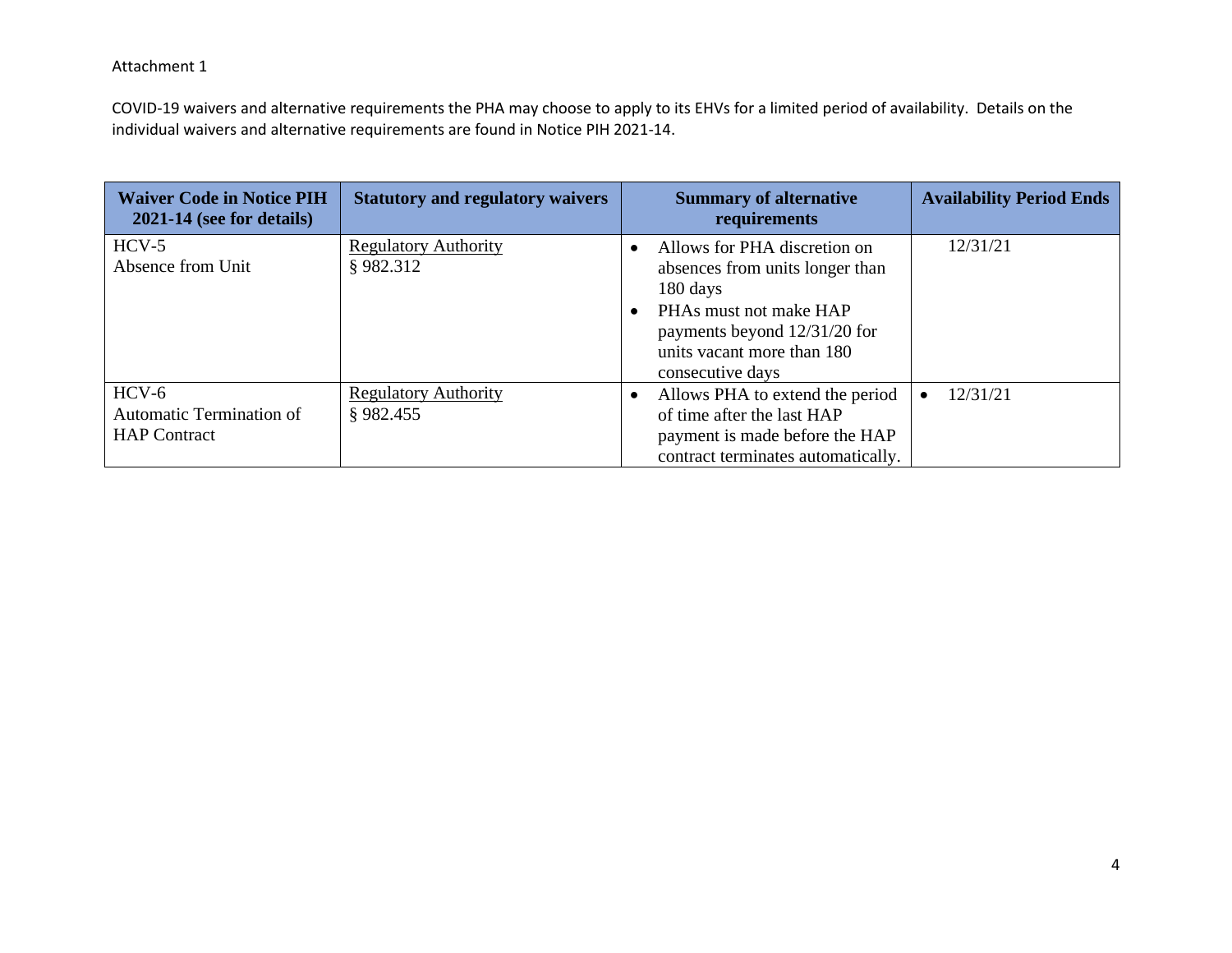COVID-19 waivers and alternative requirements the PHA may choose to apply to its EHVs for a limited period of availability. Details on the individual waivers and alternative requirements are found in Notice PIH 2021-14.

| <b>Waiver Code in Notice PIH</b><br>$2021-14$ (see for details)   | <b>Statutory and regulatory waivers</b> | <b>Summary of alternative</b><br>requirements                                                                                                                                           | <b>Availability Period Ends</b> |
|-------------------------------------------------------------------|-----------------------------------------|-----------------------------------------------------------------------------------------------------------------------------------------------------------------------------------------|---------------------------------|
| $HCV-5$<br>Absence from Unit                                      | <b>Regulatory Authority</b><br>§982.312 | Allows for PHA discretion on<br>absences from units longer than<br>180 days<br>PHAs must not make HAP<br>payments beyond 12/31/20 for<br>units vacant more than 180<br>consecutive days | 12/31/21                        |
| $HCV-6$<br><b>Automatic Termination of</b><br><b>HAP</b> Contract | <b>Regulatory Authority</b><br>§982.455 | Allows PHA to extend the period<br>of time after the last HAP<br>payment is made before the HAP<br>contract terminates automatically.                                                   | 12/31/21                        |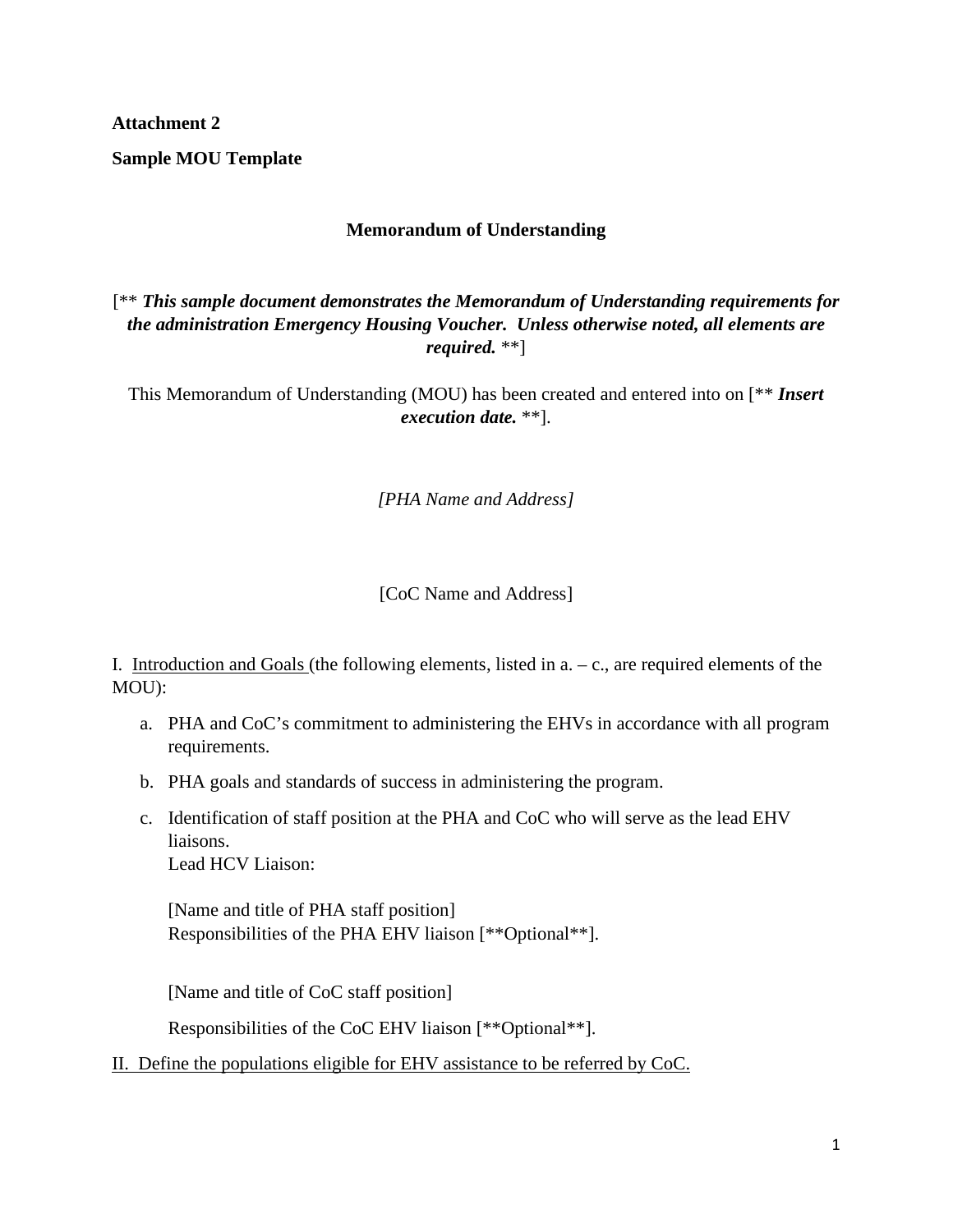**Sample MOU Template** 

### **Memorandum of Understanding**

[\*\* *This sample document demonstrates the Memorandum of Understanding requirements for the administration Emergency Housing Voucher. Unless otherwise noted, all elements are required.* \*\*]

This Memorandum of Understanding (MOU) has been created and entered into on [\*\* *Insert execution date.* \*\*].

*[PHA Name and Address]* 

[CoC Name and Address]

I. Introduction and Goals (the following elements, listed in  $a - c$ , are required elements of the MOU):

- a. PHA and CoC's commitment to administering the EHVs in accordance with all program requirements.
- b. PHA goals and standards of success in administering the program.
- c. Identification of staff position at the PHA and CoC who will serve as the lead EHV liaisons. Lead HCV Liaison:

[Name and title of PHA staff position] Responsibilities of the PHA EHV liaison [\*\*Optional\*\*].

[Name and title of CoC staff position]

Responsibilities of the CoC EHV liaison [\*\*Optional\*\*].

II. Define the populations eligible for EHV assistance to be referred by CoC.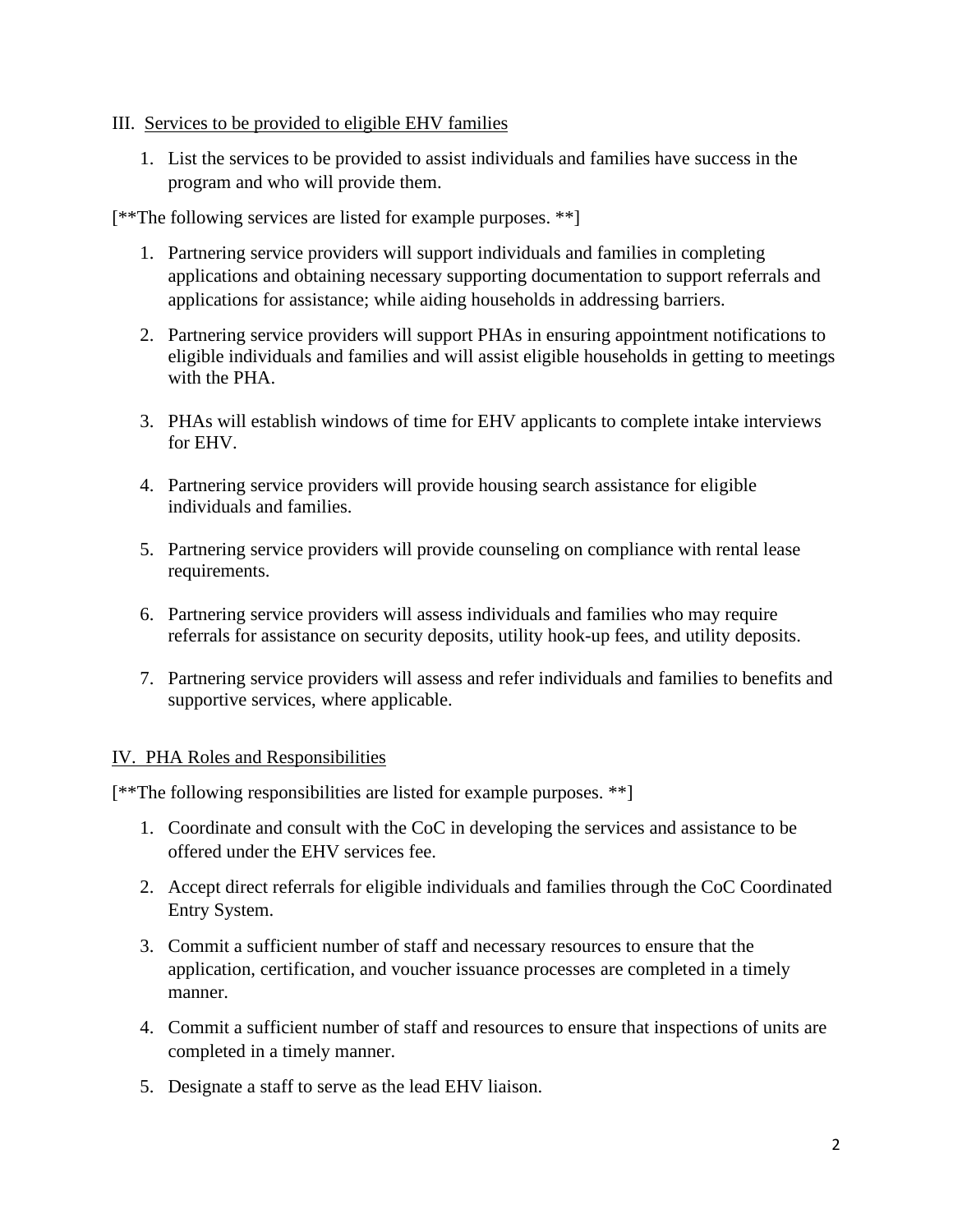### III. Services to be provided to eligible EHV families

1. List the services to be provided to assist individuals and families have success in the program and who will provide them.

[\*\*The following services are listed for example purposes. \*\*]

- 1. Partnering service providers will support individuals and families in completing applications and obtaining necessary supporting documentation to support referrals and applications for assistance; while aiding households in addressing barriers.
- 2. Partnering service providers will support PHAs in ensuring appointment notifications to eligible individuals and families and will assist eligible households in getting to meetings with the PHA.
- 3. PHAs will establish windows of time for EHV applicants to complete intake interviews for EHV.
- 4. Partnering service providers will provide housing search assistance for eligible individuals and families.
- 5. Partnering service providers will provide counseling on compliance with rental lease requirements.
- 6. Partnering service providers will assess individuals and families who may require referrals for assistance on security deposits, utility hook-up fees, and utility deposits.
- 7. Partnering service providers will assess and refer individuals and families to benefits and supportive services, where applicable.

### IV. PHA Roles and Responsibilities

[\*\*The following responsibilities are listed for example purposes. \*\*]

- 1. Coordinate and consult with the CoC in developing the services and assistance to be offered under the EHV services fee.
- 2. Accept direct referrals for eligible individuals and families through the CoC Coordinated Entry System.
- 3. Commit a sufficient number of staff and necessary resources to ensure that the application, certification, and voucher issuance processes are completed in a timely manner.
- 4. Commit a sufficient number of staff and resources to ensure that inspections of units are completed in a timely manner.
- 5. Designate a staff to serve as the lead EHV liaison.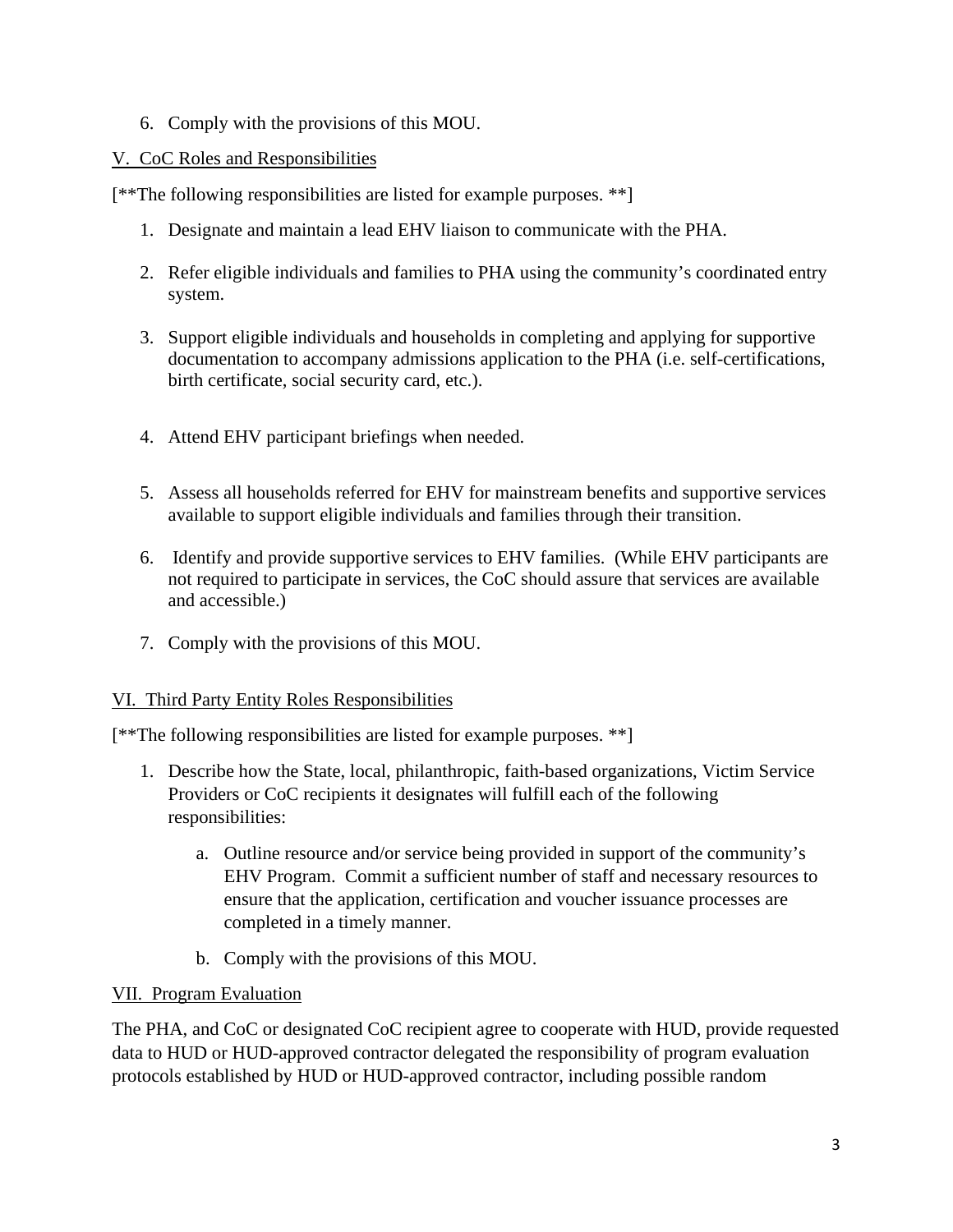6. Comply with the provisions of this MOU.

### V. CoC Roles and Responsibilities

[\*\*The following responsibilities are listed for example purposes. \*\*]

- 1. Designate and maintain a lead EHV liaison to communicate with the PHA.
- 2. Refer eligible individuals and families to PHA using the community's coordinated entry system.
- 3. Support eligible individuals and households in completing and applying for supportive documentation to accompany admissions application to the PHA (i.e. self-certifications, birth certificate, social security card, etc.).
- 4. Attend EHV participant briefings when needed.
- 5. Assess all households referred for EHV for mainstream benefits and supportive services available to support eligible individuals and families through their transition.
- 6. Identify and provide supportive services to EHV families. (While EHV participants are not required to participate in services, the CoC should assure that services are available and accessible.)
- 7. Comply with the provisions of this MOU.

### VI. Third Party Entity Roles Responsibilities

[\*\*The following responsibilities are listed for example purposes. \*\*]

- 1. Describe how the State, local, philanthropic, faith-based organizations, Victim Service Providers or CoC recipients it designates will fulfill each of the following responsibilities:
	- a. Outline resource and/or service being provided in support of the community's EHV Program. Commit a sufficient number of staff and necessary resources to ensure that the application, certification and voucher issuance processes are completed in a timely manner.
	- b. Comply with the provisions of this MOU.

### VII. Program Evaluation

The PHA, and CoC or designated CoC recipient agree to cooperate with HUD, provide requested data to HUD or HUD-approved contractor delegated the responsibility of program evaluation protocols established by HUD or HUD-approved contractor, including possible random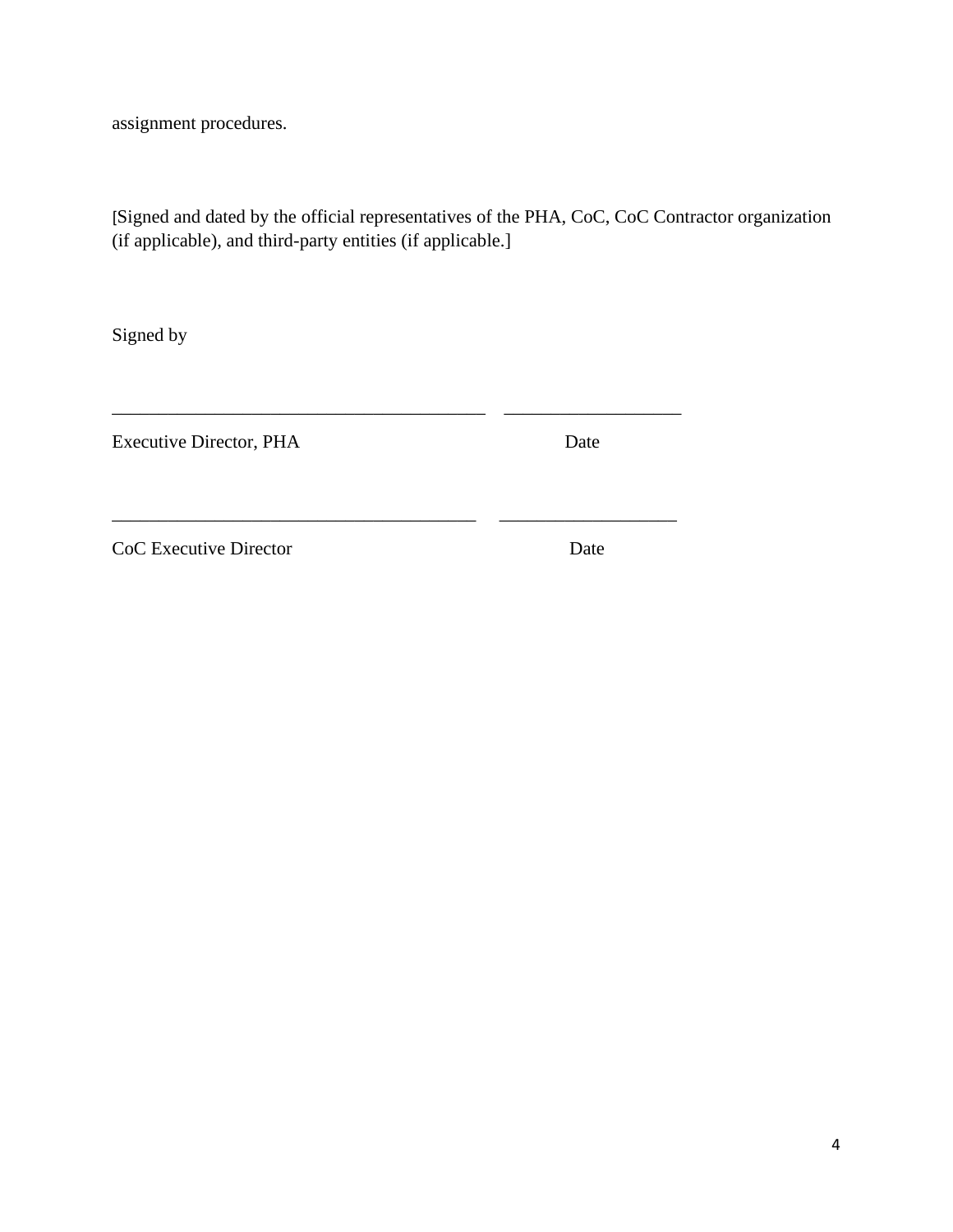assignment procedures.

[Signed and dated by the official representatives of the PHA, CoC, CoC Contractor organization (if applicable), and third-party entities (if applicable.]

\_\_\_\_\_\_\_\_\_\_\_\_\_\_\_\_\_\_\_\_\_\_\_\_\_\_\_\_\_\_\_\_\_\_\_\_\_\_\_\_ \_\_\_\_\_\_\_\_\_\_\_\_\_\_\_\_\_\_\_

\_\_\_\_\_\_\_\_\_\_\_\_\_\_\_\_\_\_\_\_\_\_\_\_\_\_\_\_\_\_\_\_\_\_\_\_\_\_\_ \_\_\_\_\_\_\_\_\_\_\_\_\_\_\_\_\_\_\_

Signed by

Executive Director, PHA Date

CoC Executive Director Date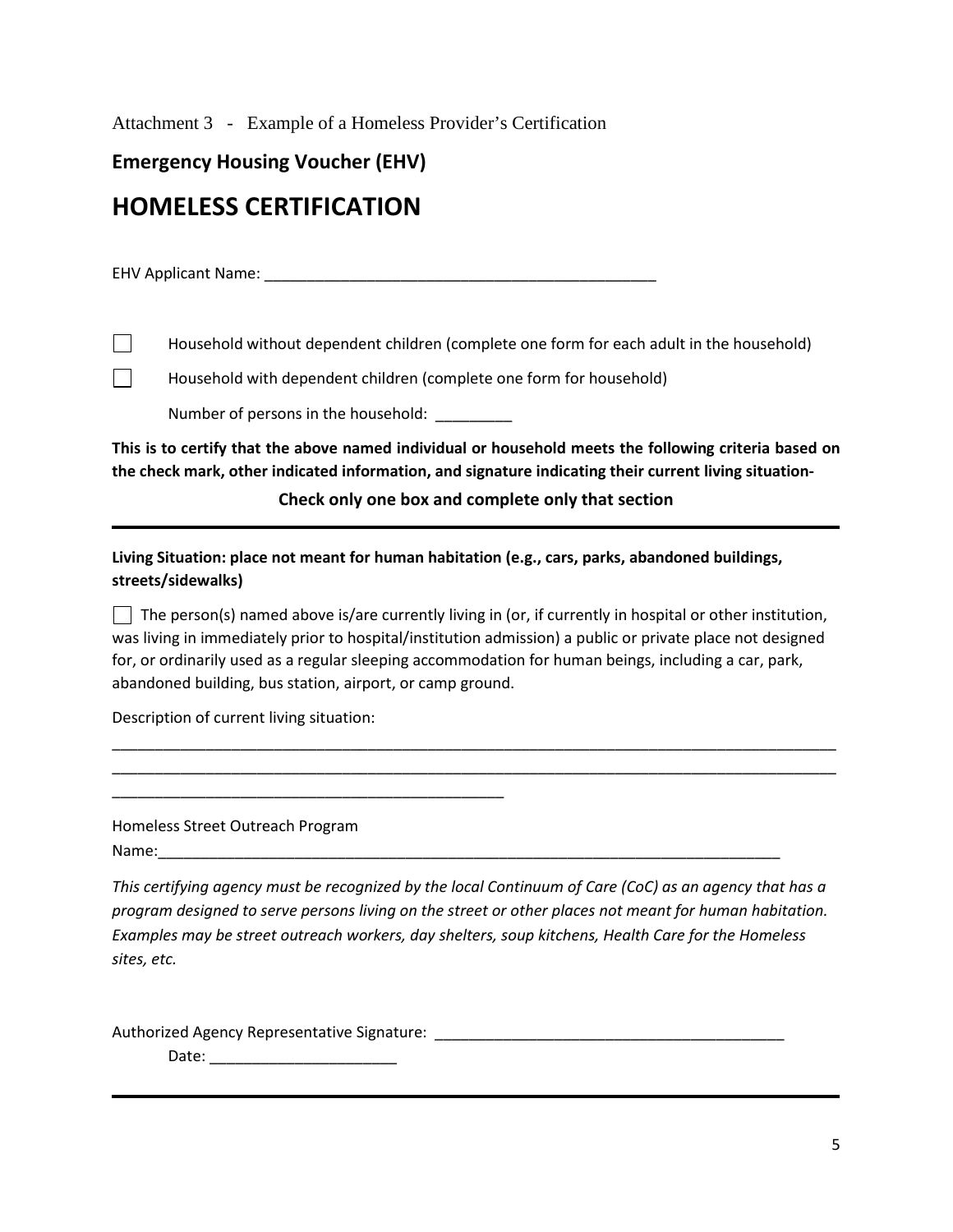Attachment 3 - Example of a Homeless Provider's Certification

**Emergency Housing Voucher (EHV)**

# **HOMELESS CERTIFICATION**

EHV Applicant Name: \_\_\_\_\_\_\_\_\_\_\_\_\_\_\_\_\_\_\_\_\_\_\_\_\_\_\_\_\_\_\_\_\_\_\_\_\_\_\_\_\_\_\_\_\_\_

 $\Box$  Household without dependent children (complete one form for each adult in the household)

 $\Box$  Household with dependent children (complete one form for household)

Number of persons in the household:

**This is to certify that the above named individual or household meets the following criteria based on the check mark, other indicated information, and signature indicating their current living situation-**

**Check only one box and complete only that section**

**Living Situation: place not meant for human habitation (e.g., cars, parks, abandoned buildings, streets/sidewalks)**

 $\Box$  The person(s) named above is/are currently living in (or, if currently in hospital or other institution, was living in immediately prior to hospital/institution admission) a public or private place not designed for, or ordinarily used as a regular sleeping accommodation for human beings, including a car, park, abandoned building, bus station, airport, or camp ground.

\_\_\_\_\_\_\_\_\_\_\_\_\_\_\_\_\_\_\_\_\_\_\_\_\_\_\_\_\_\_\_\_\_\_\_\_\_\_\_\_\_\_\_\_\_\_\_\_\_\_\_\_\_\_\_\_\_\_\_\_\_\_\_\_\_\_\_\_\_\_\_\_\_\_\_\_\_\_\_\_\_\_\_\_\_ \_\_\_\_\_\_\_\_\_\_\_\_\_\_\_\_\_\_\_\_\_\_\_\_\_\_\_\_\_\_\_\_\_\_\_\_\_\_\_\_\_\_\_\_\_\_\_\_\_\_\_\_\_\_\_\_\_\_\_\_\_\_\_\_\_\_\_\_\_\_\_\_\_\_\_\_\_\_\_\_\_\_\_\_\_

Description of current living situation:

\_\_\_\_\_\_\_\_\_\_\_\_\_\_\_\_\_\_\_\_\_\_\_\_\_\_\_\_\_\_\_\_\_\_\_\_\_\_\_\_\_\_\_\_\_\_

Homeless Street Outreach Program Name:\_\_\_\_\_\_\_\_\_\_\_\_\_\_\_\_\_\_\_\_\_\_\_\_\_\_\_\_\_\_\_\_\_\_\_\_\_\_\_\_\_\_\_\_\_\_\_\_\_\_\_\_\_\_\_\_\_\_\_\_\_\_\_\_\_\_\_\_\_\_\_\_\_

*This certifying agency must be recognized by the local Continuum of Care (CoC) as an agency that has a program designed to serve persons living on the street or other places not meant for human habitation. Examples may be street outreach workers, day shelters, soup kitchens, Health Care for the Homeless sites, etc.* 

Authorized Agency Representative Signature: \_\_\_\_\_\_\_\_\_\_\_\_\_\_\_\_\_\_\_\_\_\_\_\_\_\_\_\_\_\_\_\_\_\_\_\_\_\_\_\_\_

Date: \_\_\_\_\_\_\_\_\_\_\_\_\_\_\_\_\_\_\_\_\_\_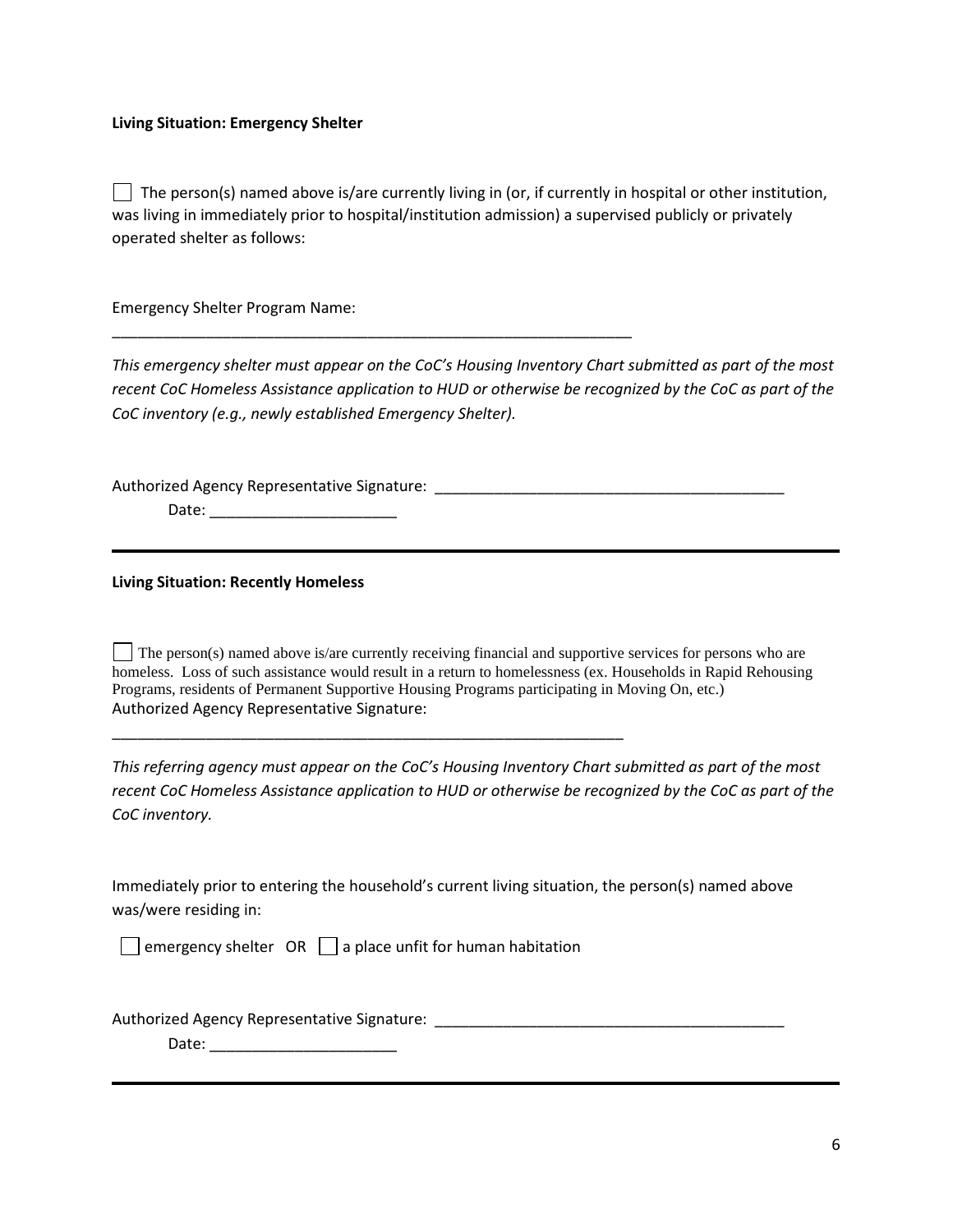#### **Living Situation: Emergency Shelter**

 $\Box$  The person(s) named above is/are currently living in (or, if currently in hospital or other institution, was living in immediately prior to hospital/institution admission) a supervised publicly or privately operated shelter as follows:

Emergency Shelter Program Name:

*This emergency shelter must appear on the CoC's Housing Inventory Chart submitted as part of the most recent CoC Homeless Assistance application to HUD or otherwise be recognized by the CoC as part of the CoC inventory (e.g., newly established Emergency Shelter).* 

\_\_\_\_\_\_\_\_\_\_\_\_\_\_\_\_\_\_\_\_\_\_\_\_\_\_\_\_\_\_\_\_\_\_\_\_\_\_\_\_\_\_\_\_\_\_\_\_\_\_\_\_\_\_\_\_\_\_\_\_\_

Authorized Agency Representative Signature: \_\_\_\_\_\_\_\_\_\_\_\_\_\_\_\_\_\_\_\_\_\_\_\_\_\_\_\_\_\_\_\_\_\_\_\_\_\_\_\_\_

Date: \_\_\_\_\_\_\_\_\_\_\_\_\_\_\_\_\_\_\_\_\_\_

#### **Living Situation: Recently Homeless**

 $\vert \cdot \vert$  The person(s) named above is/are currently receiving financial and supportive services for persons who are homeless. Loss of such assistance would result in a return to homelessness (ex. Households in Rapid Rehousing Programs, residents of Permanent Supportive Housing Programs participating in Moving On, etc.) Authorized Agency Representative Signature:

*This referring agency must appear on the CoC's Housing Inventory Chart submitted as part of the most recent CoC Homeless Assistance application to HUD or otherwise be recognized by the CoC as part of the CoC inventory.* 

Immediately prior to entering the household's current living situation, the person(s) named above was/were residing in:

 $\Box$  emergency shelter OR  $\Box$  a place unfit for human habitation

\_\_\_\_\_\_\_\_\_\_\_\_\_\_\_\_\_\_\_\_\_\_\_\_\_\_\_\_\_\_\_\_\_\_\_\_\_\_\_\_\_\_\_\_\_\_\_\_\_\_\_\_\_\_\_\_\_\_\_\_

Authorized Agency Representative Signature: \_\_\_\_\_\_\_\_\_\_\_\_\_\_\_\_\_\_\_\_\_\_\_\_\_\_\_\_\_\_\_\_\_\_\_\_\_\_\_\_\_

Date: \_\_\_\_\_\_\_\_\_\_\_\_\_\_\_\_\_\_\_\_\_\_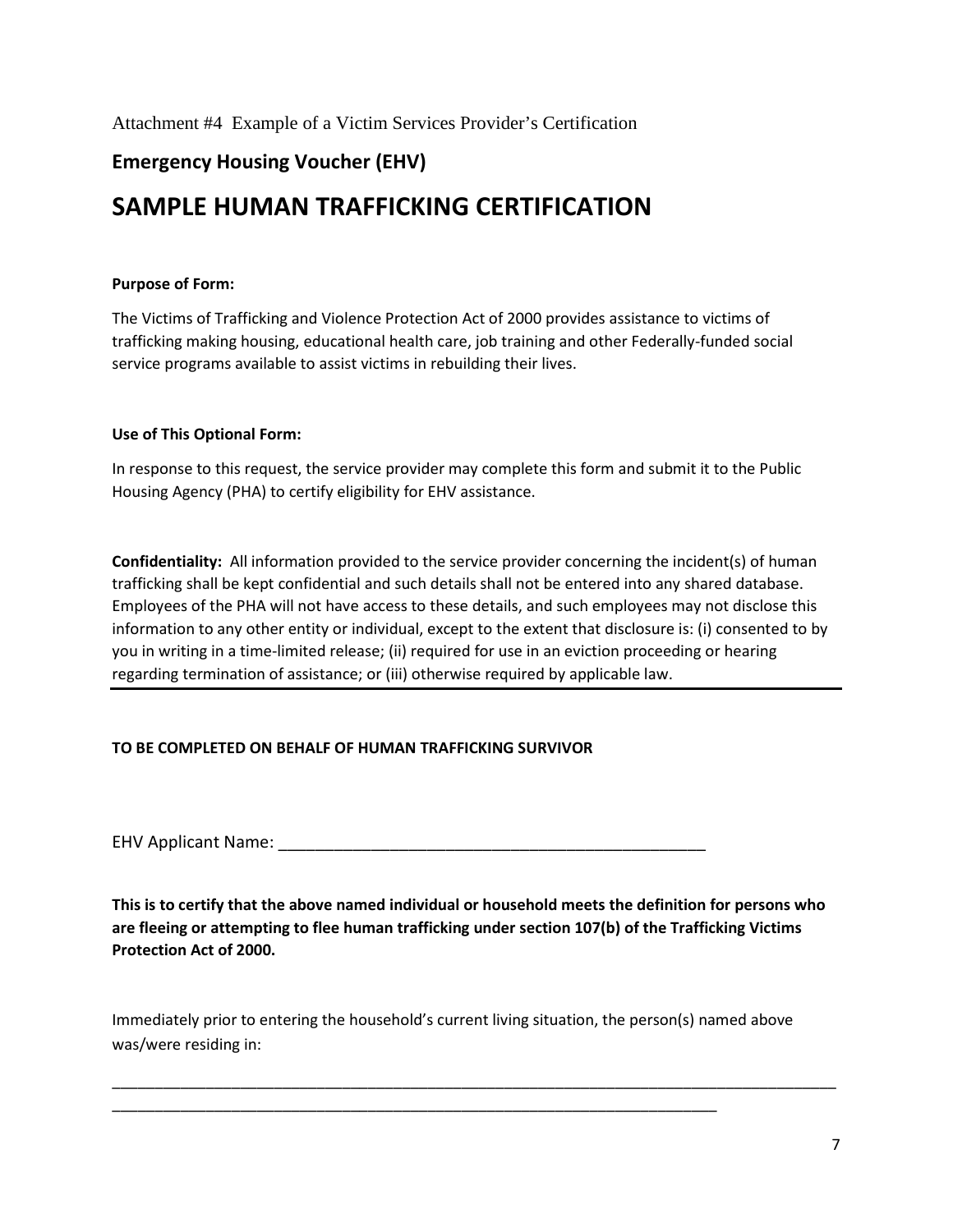Attachment #4 Example of a Victim Services Provider's Certification

## **Emergency Housing Voucher (EHV)**

# **SAMPLE HUMAN TRAFFICKING CERTIFICATION**

#### **Purpose of Form:**

The Victims of Trafficking and Violence Protection Act of 2000 provides assistance to victims of trafficking making housing, educational health care, job training and other Federally-funded social service programs available to assist victims in rebuilding their lives.

#### **Use of This Optional Form:**

In response to this request, the service provider may complete this form and submit it to the Public Housing Agency (PHA) to certify eligibility for EHV assistance.

**Confidentiality:** All information provided to the service provider concerning the incident(s) of human trafficking shall be kept confidential and such details shall not be entered into any shared database. Employees of the PHA will not have access to these details, and such employees may not disclose this information to any other entity or individual, except to the extent that disclosure is: (i) consented to by you in writing in a time-limited release; (ii) required for use in an eviction proceeding or hearing regarding termination of assistance; or (iii) otherwise required by applicable law.

#### **TO BE COMPLETED ON BEHALF OF HUMAN TRAFFICKING SURVIVOR**

EHV Applicant Name: \_\_\_\_\_\_\_\_\_\_\_\_\_\_\_\_\_\_\_\_\_\_\_\_\_\_\_\_\_\_\_\_\_\_\_\_\_\_\_\_\_\_\_\_\_\_

**This is to certify that the above named individual or household meets the definition for persons who are fleeing or attempting to flee human trafficking under section 107(b) of the Trafficking Victims Protection Act of 2000.** 

Immediately prior to entering the household's current living situation, the person(s) named above was/were residing in:

\_\_\_\_\_\_\_\_\_\_\_\_\_\_\_\_\_\_\_\_\_\_\_\_\_\_\_\_\_\_\_\_\_\_\_\_\_\_\_\_\_\_\_\_\_\_\_\_\_\_\_\_\_\_\_\_\_\_\_\_\_\_\_\_\_\_\_\_\_\_\_

\_\_\_\_\_\_\_\_\_\_\_\_\_\_\_\_\_\_\_\_\_\_\_\_\_\_\_\_\_\_\_\_\_\_\_\_\_\_\_\_\_\_\_\_\_\_\_\_\_\_\_\_\_\_\_\_\_\_\_\_\_\_\_\_\_\_\_\_\_\_\_\_\_\_\_\_\_\_\_\_\_\_\_\_\_